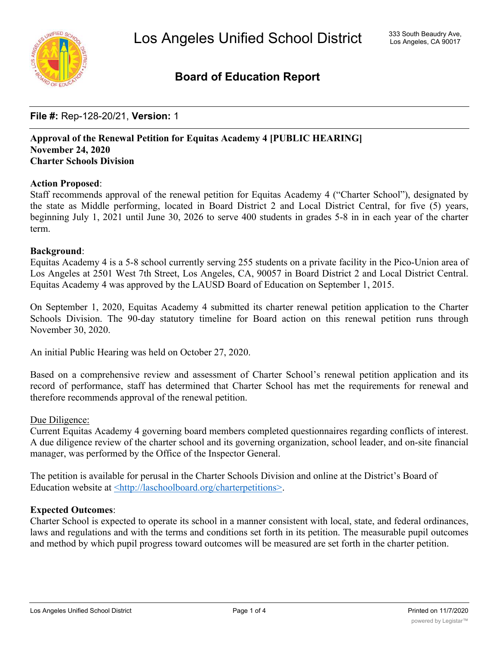

# **Board of Education Report**

# **File #:** Rep-128-20/21, **Version:** 1

### **Approval of the Renewal Petition for Equitas Academy 4 [PUBLIC HEARING] November 24, 2020 Charter Schools Division**

### **Action Proposed**:

Staff recommends approval of the renewal petition for Equitas Academy 4 ("Charter School"), designated by the state as Middle performing, located in Board District 2 and Local District Central, for five (5) years, beginning July 1, 2021 until June 30, 2026 to serve 400 students in grades 5-8 in in each year of the charter term.

### **Background**:

Equitas Academy 4 is a 5-8 school currently serving 255 students on a private facility in the Pico-Union area of Los Angeles at 2501 West 7th Street, Los Angeles, CA, 90057 in Board District 2 and Local District Central. Equitas Academy 4 was approved by the LAUSD Board of Education on September 1, 2015.

On September 1, 2020, Equitas Academy 4 submitted its charter renewal petition application to the Charter Schools Division. The 90-day statutory timeline for Board action on this renewal petition runs through November 30, 2020.

An initial Public Hearing was held on October 27, 2020.

Based on a comprehensive review and assessment of Charter School's renewal petition application and its record of performance, staff has determined that Charter School has met the requirements for renewal and therefore recommends approval of the renewal petition.

### Due Diligence:

Current Equitas Academy 4 governing board members completed questionnaires regarding conflicts of interest. A due diligence review of the charter school and its governing organization, school leader, and on-site financial manager, was performed by the Office of the Inspector General.

The petition is available for perusal in the Charter Schools Division and online at the District's Board of Education website at  $\frac{\text{th}}{\text{t}}$ ://laschoolboard.org/charterpetitions>.

### **Expected Outcomes**:

Charter School is expected to operate its school in a manner consistent with local, state, and federal ordinances, laws and regulations and with the terms and conditions set forth in its petition. The measurable pupil outcomes and method by which pupil progress toward outcomes will be measured are set forth in the charter petition.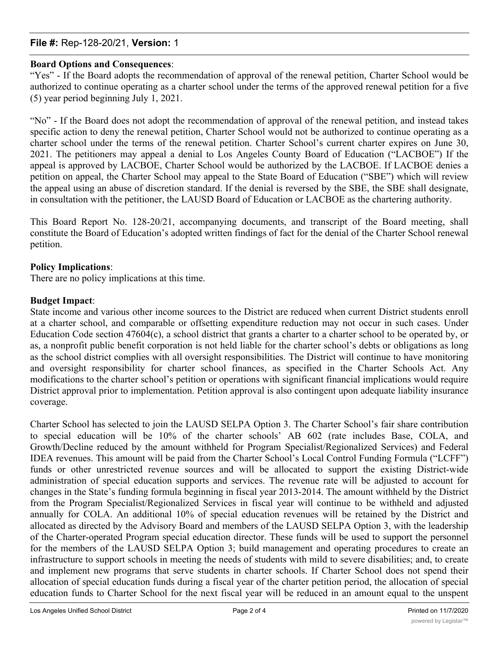### **File #:** Rep-128-20/21, **Version:** 1

### **Board Options and Consequences**:

"Yes" - If the Board adopts the recommendation of approval of the renewal petition, Charter School would be authorized to continue operating as a charter school under the terms of the approved renewal petition for a five (5) year period beginning July 1, 2021.

"No" - If the Board does not adopt the recommendation of approval of the renewal petition, and instead takes specific action to deny the renewal petition, Charter School would not be authorized to continue operating as a charter school under the terms of the renewal petition. Charter School's current charter expires on June 30, 2021. The petitioners may appeal a denial to Los Angeles County Board of Education ("LACBOE") If the appeal is approved by LACBOE, Charter School would be authorized by the LACBOE. If LACBOE denies a petition on appeal, the Charter School may appeal to the State Board of Education ("SBE") which will review the appeal using an abuse of discretion standard. If the denial is reversed by the SBE, the SBE shall designate, in consultation with the petitioner, the LAUSD Board of Education or LACBOE as the chartering authority.

This Board Report No. 128-20/21, accompanying documents, and transcript of the Board meeting, shall constitute the Board of Education's adopted written findings of fact for the denial of the Charter School renewal petition.

### **Policy Implications**:

There are no policy implications at this time.

### **Budget Impact**:

State income and various other income sources to the District are reduced when current District students enroll at a charter school, and comparable or offsetting expenditure reduction may not occur in such cases. Under Education Code section 47604(c), a school district that grants a charter to a charter school to be operated by, or as, a nonprofit public benefit corporation is not held liable for the charter school's debts or obligations as long as the school district complies with all oversight responsibilities. The District will continue to have monitoring and oversight responsibility for charter school finances, as specified in the Charter Schools Act. Any modifications to the charter school's petition or operations with significant financial implications would require District approval prior to implementation. Petition approval is also contingent upon adequate liability insurance coverage.

Charter School has selected to join the LAUSD SELPA Option 3. The Charter School's fair share contribution to special education will be 10% of the charter schools' AB 602 (rate includes Base, COLA, and Growth/Decline reduced by the amount withheld for Program Specialist/Regionalized Services) and Federal IDEA revenues. This amount will be paid from the Charter School's Local Control Funding Formula ("LCFF") funds or other unrestricted revenue sources and will be allocated to support the existing District-wide administration of special education supports and services. The revenue rate will be adjusted to account for changes in the State's funding formula beginning in fiscal year 2013-2014. The amount withheld by the District from the Program Specialist/Regionalized Services in fiscal year will continue to be withheld and adjusted annually for COLA. An additional 10% of special education revenues will be retained by the District and allocated as directed by the Advisory Board and members of the LAUSD SELPA Option 3, with the leadership of the Charter-operated Program special education director. These funds will be used to support the personnel for the members of the LAUSD SELPA Option 3; build management and operating procedures to create an infrastructure to support schools in meeting the needs of students with mild to severe disabilities; and, to create and implement new programs that serve students in charter schools. If Charter School does not spend their allocation of special education funds during a fiscal year of the charter petition period, the allocation of special education funds to Charter School for the next fiscal year will be reduced in an amount equal to the unspent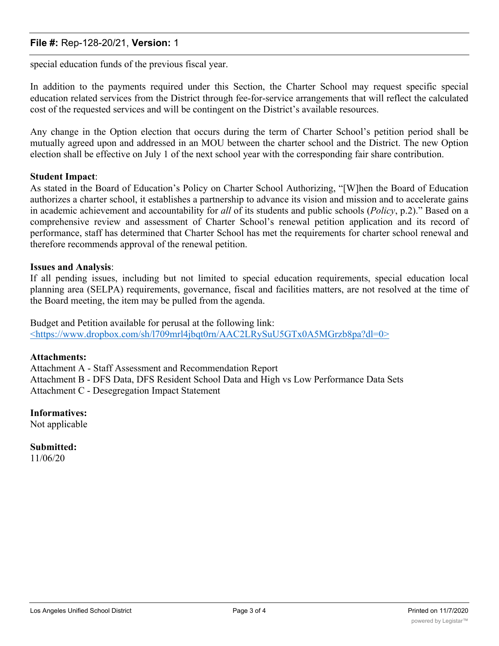### **File #:** Rep-128-20/21, **Version:** 1

special education funds of the previous fiscal year.

In addition to the payments required under this Section, the Charter School may request specific special education related services from the District through fee-for-service arrangements that will reflect the calculated cost of the requested services and will be contingent on the District's available resources.

Any change in the Option election that occurs during the term of Charter School's petition period shall be mutually agreed upon and addressed in an MOU between the charter school and the District. The new Option election shall be effective on July 1 of the next school year with the corresponding fair share contribution.

### **Student Impact**:

As stated in the Board of Education's Policy on Charter School Authorizing, "[W]hen the Board of Education authorizes a charter school, it establishes a partnership to advance its vision and mission and to accelerate gains in academic achievement and accountability for *all* of its students and public schools (*Policy*, p.2)." Based on a comprehensive review and assessment of Charter School's renewal petition application and its record of performance, staff has determined that Charter School has met the requirements for charter school renewal and therefore recommends approval of the renewal petition.

### **Issues and Analysis**:

If all pending issues, including but not limited to special education requirements, special education local planning area (SELPA) requirements, governance, fiscal and facilities matters, are not resolved at the time of the Board meeting, the item may be pulled from the agenda.

Budget and Petition available for perusal at the following link: <https://www.dropbox.com/sh/l709mrl4jbqt0rn/AAC2LRySuU5GTx0A5MGrzb8pa?dl=0>

### **Attachments:**

Attachment A - Staff Assessment and Recommendation Report Attachment B - DFS Data, DFS Resident School Data and High vs Low Performance Data Sets Attachment C - Desegregation Impact Statement

### **Informatives:**

Not applicable

**Submitted:** 11/06/20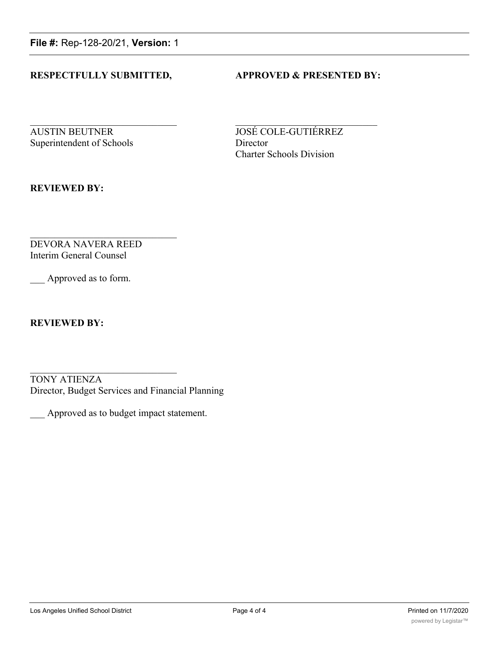**File #:** Rep-128-20/21, **Version:** 1

### **RESPECTFULLY SUBMITTED, APPROVED & PRESENTED BY:**

**AUSTIN BEUTNER JOSÉ COLE-GUTIÉRREZ** Superintendent of Schools Director

Charter Schools Division

**REVIEWED BY:**

DEVORA NAVERA REED Interim General Counsel

Approved as to form.

**REVIEWED BY:**

TONY ATIENZA Director, Budget Services and Financial Planning

\_\_\_ Approved as to budget impact statement.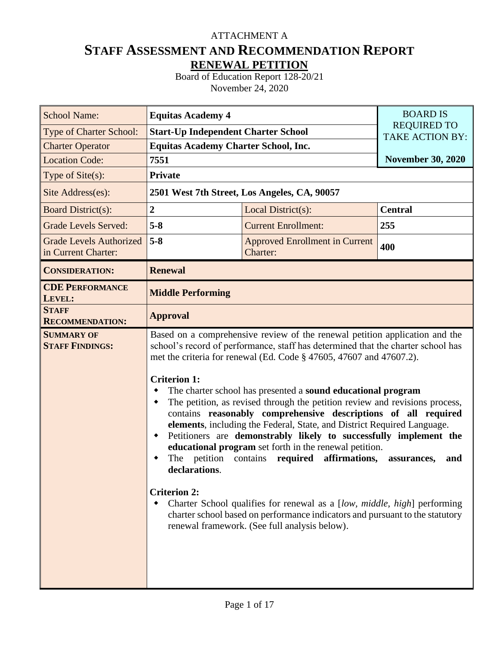# **STAFF ASSESSMENT AND RECOMMENDATION REPORT RENEWAL PETITION** ATTACHMENT A

Board of Education Report 128-20/21 November 24, 2020

| <b>School Name:</b>                                   | <b>Equitas Academy 4</b>                                                                          | <b>BOARD IS</b>                                                                                                                                                                                                                                                                                                                                                                                                                                                                                                                                                                                                                                                                                                                                                                                                                                                                                             |                                              |  |  |  |  |  |  |  |
|-------------------------------------------------------|---------------------------------------------------------------------------------------------------|-------------------------------------------------------------------------------------------------------------------------------------------------------------------------------------------------------------------------------------------------------------------------------------------------------------------------------------------------------------------------------------------------------------------------------------------------------------------------------------------------------------------------------------------------------------------------------------------------------------------------------------------------------------------------------------------------------------------------------------------------------------------------------------------------------------------------------------------------------------------------------------------------------------|----------------------------------------------|--|--|--|--|--|--|--|
| Type of Charter School:                               | <b>Start-Up Independent Charter School</b>                                                        |                                                                                                                                                                                                                                                                                                                                                                                                                                                                                                                                                                                                                                                                                                                                                                                                                                                                                                             | <b>REQUIRED TO</b><br><b>TAKE ACTION BY:</b> |  |  |  |  |  |  |  |
| <b>Charter Operator</b>                               | <b>Equitas Academy Charter School, Inc.</b>                                                       |                                                                                                                                                                                                                                                                                                                                                                                                                                                                                                                                                                                                                                                                                                                                                                                                                                                                                                             |                                              |  |  |  |  |  |  |  |
| <b>Location Code:</b>                                 | 7551                                                                                              |                                                                                                                                                                                                                                                                                                                                                                                                                                                                                                                                                                                                                                                                                                                                                                                                                                                                                                             | <b>November 30, 2020</b>                     |  |  |  |  |  |  |  |
| Type of Site(s):                                      | <b>Private</b>                                                                                    |                                                                                                                                                                                                                                                                                                                                                                                                                                                                                                                                                                                                                                                                                                                                                                                                                                                                                                             |                                              |  |  |  |  |  |  |  |
| Site Address(es):                                     |                                                                                                   | 2501 West 7th Street, Los Angeles, CA, 90057                                                                                                                                                                                                                                                                                                                                                                                                                                                                                                                                                                                                                                                                                                                                                                                                                                                                |                                              |  |  |  |  |  |  |  |
| <b>Board District(s):</b>                             | $\mathbf 2$                                                                                       | Local District(s):                                                                                                                                                                                                                                                                                                                                                                                                                                                                                                                                                                                                                                                                                                                                                                                                                                                                                          | <b>Central</b>                               |  |  |  |  |  |  |  |
| <b>Grade Levels Served:</b>                           | $5 - 8$                                                                                           | 255                                                                                                                                                                                                                                                                                                                                                                                                                                                                                                                                                                                                                                                                                                                                                                                                                                                                                                         |                                              |  |  |  |  |  |  |  |
| <b>Grade Levels Authorized</b><br>in Current Charter: | $5 - 8$                                                                                           | <b>Approved Enrollment in Current</b><br>400<br>Charter:                                                                                                                                                                                                                                                                                                                                                                                                                                                                                                                                                                                                                                                                                                                                                                                                                                                    |                                              |  |  |  |  |  |  |  |
| <b>CONSIDERATION:</b>                                 | <b>Renewal</b>                                                                                    |                                                                                                                                                                                                                                                                                                                                                                                                                                                                                                                                                                                                                                                                                                                                                                                                                                                                                                             |                                              |  |  |  |  |  |  |  |
| <b>CDE PERFORMANCE</b><br>LEVEL:                      | <b>Middle Performing</b>                                                                          |                                                                                                                                                                                                                                                                                                                                                                                                                                                                                                                                                                                                                                                                                                                                                                                                                                                                                                             |                                              |  |  |  |  |  |  |  |
| <b>STAFF</b><br><b>RECOMMENDATION:</b>                | <b>Approval</b>                                                                                   |                                                                                                                                                                                                                                                                                                                                                                                                                                                                                                                                                                                                                                                                                                                                                                                                                                                                                                             |                                              |  |  |  |  |  |  |  |
| <b>SUMMARY OF</b><br><b>STAFF FINDINGS:</b>           | <b>Criterion 1:</b><br>٠<br>petition contains<br>The<br>declarations.<br><b>Criterion 2:</b><br>٠ | Based on a comprehensive review of the renewal petition application and the<br>school's record of performance, staff has determined that the charter school has<br>met the criteria for renewal (Ed. Code § 47605, 47607 and 47607.2).<br>The charter school has presented a sound educational program<br>The petition, as revised through the petition review and revisions process,<br>contains reasonably comprehensive descriptions of all required<br>elements, including the Federal, State, and District Required Language.<br>Petitioners are demonstrably likely to successfully implement the<br>educational program set forth in the renewal petition.<br>affirmations,<br>required<br>Charter School qualifies for renewal as a [low, middle, high] performing<br>charter school based on performance indicators and pursuant to the statutory<br>renewal framework. (See full analysis below). | assurances,<br>and                           |  |  |  |  |  |  |  |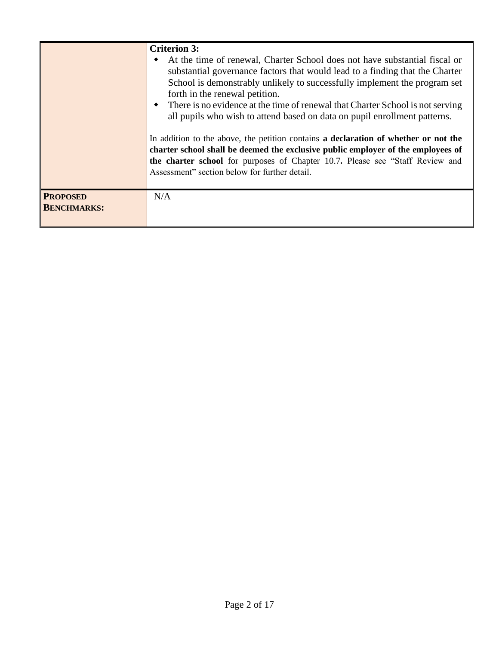|                                       | <b>Criterion 3:</b><br>At the time of renewal, Charter School does not have substantial fiscal or<br>٠<br>substantial governance factors that would lead to a finding that the Charter<br>School is demonstrably unlikely to successfully implement the program set<br>forth in the renewal petition.<br>• There is no evidence at the time of renewal that Charter School is not serving<br>all pupils who wish to attend based on data on pupil enrollment patterns.<br>In addition to the above, the petition contains a declaration of whether or not the<br>charter school shall be deemed the exclusive public employer of the employees of<br>the charter school for purposes of Chapter 10.7. Please see "Staff Review and<br>Assessment" section below for further detail. |
|---------------------------------------|-------------------------------------------------------------------------------------------------------------------------------------------------------------------------------------------------------------------------------------------------------------------------------------------------------------------------------------------------------------------------------------------------------------------------------------------------------------------------------------------------------------------------------------------------------------------------------------------------------------------------------------------------------------------------------------------------------------------------------------------------------------------------------------|
| <b>PROPOSED</b><br><b>BENCHMARKS:</b> | N/A                                                                                                                                                                                                                                                                                                                                                                                                                                                                                                                                                                                                                                                                                                                                                                                 |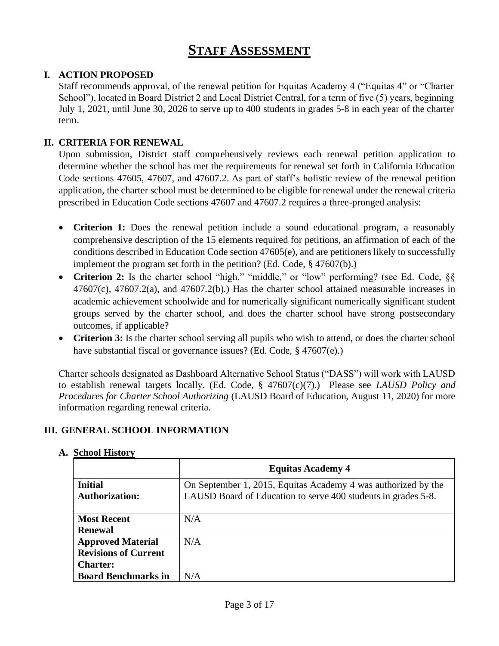# **STAFF ASSESSMENT**

# **I. ACTION PROPOSED**

Staff recommends approval, of the renewal petition for Equitas Academy 4 ("Equitas 4" or "Charter School"), located in Board District 2 and Local District Central, for a term of five (5) years, beginning July 1, 2021, until June 30, 2026 to serve up to 400 students in grades 5-8 in each year of the charter term.

# **II. CRITERIA FOR RENEWAL**

Upon submission, District staff comprehensively reviews each renewal petition application to determine whether the school has met the requirements for renewal set forth in California Education Code sections 47605, 47607, and 47607.2. As part of staff's holistic review of the renewal petition application, the charter school must be determined to be eligible for renewal under the renewal criteria prescribed in Education Code sections 47607 and 47607.2 requires a three-pronged analysis:

- **Criterion 1:** Does the renewal petition include a sound educational program, a reasonably comprehensive description of the 15 elements required for petitions, an affirmation of each of the conditions described in Education Code section 47605(e), and are petitioners likely to successfully implement the program set forth in the petition? (Ed. Code, § 47607(b).)
- Criterion 2: Is the charter school "high," "middle," or "low" performing? (see Ed. Code, §§  $47607(c)$ ,  $47607.2(a)$ , and  $47607.2(b)$ . Has the charter school attained measurable increases in academic achievement schoolwide and for numerically significant numerically significant student groups served by the charter school, and does the charter school have strong postsecondary outcomes, if applicable?
- **Criterion 3:** Is the charter school serving all pupils who wish to attend, or does the charter school have substantial fiscal or governance issues? (Ed. Code, § 47607(e).)

Charter schools designated as Dashboard Alternative School Status ("DASS") will work with LAUSD to establish renewal targets locally. (Ed. Code, § 47607(c)(7).) Please see *LAUSD Policy and Procedures for Charter School Authorizing* (LAUSD Board of Education, August 11, 2020) for more information regarding renewal criteria.

# **III. GENERAL SCHOOL INFORMATION**

|                             | <b>Equitas Academy 4</b>                                      |
|-----------------------------|---------------------------------------------------------------|
| <b>Initial</b>              | On September 1, 2015, Equitas Academy 4 was authorized by the |
| <b>Authorization:</b>       | LAUSD Board of Education to serve 400 students in grades 5-8. |
|                             |                                                               |
| <b>Most Recent</b>          | N/A                                                           |
| <b>Renewal</b>              |                                                               |
| <b>Approved Material</b>    | N/A                                                           |
| <b>Revisions of Current</b> |                                                               |
| <b>Charter:</b>             |                                                               |
| <b>Board Benchmarks in</b>  | N/A                                                           |

### **A. School History**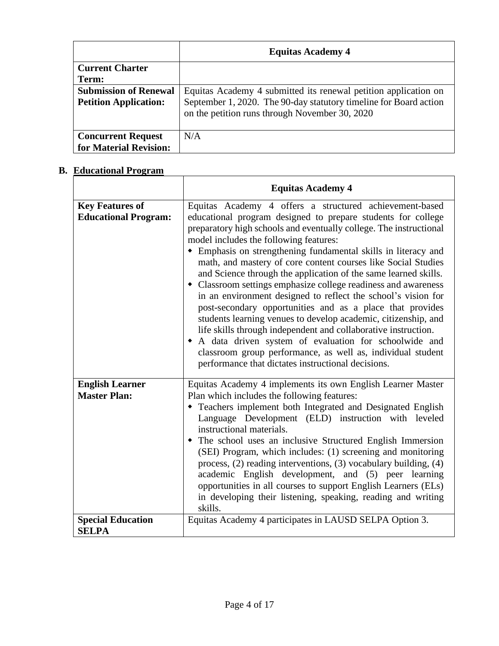|                              | <b>Equitas Academy 4</b>                                                                                            |
|------------------------------|---------------------------------------------------------------------------------------------------------------------|
| <b>Current Charter</b>       |                                                                                                                     |
| Term:                        |                                                                                                                     |
| <b>Submission of Renewal</b> | Equitas Academy 4 submitted its renewal petition application on                                                     |
| <b>Petition Application:</b> | September 1, 2020. The 90-day statutory timeline for Board action<br>on the petition runs through November 30, 2020 |
| <b>Concurrent Request</b>    | N/A                                                                                                                 |
| for Material Revision:       |                                                                                                                     |

# **B. Educational Program**

|                                                       | <b>Equitas Academy 4</b>                                                                                                                                                                                                                                                                                                                                                                                                                                                                                                                                                                                                                                                                                                                                                                                                                                                                                                                                          |
|-------------------------------------------------------|-------------------------------------------------------------------------------------------------------------------------------------------------------------------------------------------------------------------------------------------------------------------------------------------------------------------------------------------------------------------------------------------------------------------------------------------------------------------------------------------------------------------------------------------------------------------------------------------------------------------------------------------------------------------------------------------------------------------------------------------------------------------------------------------------------------------------------------------------------------------------------------------------------------------------------------------------------------------|
| <b>Key Features of</b><br><b>Educational Program:</b> | Equitas Academy 4 offers a structured achievement-based<br>educational program designed to prepare students for college<br>preparatory high schools and eventually college. The instructional<br>model includes the following features:<br>• Emphasis on strengthening fundamental skills in literacy and<br>math, and mastery of core content courses like Social Studies<br>and Science through the application of the same learned skills.<br>• Classroom settings emphasize college readiness and awareness<br>in an environment designed to reflect the school's vision for<br>post-secondary opportunities and as a place that provides<br>students learning venues to develop academic, citizenship, and<br>life skills through independent and collaborative instruction.<br>• A data driven system of evaluation for schoolwide and<br>classroom group performance, as well as, individual student<br>performance that dictates instructional decisions. |
| <b>English Learner</b><br><b>Master Plan:</b>         | Equitas Academy 4 implements its own English Learner Master<br>Plan which includes the following features:<br>• Teachers implement both Integrated and Designated English<br>Language Development (ELD) instruction with leveled<br>instructional materials.<br>• The school uses an inclusive Structured English Immersion<br>(SEI) Program, which includes: (1) screening and monitoring<br>process, (2) reading interventions, (3) vocabulary building, (4)<br>academic English development, and (5) peer learning<br>opportunities in all courses to support English Learners (ELs)<br>in developing their listening, speaking, reading and writing<br>skills.                                                                                                                                                                                                                                                                                                |
| <b>Special Education</b><br><b>SELPA</b>              | Equitas Academy 4 participates in LAUSD SELPA Option 3.                                                                                                                                                                                                                                                                                                                                                                                                                                                                                                                                                                                                                                                                                                                                                                                                                                                                                                           |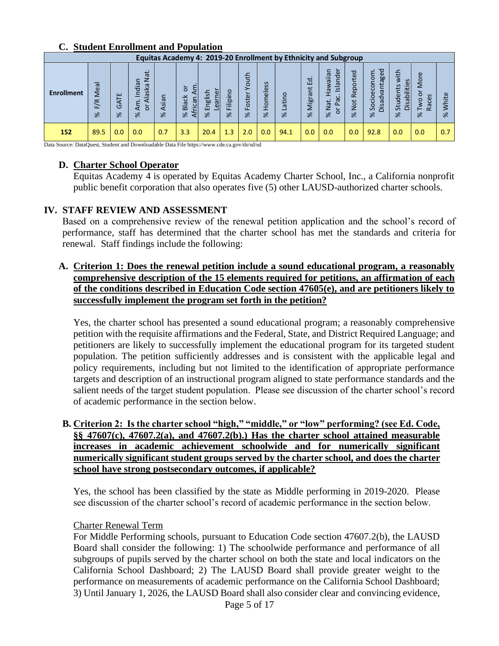### **C. Student Enrollment and Population**

|                   | Equitas Academy 4: 2019-20 Enrollment by Ethnicity and Subgroup |                         |                                                                          |                       |                                           |                                    |                                      |                                |                |                   |                    |                                                                                                               |                       |                                                                                   |                                        |                                              |                    |
|-------------------|-----------------------------------------------------------------|-------------------------|--------------------------------------------------------------------------|-----------------------|-------------------------------------------|------------------------------------|--------------------------------------|--------------------------------|----------------|-------------------|--------------------|---------------------------------------------------------------------------------------------------------------|-----------------------|-----------------------------------------------------------------------------------|----------------------------------------|----------------------------------------------|--------------------|
| <b>Enrollment</b> | Meal<br>F/R<br>$\approx$                                        | ш<br>ব<br>O<br>$\aleph$ | <b>Jat</b><br>đia<br>$\overline{\mathfrak{L}}$<br>S<br>ь<br>ă<br>◅<br>৯ৎ | sian<br>⋖<br>$\aleph$ | ٤<br>ŏ<br>č<br>African<br>Bla<br>$\aleph$ | e<br>dsila<br>ear<br>믿<br>$\aleph$ | o<br>Ξ.<br>$\Omega$<br>듵<br>$\aleph$ | ᅩ<br>ҍ<br>ō<br>stei<br>õ<br>৯ৎ | Homeless<br>৯ৎ | atino<br>$\aleph$ | 굡<br>Migrant<br>৯ৎ | ∼<br>waiian<br>Ъe<br>nalal<br>$\overline{\mathbf{a}}$<br>Pac.<br>$\vec{a}$<br>–<br>$\overline{O}$<br>$\aleph$ | Reported<br>Not<br>৯ৎ | ਹ<br>conom<br>antageo<br>$\omega$<br><u>.ŏ</u><br>isad<br>Š<br>$\cap$<br>$\aleph$ | with<br>Disabilities<br>Students<br>৯ৎ | More<br>ō<br>Races<br><b>Iwo</b><br>$\aleph$ | ω<br>£<br>$\aleph$ |
| 152               | 89.5                                                            | 0.0                     | 0.0                                                                      | 0.7                   | 3.3                                       | 20.4                               | 1.3                                  | 2.0                            | 0.0            | 94.1              | 0.0                | 0.0                                                                                                           | 0.0                   | 92.8                                                                              | 0.0                                    | 0.0                                          | 0.7                |

Data Source: DataQuest, Student and Downloadable Data File https://www.cde.ca.gov/ds/sd/sd

### **D. Charter School Operator**

Equitas Academy 4 is operated by Equitas Academy Charter School, Inc., a California nonprofit public benefit corporation that also operates five (5) other LAUSD-authorized charter schools.

### **IV. STAFF REVIEW AND ASSESSMENT**

Based on a comprehensive review of the renewal petition application and the school's record of performance, staff has determined that the charter school has met the standards and criteria for renewal. Staff findings include the following:

# **A. Criterion 1: Does the renewal petition include a sound educational program, a reasonably comprehensive description of the 15 elements required for petitions, an affirmation of each of the conditions described in Education Code section 47605(e), and are petitioners likely to successfully implement the program set forth in the petition?**

Yes, the charter school has presented a sound educational program; a reasonably comprehensive petition with the requisite affirmations and the Federal, State, and District Required Language; and petitioners are likely to successfully implement the educational program for its targeted student population. The petition sufficiently addresses and is consistent with the applicable legal and policy requirements, including but not limited to the identification of appropriate performance targets and description of an instructional program aligned to state performance standards and the salient needs of the target student population. Please see discussion of the charter school's record of academic performance in the section below.

# **B. Criterion 2: Is the charter school "high," "middle," or "low" performing? (see Ed. Code, §§ 47607(c), 47607.2(a), and 47607.2(b).) Has the charter school attained measurable increases in academic achievement schoolwide and for numerically significant numerically significant student groups served by the charter school, and does the charter school have strong postsecondary outcomes, if applicable?**

Yes, the school has been classified by the state as Middle performing in 2019-2020. Please see discussion of the charter school's record of academic performance in the section below.

### Charter Renewal Term

For Middle Performing schools, pursuant to Education Code section 47607.2(b), the LAUSD Board shall consider the following: 1) The schoolwide performance and performance of all subgroups of pupils served by the charter school on both the state and local indicators on the California School Dashboard; 2) The LAUSD Board shall provide greater weight to the performance on measurements of academic performance on the California School Dashboard; 3) Until January 1, 2026, the LAUSD Board shall also consider clear and convincing evidence,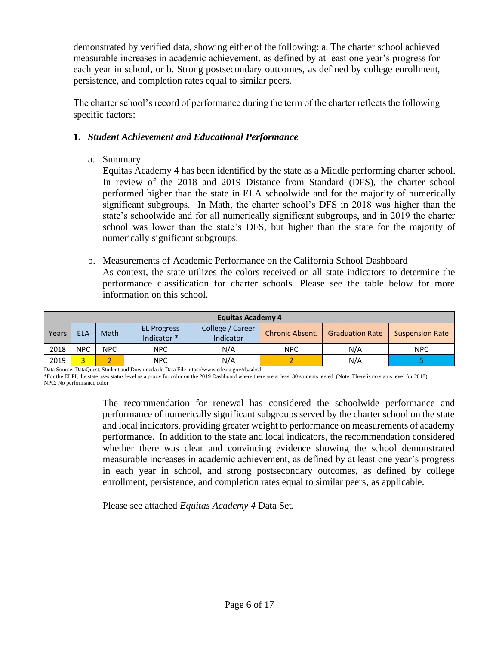demonstrated by verified data, showing either of the following: a. The charter school achieved measurable increases in academic achievement, as defined by at least one year's progress for each year in school, or b. Strong postsecondary outcomes, as defined by college enrollment, persistence, and completion rates equal to similar peers.

The charter school's record of performance during the term of the charter reflects the following specific factors:

# **1.** *Student Achievement and Educational Performance*

a. Summary

Equitas Academy 4 has been identified by the state as a Middle performing charter school. In review of the 2018 and 2019 Distance from Standard (DFS), the charter school performed higher than the state in ELA schoolwide and for the majority of numerically significant subgroups. In Math, the charter school's DFS in 2018 was higher than the state's schoolwide and for all numerically significant subgroups, and in 2019 the charter school was lower than the state's DFS, but higher than the state for the majority of numerically significant subgroups.

b. Measurements of Academic Performance on the California School Dashboard As context, the state utilizes the colors received on all state indicators to determine the performance classification for charter schools. Please see the table below for more information on this school.

|       | <b>Equitas Academy 4</b> |      |                                  |                               |                        |                        |                        |  |  |  |  |  |  |  |
|-------|--------------------------|------|----------------------------------|-------------------------------|------------------------|------------------------|------------------------|--|--|--|--|--|--|--|
| Years | <b>ELA</b>               | Math | <b>EL Progress</b><br>Indicator* | College / Career<br>Indicator | <b>Chronic Absent.</b> | <b>Graduation Rate</b> | <b>Suspension Rate</b> |  |  |  |  |  |  |  |
| 2018  | <b>NPC</b>               | NPC. | <b>NPC</b>                       | N/A                           | <b>NPC</b>             | N/A                    | <b>NPC</b>             |  |  |  |  |  |  |  |
| 2019  | o.                       |      | <b>NPC</b>                       | N/A                           |                        | N/A                    |                        |  |  |  |  |  |  |  |

Data Source: DataQuest, Student and Downloadable Data File https://www.cde.ca.gov/ds/sd/sd

\*For the ELPI, the state uses status level as a proxy for color on the 2019 Dashboard where there are at least 30 students tested. (Note: There is no status level for 2018). NPC: No performance color

> The recommendation for renewal has considered the schoolwide performance and performance of numerically significant subgroups served by the charter school on the state and local indicators, providing greater weight to performance on measurements of academy performance. In addition to the state and local indicators, the recommendation considered whether there was clear and convincing evidence showing the school demonstrated measurable increases in academic achievement, as defined by at least one year's progress in each year in school, and strong postsecondary outcomes, as defined by college enrollment, persistence, and completion rates equal to similar peers, as applicable.

Please see attached *Equitas Academy 4* Data Set.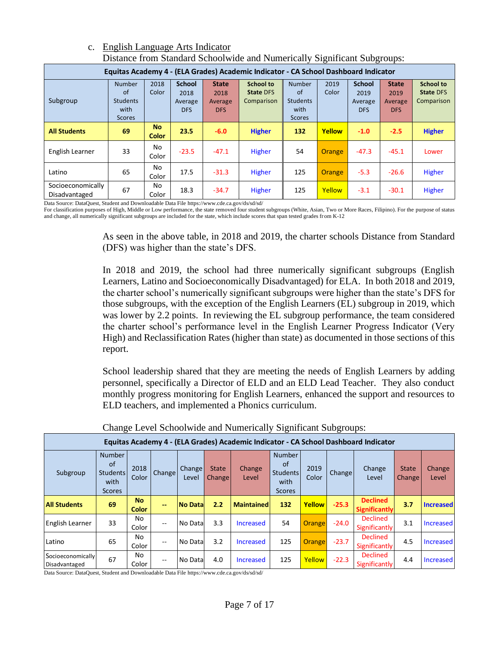| Distance from Standard Schoolwide and Numerically Significant Subgroups:            |                                                                 |                           |                                         |                                        |                                                    |                                                                            |               |                                         |                                               |                                                    |  |  |  |
|-------------------------------------------------------------------------------------|-----------------------------------------------------------------|---------------------------|-----------------------------------------|----------------------------------------|----------------------------------------------------|----------------------------------------------------------------------------|---------------|-----------------------------------------|-----------------------------------------------|----------------------------------------------------|--|--|--|
| Equitas Academy 4 - (ELA Grades) Academic Indicator - CA School Dashboard Indicator |                                                                 |                           |                                         |                                        |                                                    |                                                                            |               |                                         |                                               |                                                    |  |  |  |
| Subgroup                                                                            | <b>Number</b><br>of<br><b>Students</b><br>with<br><b>Scores</b> | 2018<br>Color             | <b>School</b><br>2018<br>Average<br>DFS | <b>State</b><br>2018<br>Average<br>DFS | <b>School to</b><br><b>State DFS</b><br>Comparison | <b>Number</b><br><sub>of</sub><br><b>Students</b><br>with<br><b>Scores</b> | 2019<br>Color | <b>School</b><br>2019<br>Average<br>DFS | <b>State</b><br>2019<br>Average<br><b>DFS</b> | <b>School to</b><br><b>State DFS</b><br>Comparison |  |  |  |
| <b>All Students</b>                                                                 | 69                                                              | <b>No</b><br><b>Color</b> | 23.5                                    | $-6.0$                                 | <b>Higher</b>                                      | 132                                                                        | Yellow        | $-1.0$                                  | $-2.5$                                        | <b>Higher</b>                                      |  |  |  |
| English Learner                                                                     | 33                                                              | No<br>Color               | $-23.5$                                 | $-47.1$                                | <b>Higher</b>                                      | 54                                                                         | <b>Orange</b> | $-47.3$                                 | $-45.1$                                       | Lower                                              |  |  |  |
| Latino                                                                              | 65                                                              | No.<br>Color              | 17.5                                    | $-31.3$                                | <b>Higher</b>                                      | 125                                                                        | Orange        | $-5.3$                                  | $-26.6$                                       | Higher                                             |  |  |  |
| Socioeconomically<br>Disadvantaged                                                  | 67                                                              | No.<br>Color              | 18.3                                    | $-34.7$                                | <b>Higher</b>                                      | 125                                                                        | Yellow        | $-3.1$                                  | $-30.1$                                       | Higher                                             |  |  |  |

# c. English Language Arts Indicator Distance from Standard Schoolwide and Numerically Significant Subgroups:

Data Source: DataQuest, Student and Downloadable Data File https://www.cde.ca.gov/ds/sd/sd/

For classification purposes of High, Middle or Low performance, the state removed four student subgroups (White, Asian, Two or More Races, Filipino). For the purpose of status and change, all numerically significant subgroups are included for the state, which include scores that span tested grades from K-12

> As seen in the above table, in 2018 and 2019, the charter schools Distance from Standard (DFS) was higher than the state's DFS.

> In 2018 and 2019, the school had three numerically significant subgroups (English Learners, Latino and Socioeconomically Disadvantaged) for ELA. In both 2018 and 2019, the charter school's numerically significant subgroups were higher than the state's DFS for those subgroups, with the exception of the English Learners (EL) subgroup in 2019, which was lower by 2.2 points. In reviewing the EL subgroup performance, the team considered the charter school's performance level in the English Learner Progress Indicator (Very High) and Reclassification Rates (higher than state) as documented in those sections of this report.

> School leadership shared that they are meeting the needs of English Learners by adding personnel, specifically a Director of ELD and an ELD Lead Teacher. They also conduct monthly progress monitoring for English Learners, enhanced the support and resources to ELD teachers, and implemented a Phonics curriculum.

|                                    | Equitas Academy 4 - (ELA Grades) Academic Indicator - CA School Dashboard Indicator |                           |               |                        |                               |                        |                                                                 |               |                     |                                         |                        |                  |  |
|------------------------------------|-------------------------------------------------------------------------------------|---------------------------|---------------|------------------------|-------------------------------|------------------------|-----------------------------------------------------------------|---------------|---------------------|-----------------------------------------|------------------------|------------------|--|
| Subgroup                           | <b>Number</b><br>of<br><b>Students</b><br>with<br><b>Scores</b>                     | 2018<br>Color             | <b>Change</b> | <b>Change</b><br>Level | <b>State</b><br><b>Change</b> | <b>Change</b><br>Level | <b>Number</b><br><b>of</b><br>Students<br>with<br><b>Scores</b> | 2019<br>Color | Change <sup>1</sup> | Change<br>Level                         | <b>State</b><br>Change | Change<br>Level  |  |
| <b>All Students</b>                | 69                                                                                  | <b>No</b><br><b>Color</b> | $-$           | <b>No Datal</b>        | 2.2                           | <b>Maintained</b>      | 132                                                             | Yellow        | $-25.3$             | <b>Declined</b><br><b>Significantly</b> | 3.7                    | <b>Increased</b> |  |
| English Learner                    | 33                                                                                  | No.<br>Color              | --            | No Data                | 3.3                           | Increased              | 54                                                              | <b>Orange</b> | $-24.0$             | <b>Declined</b><br><b>Significantly</b> | 3.1                    | Increased        |  |
| Latino                             | 65                                                                                  | No<br>Color               | --            | No Data                | 3.2                           | Increased              | 125                                                             | <b>Orange</b> | $-23.7$             | <b>Declined</b><br>Significantly        | 4.5                    | Increased        |  |
| Socioeconomically<br>Disadvantaged | 67                                                                                  | No<br>Color               | --            | No Data                | 4.0                           | Increased              | 125                                                             | Yellow        | $-22.3$             | <b>Declined</b><br>Significantly        | 4.4                    | Increased        |  |

Change Level Schoolwide and Numerically Significant Subgroups:

Data Source: DataQuest, Student and Downloadable Data File https://www.cde.ca.gov/ds/sd/sd/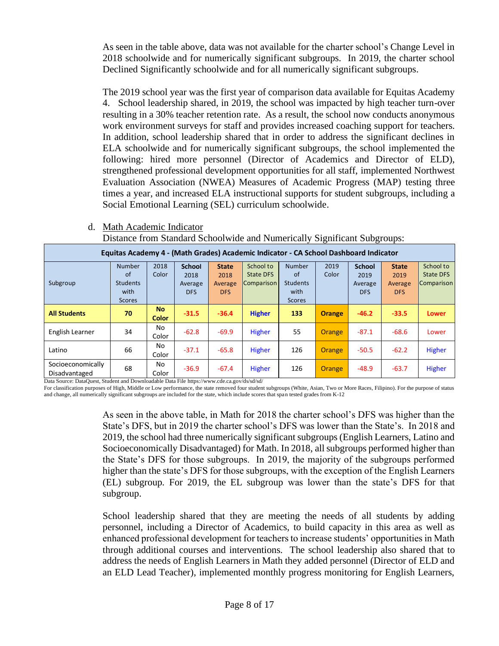As seen in the table above, data was not available for the charter school's Change Level in 2018 schoolwide and for numerically significant subgroups. In 2019, the charter school Declined Significantly schoolwide and for all numerically significant subgroups.

The 2019 school year was the first year of comparison data available for Equitas Academy 4. School leadership shared, in 2019, the school was impacted by high teacher turn-over resulting in a 30% teacher retention rate. As a result, the school now conducts anonymous work environment surveys for staff and provides increased coaching support for teachers. In addition, school leadership shared that in order to address the significant declines in ELA schoolwide and for numerically significant subgroups, the school implemented the following: hired more personnel (Director of Academics and Director of ELD), strengthened professional development opportunities for all staff, implemented Northwest Evaluation Association (NWEA) Measures of Academic Progress (MAP) testing three times a year, and increased ELA instructional supports for student subgroups, including a Social Emotional Learning (SEL) curriculum schoolwide.

| Equitas Academy 4 - (Math Grades) Academic Indicator - CA School Dashboard Indicator |                 |                           |               |              |                   |                 |               |               |              |                  |  |  |  |
|--------------------------------------------------------------------------------------|-----------------|---------------------------|---------------|--------------|-------------------|-----------------|---------------|---------------|--------------|------------------|--|--|--|
|                                                                                      | <b>Number</b>   | 2018                      | <b>School</b> | <b>State</b> | School to         | <b>Number</b>   | 2019          | <b>School</b> | <b>State</b> | School to        |  |  |  |
|                                                                                      | of              | Color                     | 2018          | 2018         | <b>State DFS</b>  | of              | Color         | 2019          | 2019         | <b>State DFS</b> |  |  |  |
| Subgroup                                                                             | <b>Students</b> |                           | Average       | Average      | <b>Comparison</b> | <b>Students</b> |               | Average       | Average      | Comparison       |  |  |  |
|                                                                                      | with            |                           | <b>DFS</b>    | <b>DFS</b>   |                   | with            |               | <b>DFS</b>    | <b>DFS</b>   |                  |  |  |  |
|                                                                                      | <b>Scores</b>   |                           |               |              |                   | <b>Scores</b>   |               |               |              |                  |  |  |  |
| <b>All Students</b>                                                                  | 70              | <b>No</b><br><b>Color</b> | $-31.5$       | $-36.4$      | <b>Higher</b>     | 133             | <b>Orange</b> | $-46.2$       | $-33.5$      | <b>Lower</b>     |  |  |  |
| English Learner                                                                      | 34              | No<br>Color               | $-62.8$       | $-69.9$      | <b>Higher</b>     | 55              | Orange        | $-87.1$       | $-68.6$      | Lower            |  |  |  |
| Latino                                                                               | 66              | No<br>Color               | $-37.1$       | $-65.8$      | <b>Higher</b>     | 126             | <b>Orange</b> | $-50.5$       | $-62.2$      | Higher           |  |  |  |
| Socioeconomically<br>Disadvantaged                                                   | 68              | No.<br>Color              | $-36.9$       | $-67.4$      | Higher            | 126             | Orange        | $-48.9$       | $-63.7$      | Higher           |  |  |  |

### d. Math Academic Indicator Distance from Standard Schoolwide and Numerically Significant Subgroups:

Data Source: DataQuest, Student and Downloadable Data File https://www.cde.ca.gov/ds/sd/sd/

For classification purposes of High, Middle or Low performance, the state removed four student subgroups (White, Asian, Two or More Races, Filipino). For the purpose of status and change, all numerically significant subgroups are included for the state, which include scores that span tested grades from K-12

> As seen in the above table, in Math for 2018 the charter school's DFS was higher than the State's DFS, but in 2019 the charter school's DFS was lower than the State's. In 2018 and 2019, the school had three numerically significant subgroups (English Learners, Latino and Socioeconomically Disadvantaged) for Math. In 2018, all subgroups performed higher than the State's DFS for those subgroups. In 2019, the majority of the subgroups performed higher than the state's DFS for those subgroups, with the exception of the English Learners (EL) subgroup. For 2019, the EL subgroup was lower than the state's DFS for that subgroup.

> School leadership shared that they are meeting the needs of all students by adding personnel, including a Director of Academics, to build capacity in this area as well as enhanced professional development for teachers to increase students' opportunities in Math through additional courses and interventions. The school leadership also shared that to address the needs of English Learners in Math they added personnel (Director of ELD and an ELD Lead Teacher), implemented monthly progress monitoring for English Learners,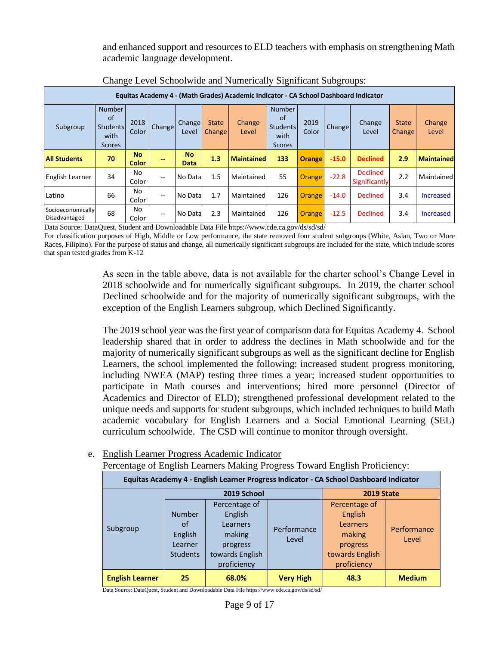and enhanced support and resources to ELD teachers with emphasis on strengthening Math academic language development.

| Equitas Academy 4 - (Math Grades) Academic Indicator - CA School Dashboard Indicator |                                                          |                    |        |                   |                               |                        |                                                          |               |         |                                  |                               |                   |
|--------------------------------------------------------------------------------------|----------------------------------------------------------|--------------------|--------|-------------------|-------------------------------|------------------------|----------------------------------------------------------|---------------|---------|----------------------------------|-------------------------------|-------------------|
| Subgroup                                                                             | <b>Number</b><br>of<br>Students<br>with<br><b>Scores</b> | 2018<br>Color      | Change | Change<br>Level   | <b>State</b><br><b>Change</b> | <b>Change</b><br>Level | <b>Number</b><br>of<br>Students<br>with<br><b>Scores</b> | 2019<br>Color | Change  | Change<br>Level                  | <b>State</b><br><b>Change</b> | Change<br>Level   |
| <b>All Students</b>                                                                  | 70                                                       | <b>No</b><br>Color | --     | <b>No</b><br>Data | 1.3                           | <b>Maintained</b>      | 133                                                      | <b>Orange</b> | $-15.0$ | <b>Declined</b>                  | 2.9                           | <b>Maintained</b> |
| English Learner                                                                      | 34                                                       | No<br>Color        | $- -$  | No Data           | 1.5                           | Maintained             | 55                                                       | <b>Orange</b> | $-22.8$ | <b>Declined</b><br>Significantly | 2.2                           | Maintained        |
| Latino                                                                               | 66                                                       | No<br>Color        | $-$    | No Data           | 1.7                           | Maintained             | 126                                                      | <b>Orange</b> | $-14.0$ | Declined                         | 3.4                           | Increased         |
| Socioeconomically<br>Disadvantaged                                                   | 68                                                       | No<br>Color        | $- -$  | No Data           | 2.3                           | Maintained             | 126                                                      | <b>Orange</b> | $-12.5$ | <b>Declined</b>                  | 3.4                           | Increased         |

Change Level Schoolwide and Numerically Significant Subgroups:

Data Source: DataQuest, Student and Downloadable Data File https://www.cde.ca.gov/ds/sd/sd/

For classification purposes of High, Middle or Low performance, the state removed four student subgroups (White, Asian, Two or More Races, Filipino). For the purpose of status and change, all numerically significant subgroups are included for the state, which include scores that span tested grades from K-12

> As seen in the table above, data is not available for the charter school's Change Level in 2018 schoolwide and for numerically significant subgroups. In 2019, the charter school Declined schoolwide and for the majority of numerically significant subgroups, with the exception of the English Learners subgroup, which Declined Significantly.

> The 2019 school year was the first year of comparison data for Equitas Academy 4. School leadership shared that in order to address the declines in Math schoolwide and for the majority of numerically significant subgroups as well as the significant decline for English Learners, the school implemented the following: increased student progress monitoring, including NWEA (MAP) testing three times a year; increased student opportunities to participate in Math courses and interventions; hired more personnel (Director of Academics and Director of ELD); strengthened professional development related to the unique needs and supports for student subgroups, which included techniques to build Math academic vocabulary for English Learners and a Social Emotional Learning (SEL) curriculum schoolwide. The CSD will continue to monitor through oversight.

# e. English Learner Progress Academic Indicator

Percentage of English Learners Making Progress Toward English Proficiency:

| Equitas Academy 4 - English Learner Progress Indicator - CA School Dashboard Indicator |                                                              |                                                                                              |                      |                                                                                                     |                      |  |  |  |  |  |  |
|----------------------------------------------------------------------------------------|--------------------------------------------------------------|----------------------------------------------------------------------------------------------|----------------------|-----------------------------------------------------------------------------------------------------|----------------------|--|--|--|--|--|--|
|                                                                                        |                                                              | 2019 School                                                                                  | <b>2019 State</b>    |                                                                                                     |                      |  |  |  |  |  |  |
| Subgroup                                                                               | <b>Number</b><br>of<br>English<br>Learner<br><b>Students</b> | Percentage of<br>English<br>Learners<br>making<br>progress<br>towards English<br>proficiency | Performance<br>Level | Percentage of<br>English<br><b>Learners</b><br>making<br>progress<br>towards English<br>proficiency | Performance<br>Level |  |  |  |  |  |  |
| <b>English Learner</b>                                                                 | 25                                                           | 68.0%                                                                                        | <b>Very High</b>     | 48.3                                                                                                | <b>Medium</b>        |  |  |  |  |  |  |

Data Source: DataQuest, Student and Downloadable Data File https://www.cde.ca.gov/ds/sd/sd/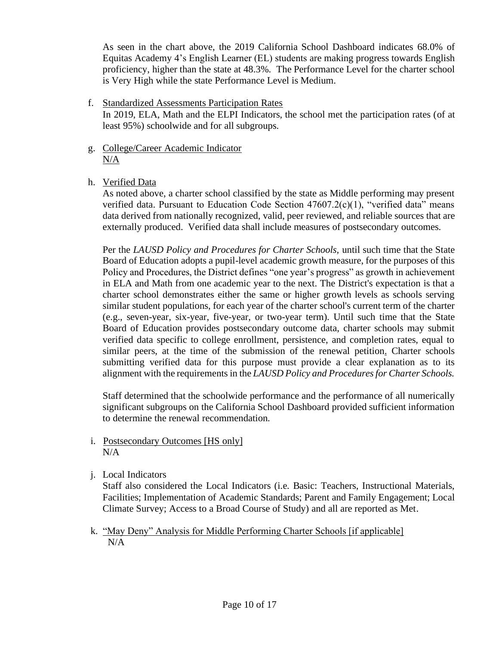As seen in the chart above, the 2019 California School Dashboard indicates 68.0% of Equitas Academy 4's English Learner (EL) students are making progress towards English proficiency, higher than the state at 48.3%. The Performance Level for the charter school is Very High while the state Performance Level is Medium.

# f. Standardized Assessments Participation Rates

In 2019, ELA, Math and the ELPI Indicators, the school met the participation rates (of at least 95%) schoolwide and for all subgroups.

- g. College/Career Academic Indicator  $N/A$
- h. Verified Data

As noted above, a charter school classified by the state as Middle performing may present verified data. Pursuant to Education Code Section  $47607.2(c)(1)$ , "verified data" means data derived from nationally recognized, valid, peer reviewed, and reliable sources that are externally produced. Verified data shall include measures of postsecondary outcomes.

Per the *LAUSD Policy and Procedures for Charter Schools,* until such time that the State Board of Education adopts a pupil-level academic growth measure, for the purposes of this Policy and Procedures, the District defines "one year's progress" as growth in achievement in ELA and Math from one academic year to the next. The District's expectation is that a charter school demonstrates either the same or higher growth levels as schools serving similar student populations, for each year of the charter school's current term of the charter (e.g., seven-year, six-year, five-year, or two-year term). Until such time that the State Board of Education provides postsecondary outcome data, charter schools may submit verified data specific to college enrollment, persistence, and completion rates, equal to similar peers, at the time of the submission of the renewal petition. Charter schools submitting verified data for this purpose must provide a clear explanation as to its alignment with the requirements in the *LAUSD Policy and Procedures for Charter Schools.*

Staff determined that the schoolwide performance and the performance of all numerically significant subgroups on the California School Dashboard provided sufficient information to determine the renewal recommendation.

- i. Postsecondary Outcomes [HS only] N/A
- j. Local Indicators

Staff also considered the Local Indicators (i.e. Basic: Teachers, Instructional Materials, Facilities; Implementation of Academic Standards; Parent and Family Engagement; Local Climate Survey; Access to a Broad Course of Study) and all are reported as Met.

 k. "May Deny" Analysis for Middle Performing Charter Schools [if applicable] N/A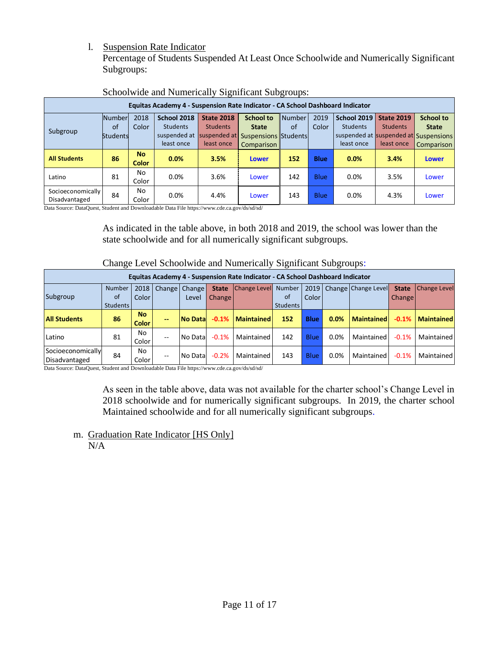# l. Suspension Rate Indicator

Percentage of Students Suspended At Least Once Schoolwide and Numerically Significant Subgroups:

| Equitas Academy 4 - Suspension Rate Indicator - CA School Dashboard Indicator |                 |                           |              |                   |                                   |        |             |                                       |                   |                  |  |
|-------------------------------------------------------------------------------|-----------------|---------------------------|--------------|-------------------|-----------------------------------|--------|-------------|---------------------------------------|-------------------|------------------|--|
|                                                                               | Number          | 2018                      | School 2018  | <b>State 2018</b> | <b>School to</b>                  | Number | 2019        | School 2019                           | <b>State 2019</b> | <b>School to</b> |  |
| Subgroup                                                                      | of              | Color                     | Students     | <b>Students</b>   | <b>State</b>                      | of     | Color       | <b>Students</b>                       | <b>Students</b>   | <b>State</b>     |  |
|                                                                               | <b>Students</b> |                           | suspended at |                   | suspended at Suspensions Students |        |             | suspended at suspended at Suspensions |                   |                  |  |
|                                                                               |                 |                           | least once   | least once        | Comparison                        |        |             | least once                            | least once        | Comparison       |  |
| <b>All Students</b>                                                           | 86              | <b>No</b><br><b>Color</b> | 0.0%         | 3.5%              | <b>Lower</b>                      | 152    | <b>Blue</b> | 0.0%                                  | 3.4%              | <b>Lower</b>     |  |
| Latino                                                                        | 81              | No<br>Color               | 0.0%         | 3.6%              | Lower                             | 142    | Blue        | 0.0%                                  | 3.5%              | Lower            |  |
| Socioeconomically<br>Disadvantaged                                            | 84              | No<br>Color               | 0.0%         | 4.4%              | Lower                             | 143    | Blue        | 0.0%                                  | 4.3%              | Lower            |  |

### Schoolwide and Numerically Significant Subgroups:

Data Source: DataQuest, Student and Downloadable Data File https://www.cde.ca.gov/ds/sd/sd/

As indicated in the table above, in both 2018 and 2019, the school was lower than the state schoolwide and for all numerically significant subgroups.

| Change Level Denoorwide and Funnerican y Digiliticant Duogroups.              |               |              |                   |                        |              |                     |                 |             |      |                            |              |                     |
|-------------------------------------------------------------------------------|---------------|--------------|-------------------|------------------------|--------------|---------------------|-----------------|-------------|------|----------------------------|--------------|---------------------|
| Equitas Academy 4 - Suspension Rate Indicator - CA School Dashboard Indicator |               |              |                   |                        |              |                     |                 |             |      |                            |              |                     |
|                                                                               | <b>Number</b> |              |                   | 2018   Change   Change | <b>State</b> | <b>Change Level</b> | Number          |             |      | 2019   Change Change Level | <b>State</b> | <b>Change Level</b> |
| Subgroup                                                                      | 0f            | <b>Color</b> |                   | Level                  | Change       |                     | 0f              | Color       |      |                            | Change       |                     |
|                                                                               | Students      |              |                   |                        |              |                     | <b>Students</b> |             |      |                            |              |                     |
| <b>All Students</b>                                                           | 86            | No.<br>Color | --                | No Data                | $-0.1%$      | <b>Maintained</b>   | 152             | <b>Blue</b> | 0.0% | <b>Maintained</b>          | $-0.1%$      | <b>Maintained</b>   |
| Latino                                                                        | 81            | No.<br>Color | $-$               | No Data                | $-0.1%$      | Maintained l        | 142             | <b>Blue</b> | 0.0% | Maintained                 | $-0.1%$      | Maintained          |
| Socioeconomically<br>Disadvantaged                                            | 84            | No<br>Color  | $\qquad \qquad -$ | No Data                | $-0.2%$      | Maintained l        | 143             | <b>Blue</b> | 0.0% | Maintained                 | $-0.1%$      | Maintained          |

Change Level Schoolwide and Numerically Significant Subgroups:

Data Source: DataQuest, Student and Downloadable Data File https://www.cde.ca.gov/ds/sd/sd/

As seen in the table above, data was not available for the charter school's Change Level in 2018 schoolwide and for numerically significant subgroups. In 2019, the charter school Maintained schoolwide and for all numerically significant subgroups.

m. Graduation Rate Indicator [HS Only] N/A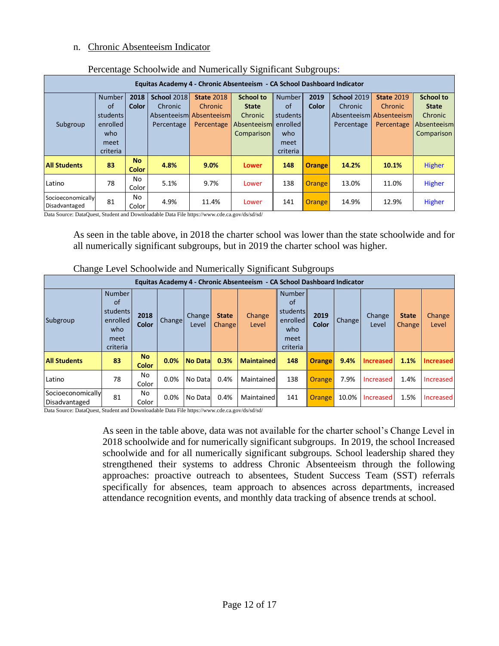### n. Chronic Absenteeism Indicator

| Equitas Academy 4 - Chronic Absenteeism - CA School Dashboard Indicator |                                                                 |                           |                                      |                                                                              |                                                                          |                                                                        |               |                                             |                                                                           |                                                                                 |  |  |
|-------------------------------------------------------------------------|-----------------------------------------------------------------|---------------------------|--------------------------------------|------------------------------------------------------------------------------|--------------------------------------------------------------------------|------------------------------------------------------------------------|---------------|---------------------------------------------|---------------------------------------------------------------------------|---------------------------------------------------------------------------------|--|--|
| Subgroup                                                                | Number<br>of<br>students<br>enrolled<br>who<br>meet<br>criteria | 2018<br>Color             | School 2018<br>Chronic<br>Percentage | <b>State 2018</b><br><b>Chronic</b><br>Absenteeism Absenteeism<br>Percentage | <b>School to</b><br><b>State</b><br>Chronic<br>Absenteeism<br>Comparison | <b>Number</b><br>of<br>students<br>enrolled<br>who<br>meet<br>criteria | 2019<br>Color | <b>School 2019</b><br>Chronic<br>Percentage | <b>State 2019</b><br>Chronic<br>l Absenteeisml Absenteeisml<br>Percentage | <b>School to</b><br><b>State</b><br>Chronic<br>Absenteeism<br><b>Comparison</b> |  |  |
| <b>All Students</b>                                                     | 83                                                              | <b>No</b><br><b>Color</b> | 4.8%                                 | 9.0%                                                                         | Lower                                                                    | 148                                                                    | <b>Orange</b> | 14.2%                                       | 10.1%                                                                     | Higher                                                                          |  |  |
| Latino                                                                  | 78                                                              | No<br>Color               | 5.1%                                 | 9.7%                                                                         | Lower                                                                    | 138                                                                    | <b>Orange</b> | 13.0%                                       | 11.0%                                                                     | Higher                                                                          |  |  |
| Socioeconomically<br>Disadvantaged                                      | 81                                                              | No<br>Color               | 4.9%                                 | 11.4%                                                                        | Lower                                                                    | 141                                                                    | <b>Orange</b> | 14.9%                                       | 12.9%                                                                     | Higher                                                                          |  |  |

### Percentage Schoolwide and Numerically Significant Subgroups:

Data Source: DataQuest, Student and Downloadable Data File https://www.cde.ca.gov/ds/sd/sd/

As seen in the table above, in 2018 the charter school was lower than the state schoolwide and for all numerically significant subgroups, but in 2019 the charter school was higher.

|                                    | Change Level Schoolwide and Numerically Significant Subgroups          |                           |               |                 |                               |                                                                         |                                                                        |               |               |                  |                        |                  |
|------------------------------------|------------------------------------------------------------------------|---------------------------|---------------|-----------------|-------------------------------|-------------------------------------------------------------------------|------------------------------------------------------------------------|---------------|---------------|------------------|------------------------|------------------|
|                                    |                                                                        |                           |               |                 |                               | Equitas Academy 4 - Chronic Absenteeism - CA School Dashboard Indicator |                                                                        |               |               |                  |                        |                  |
| Subgroup                           | <b>Number</b><br>of<br>students<br>enrolled<br>who<br>meet<br>criteria | 2018<br>Color             | <b>Change</b> | Change<br>Level | <b>State</b><br><b>Change</b> | Change<br>Level                                                         | <b>Number</b><br>of<br>students<br>enrolled<br>who<br>meet<br>criteria | 2019<br>Color | <b>Change</b> | Change<br>Level  | <b>State</b><br>Change | Change<br>Level  |
| <b>All Students</b>                | 83                                                                     | <b>No</b><br><b>Color</b> | 0.0%          | <b>No Datal</b> | 0.3%                          | <b>Maintained</b>                                                       | 148                                                                    | <b>Orange</b> | 9.4%          | <b>Increased</b> | 1.1%                   | <b>Increased</b> |
| Latino                             | 78                                                                     | No<br>Color               | 0.0%          | No Data         | 0.4%                          | Maintained                                                              | 138                                                                    | <b>Orange</b> | 7.9%          | <b>Increased</b> | 1.4%                   | Increased        |
| Socioeconomically<br>Disadvantaged | 81                                                                     | No.<br>Color              | 0.0%          | No Data         | 0.4%                          | Maintained                                                              | 141                                                                    | <b>Orange</b> | 10.0%         | Increased        | 1.5%                   | Increased        |

<sup>110</sup> 0.0% No Data 0.4% Maintained 141 **Orange** 10.0% Increased 1.5% Increased 1.5% Data Source: DataQuest, Student and Downloadable Data File https://www.cde.ca.gov/ds/sd/sd/

> As seen in the table above, data was not available for the charter school's Change Level in 2018 schoolwide and for numerically significant subgroups. In 2019, the school Increased schoolwide and for all numerically significant subgroups. School leadership shared they strengthened their systems to address Chronic Absenteeism through the following approaches: proactive outreach to absentees, Student Success Team (SST) referrals specifically for absences, team approach to absences across departments, increased attendance recognition events, and monthly data tracking of absence trends at school.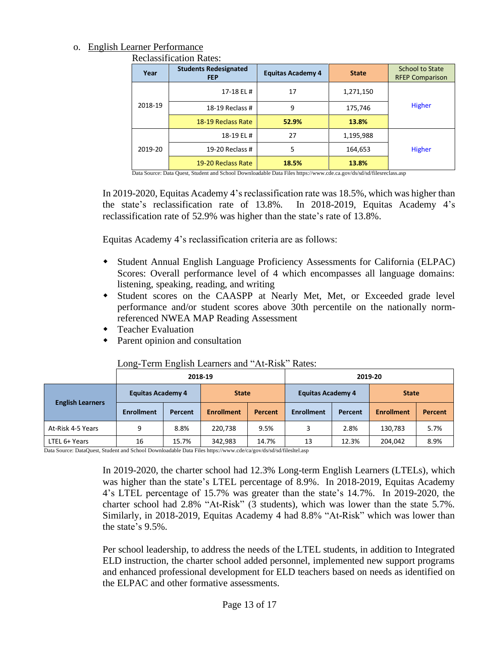# o. English Learner Performance

Reclassification Rates:

| Year    | <b>Students Redesignated</b><br><b>FEP</b> | <b>Equitas Academy 4</b> | <b>State</b> | <b>School to State</b><br><b>RFEP Comparison</b> |  |  |
|---------|--------------------------------------------|--------------------------|--------------|--------------------------------------------------|--|--|
|         | 17-18 EL #                                 | 17                       | 1,271,150    |                                                  |  |  |
| 2018-19 | 18-19 Reclass #                            | 9                        | 175,746      | Higher                                           |  |  |
|         | 18-19 Reclass Rate                         | 52.9%                    | 13.8%        |                                                  |  |  |
|         | 18-19 EL #                                 | 27                       | 1,195,988    |                                                  |  |  |
| 2019-20 | 19-20 Reclass #                            | 5                        | 164,653      | Higher                                           |  |  |
|         | 19-20 Reclass Rate                         | 18.5%                    | 13.8%        |                                                  |  |  |

Data Source: Data Quest, Student and School Downloadable Data Files https://www.cde.ca.gov/ds/sd/sd/filesreclass.asp

In 2019-2020, Equitas Academy 4's reclassification rate was 18.5%, which was higher than the state's reclassification rate of 13.8%. In 2018-2019, Equitas Academy 4's reclassification rate of 52.9% was higher than the state's rate of 13.8%.

Equitas Academy 4's reclassification criteria are as follows:

- Student Annual English Language Proficiency Assessments for California (ELPAC) Scores: Overall performance level of 4 which encompasses all language domains: listening, speaking, reading, and writing
- Student scores on the CAASPP at Nearly Met, Met, or Exceeded grade level performance and/or student scores above 30th percentile on the nationally normreferenced NWEA MAP Reading Assessment
- Teacher Evaluation
- Parent opinion and consultation

# Long-Term English Learners and "At-Risk" Rates:

|                         |                          |         | 2018-19           | 2019-20 |                          |         |                   |         |  |  |
|-------------------------|--------------------------|---------|-------------------|---------|--------------------------|---------|-------------------|---------|--|--|
| <b>English Learners</b> | <b>Equitas Academy 4</b> |         | <b>State</b>      |         | <b>Equitas Academy 4</b> |         | <b>State</b>      |         |  |  |
|                         | <b>Enrollment</b>        | Percent | <b>Enrollment</b> | Percent | <b>Enrollment</b>        | Percent | <b>Enrollment</b> | Percent |  |  |
| At-Risk 4-5 Years       | 9                        | 8.8%    | 220.738           | 9.5%    | 3                        | 2.8%    | 130,783           | 5.7%    |  |  |
| LTEL 6+ Years           | 16                       | 15.7%   | 342,983<br>14.7%  |         | 13                       | 12.3%   | 204,042           | 8.9%    |  |  |

Data Source: DataQuest, Student and School Downloadable Data Files https://www.cde/ca/gov/ds/sd/sd/filesltel.asp

In 2019-2020, the charter school had 12.3% Long-term English Learners (LTELs), which was higher than the state's LTEL percentage of 8.9%. In 2018-2019, Equitas Academy 4's LTEL percentage of 15.7% was greater than the state's 14.7%. In 2019-2020, the charter school had 2.8% "At-Risk" (3 students), which was lower than the state 5.7%. Similarly, in 2018-2019, Equitas Academy 4 had 8.8% "At-Risk" which was lower than the state's 9.5%.

Per school leadership, to address the needs of the LTEL students, in addition to Integrated ELD instruction, the charter school added personnel, implemented new support programs and enhanced professional development for ELD teachers based on needs as identified on the ELPAC and other formative assessments.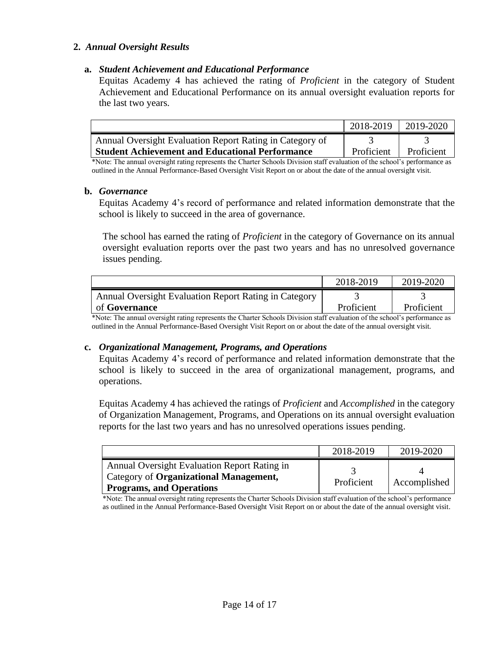# **2.** *Annual Oversight Results*

### **a.** *Student Achievement and Educational Performance*

Equitas Academy 4 has achieved the rating of *Proficient* in the category of Student Achievement and Educational Performance on its annual oversight evaluation reports for the last two years.

|                                                          | 2018-2019  | 2019-2020  |
|----------------------------------------------------------|------------|------------|
| Annual Oversight Evaluation Report Rating in Category of |            |            |
| <b>Student Achievement and Educational Performance</b>   | Proficient | Proficient |

\*Note: The annual oversight rating represents the Charter Schools Division staff evaluation of the school's performance as outlined in the Annual Performance-Based Oversight Visit Report on or about the date of the annual oversight visit.

### **b.** *Governance*

Equitas Academy 4's record of performance and related information demonstrate that the school is likely to succeed in the area of governance.

The school has earned the rating of *Proficient* in the category of Governance on its annual oversight evaluation reports over the past two years and has no unresolved governance issues pending.

|                                                       | 2018-2019  | 2019-2020  |
|-------------------------------------------------------|------------|------------|
| Annual Oversight Evaluation Report Rating in Category |            |            |
| of <b>Governance</b>                                  | Proficient | Proficient |

\*Note: The annual oversight rating represents the Charter Schools Division staff evaluation of the school's performance as outlined in the Annual Performance-Based Oversight Visit Report on or about the date of the annual oversight visit.

### **c.** *Organizational Management, Programs, and Operations*

Equitas Academy 4's record of performance and related information demonstrate that the school is likely to succeed in the area of organizational management, programs, and operations.

Equitas Academy 4 has achieved the ratings of *Proficient* and *Accomplished* in the category of Organization Management, Programs, and Operations on its annual oversight evaluation reports for the last two years and has no unresolved operations issues pending.

|                                                                                                                           | 2018-2019  | 2019-2020    |
|---------------------------------------------------------------------------------------------------------------------------|------------|--------------|
| Annual Oversight Evaluation Report Rating in<br>Category of Organizational Management,<br><b>Programs, and Operations</b> | Proficient | Accomplished |

\*Note: The annual oversight rating represents the Charter Schools Division staff evaluation of the school's performance as outlined in the Annual Performance-Based Oversight Visit Report on or about the date of the annual oversight visit.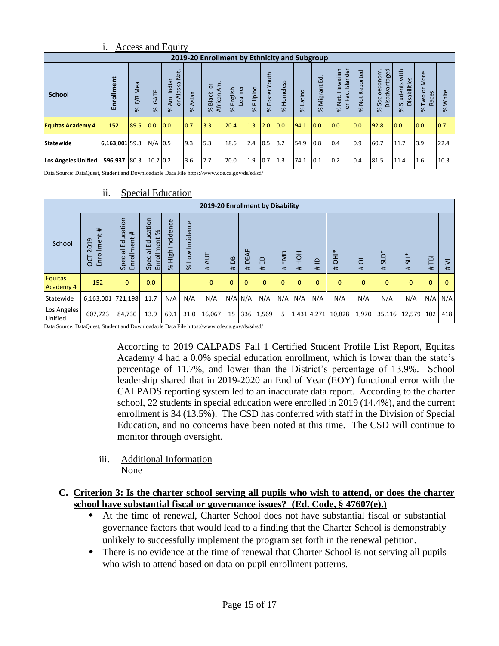|                          | 1.<br>Access and Equity                      |                                       |                  |                                                               |                    |                                                             |                                |                      |                            |                       |                    |                         |                                           |                                     |                                    |                                              |                                  |                   |
|--------------------------|----------------------------------------------|---------------------------------------|------------------|---------------------------------------------------------------|--------------------|-------------------------------------------------------------|--------------------------------|----------------------|----------------------------|-----------------------|--------------------|-------------------------|-------------------------------------------|-------------------------------------|------------------------------------|----------------------------------------------|----------------------------------|-------------------|
|                          | 2019-20 Enrollment by Ethnicity and Subgroup |                                       |                  |                                                               |                    |                                                             |                                |                      |                            |                       |                    |                         |                                           |                                     |                                    |                                              |                                  |                   |
| <b>School</b>            | Enrollment                                   | –<br>Meal<br>$\leq$<br>ш<br>$\approx$ | GATE<br>$\aleph$ | Nat.<br>Indian<br>Alaska<br>Am.<br>$\overline{5}$<br>$\aleph$ | Asian<br>$\approx$ | $\mathsf{A}$ m<br>ð<br><b>Black</b><br>African<br>$\approx$ | earner<br>English<br>$\approx$ | Filipino<br>$\aleph$ | outh<br>Foster<br>$\aleph$ | Homeless<br>$\approx$ | Latino<br>$\aleph$ | Migrant Ed.<br>$\aleph$ | Islander<br>Hawaiian<br>or Pac.<br>% Nat. | Reported<br><b>Not</b><br>$\approx$ | Disadvantaged<br>Socioeconom<br>×. | with<br>Disabilities<br>Students<br>$\aleph$ | More<br>ă<br>Races<br>Two<br>گلا | White<br>$\aleph$ |
| <b>Equitas Academy 4</b> | 152                                          | 89.5                                  | 0.0              | 0.0                                                           | 0.7                | 3.3                                                         | 20.4                           | 1.3                  | 2.0                        | 0.0                   | 94.1               | 0.0                     | 0.0                                       | 0.0                                 | 92.8                               | 0.0                                          | 0.0                              | 0.7               |
| <b>Statewide</b>         | 6,163,001 59.3                               |                                       | $N/A$ 0.5        |                                                               | 9.3                | 5.3                                                         | 18.6                           | 2.4                  | 0.5                        | 3.2                   | 54.9               | 0.8                     | 0.4                                       | 0.9                                 | 60.7                               | 11.7                                         | 3.9                              | 22.4              |
| Los Angeles Unified      | 596,937                                      | 80.3                                  | 10.7 0.2         |                                                               | 3.6                | 7.7                                                         | 20.0                           | 1.9                  | 0.7                        | 1.3                   | 74.1               | 0.1                     | 0.2                                       | 0.4                                 | 81.5                               | 11.4                                         | 1.6                              | 10.3              |

i. Access and Equity

Data Source: DataQuest, Student and Downloadable Data File https://www.cde.ca.gov/ds/sd/sd/

|                                    | 2019-20 Enrollment by Disability |                                      |                                                   |                               |                    |              |                   |                           |              |          |              |                   |                |              |                  |             |              |                     |
|------------------------------------|----------------------------------|--------------------------------------|---------------------------------------------------|-------------------------------|--------------------|--------------|-------------------|---------------------------|--------------|----------|--------------|-------------------|----------------|--------------|------------------|-------------|--------------|---------------------|
| School                             | Enrollment#<br>2019<br>5o        | Special Education<br>#<br>Enrollment | cation<br>$\%$<br>∍<br>Enrollment<br>효<br>Special | Incidence<br>High<br>$\aleph$ | Low Incidence<br>ৼ | 4UT<br>#     | $\mathbf{B}$<br># | $\frac{1}{4}$<br>ننا<br>Ħ | 읍<br>$\pm$   | EMD<br># | HOH<br>#     | $\supseteq$<br>#. | <b>HH</b><br># | ō<br>$\pm$   | <b>SLD*</b><br># | $5L^*$<br># | FØ<br>#      | $\overline{ }$<br># |
| <b>Equitas</b><br><b>Academy 4</b> | 152                              | $\mathbf{0}$                         | 0.0                                               | --                            | --                 | $\mathbf{0}$ | $\mathbf{0}$      | $\Omega$                  | $\mathbf{0}$ | $\Omega$ | $\mathbf{0}$ | $\Omega$          | $\mathbf{0}$   | $\mathbf{0}$ | $\mathbf{0}$     | $\Omega$    | $\mathbf{0}$ | $\mathbf{0}$        |
| Statewide                          | 6,163,001 721,198                |                                      | 11.7                                              | N/A                           | N/A                | N/A          |                   | $N/A$ $N/A$               | N/A          | N/A      | N/A          | N/A               | N/A            | N/A          | N/A              | N/A         | N/A          | N/A                 |
| Los Angeles<br>Unified             | 607,723                          | 84,730                               | 13.9                                              | 69.1                          | 31.0               | 16,067       | 15                | 336                       | 1,569        | 5        |              | 1,431 4,271       | 10,828         | 1,970        | 35,116           | 12,579      | 102          | 418                 |

### ii. Special Education

Data Source: DataQuest, Student and Downloadable Data File https://www.cde.ca.gov/ds/sd/sd/

According to 2019 CALPADS Fall 1 Certified Student Profile List Report, Equitas Academy 4 had a 0.0% special education enrollment, which is lower than the state's percentage of 11.7%, and lower than the District's percentage of 13.9%. School leadership shared that in 2019-2020 an End of Year (EOY) functional error with the CALPADS reporting system led to an inaccurate data report. According to the charter school, 22 students in special education were enrolled in 2019 (14.4%), and the current enrollment is 34 (13.5%). The CSD has conferred with staff in the Division of Special Education, and no concerns have been noted at this time. The CSD will continue to monitor through oversight.

iii. Additional Information None

# **C. Criterion 3: Is the charter school serving all pupils who wish to attend, or does the charter school have substantial fiscal or governance issues? (Ed. Code, § 47607(e).)**

- At the time of renewal, Charter School does not have substantial fiscal or substantial governance factors that would lead to a finding that the Charter School is demonstrably unlikely to successfully implement the program set forth in the renewal petition.
- There is no evidence at the time of renewal that Charter School is not serving all pupils who wish to attend based on data on pupil enrollment patterns.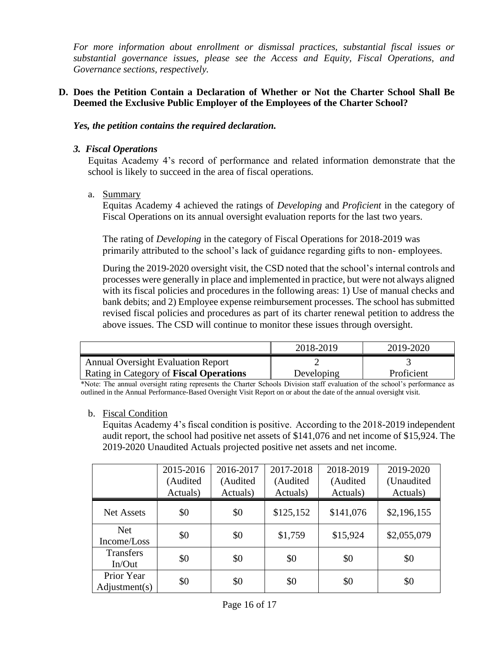*For more information about enrollment or dismissal practices, substantial fiscal issues or substantial governance issues, please see the Access and Equity, Fiscal Operations, and Governance sections, respectively.* 

### **D. Does the Petition Contain a Declaration of Whether or Not the Charter School Shall Be Deemed the Exclusive Public Employer of the Employees of the Charter School?**

*Yes, the petition contains the required declaration.*

### *3. Fiscal Operations*

Equitas Academy 4's record of performance and related information demonstrate that the school is likely to succeed in the area of fiscal operations.

a. Summary

Equitas Academy 4 achieved the ratings of *Developing* and *Proficient* in the category of Fiscal Operations on its annual oversight evaluation reports for the last two years.

The rating of *Developing* in the category of Fiscal Operations for 2018-2019 was primarily attributed to the school's lack of guidance regarding gifts to non- employees.

During the 2019-2020 oversight visit, the CSD noted that the school's internal controls and processes were generally in place and implemented in practice, but were not always aligned with its fiscal policies and procedures in the following areas: 1) Use of manual checks and bank debits; and 2) Employee expense reimbursement processes. The school has submitted revised fiscal policies and procedures as part of its charter renewal petition to address the above issues. The CSD will continue to monitor these issues through oversight.

|                                                | 2018-2019  | 2019-2020  |
|------------------------------------------------|------------|------------|
| <b>Annual Oversight Evaluation Report</b>      |            |            |
| <b>Rating in Category of Fiscal Operations</b> | Developing | Proficient |

\*Note: The annual oversight rating represents the Charter Schools Division staff evaluation of the school's performance as outlined in the Annual Performance-Based Oversight Visit Report on or about the date of the annual oversight visit.

### b. Fiscal Condition

Equitas Academy 4's fiscal condition is positive. According to the 2018-2019 independent audit report, the school had positive net assets of \$141,076 and net income of \$15,924. The 2019-2020 Unaudited Actuals projected positive net assets and net income.

|                             | 2015-2016<br>(Audited<br>Actuals) | 2016-2017<br>(Audited<br>Actuals) | 2017-2018<br>(Audited<br>Actuals) | 2018-2019<br>(Audited<br>Actuals) | 2019-2020<br>(Unaudited<br>Actuals) |
|-----------------------------|-----------------------------------|-----------------------------------|-----------------------------------|-----------------------------------|-------------------------------------|
| <b>Net Assets</b>           | \$0                               | \$0                               | \$125,152                         | \$141,076                         | \$2,196,155                         |
| <b>Net</b><br>Income/Loss   | \$0                               | \$0                               | \$1,759                           | \$15,924                          | \$2,055,079                         |
| <b>Transfers</b><br>In/Out  | \$0                               | \$0                               | \$0                               | \$0                               | \$0                                 |
| Prior Year<br>Adjustment(s) | \$0                               | \$0                               | \$0                               | \$0                               | \$0                                 |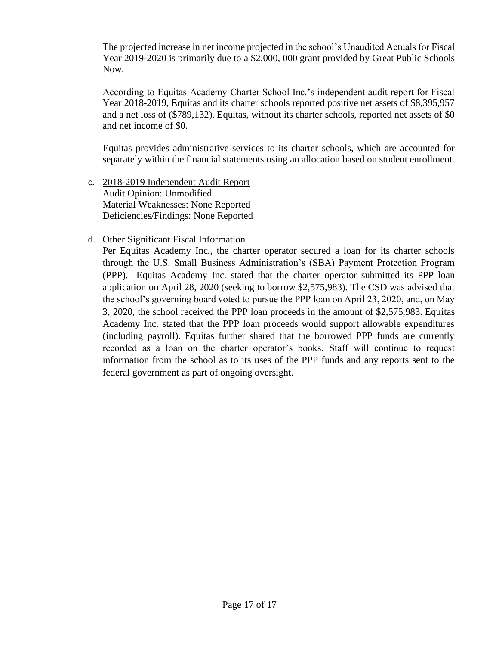The projected increase in net income projected in the school's Unaudited Actuals for Fiscal Year 2019-2020 is primarily due to a \$2,000, 000 grant provided by Great Public Schools Now.

According to Equitas Academy Charter School Inc.'s independent audit report for Fiscal Year 2018-2019, Equitas and its charter schools reported positive net assets of \$8,395,957 and a net loss of (\$789,132). Equitas, without its charter schools, reported net assets of \$0 and net income of \$0.

Equitas provides administrative services to its charter schools, which are accounted for separately within the financial statements using an allocation based on student enrollment.

c. 2018-2019 Independent Audit Report Audit Opinion: Unmodified Material Weaknesses: None Reported Deficiencies/Findings: None Reported

# d. Other Significant Fiscal Information

Per Equitas Academy Inc., the charter operator secured a loan for its charter schools through the U.S. Small Business Administration's (SBA) Payment Protection Program (PPP). Equitas Academy Inc. stated that the charter operator submitted its PPP loan application on April 28, 2020 (seeking to borrow \$2,575,983). The CSD was advised that the school's governing board voted to pursue the PPP loan on April 23, 2020, and, on May 3, 2020, the school received the PPP loan proceeds in the amount of \$2,575,983. Equitas Academy Inc. stated that the PPP loan proceeds would support allowable expenditures (including payroll). Equitas further shared that the borrowed PPP funds are currently recorded as a loan on the charter operator's books. Staff will continue to request information from the school as to its uses of the PPP funds and any reports sent to the federal government as part of ongoing oversight.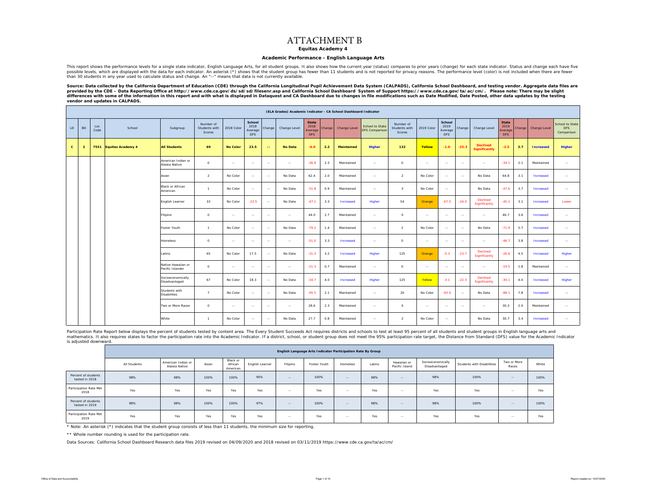### ATTACHMENT B

**Equitas Academy 4**

#### **Academic Performance - English Language Arts**

This report shows the performance levels for a single state indicator, English Language Arts, for all student groups. It also shows how the current year (status) compares to prior years (change) for each state indicator. S possible levels, which are displayed with the data for each indicator. An asterisk (\*) shows that the student group has fewer than 11 students and is not reported for privacy reasons. The performance level (color) is not i than 30 students in any year used to calculate status and change. An "--" means that data is not currently available.

Source: Data collected by the California Department of Education (CDE) through the California Longitudinal Pupil Achievement Data System (CALPADS), California School Dashboard, and testing vendor. Aggregate data files are<br> differences with some of the information in this report and with what is displayed in Dataquest and CA Dashboard due to changes in file modifications such as Date Modified, Date Posted, other data updates by the testing *vendor and updates in CALPADS.* 

|              |                |             |                          |                                        |                                      |                 |                                         |               | (ELA Grades) Academic Indicator - CA School Dashboard Indicator |                                               |         |                   |                                          |                                      |               |                                         |         |                                         |                                               |        |                  |                                             |
|--------------|----------------|-------------|--------------------------|----------------------------------------|--------------------------------------|-----------------|-----------------------------------------|---------------|-----------------------------------------------------------------|-----------------------------------------------|---------|-------------------|------------------------------------------|--------------------------------------|---------------|-----------------------------------------|---------|-----------------------------------------|-----------------------------------------------|--------|------------------|---------------------------------------------|
| LD           | <b>BD</b>      | Loc<br>Code | School                   | Subgroup                               | Number of<br>Students with<br>Scores | 2018 Color      | School<br>2018<br>Average<br><b>DFS</b> | Change        | Change Level                                                    | <b>State</b><br>2018<br>Average<br><b>DFS</b> | Change  | Change Level      | School to State<br><b>DFS Comparison</b> | Number of<br>Students with<br>Scores | 2019 Color    | School<br>2019<br>Average<br><b>DFS</b> | Change  | Change Level                            | <b>State</b><br>2019<br>Average<br><b>DFS</b> | Change | Change Level     | School to State<br><b>DFS</b><br>Comparison |
| $\mathbf{c}$ | $\overline{2}$ | 7551        | <b>Equitas Academy 4</b> | <b>All Students</b>                    | 69                                   | <b>No Color</b> | 23.5                                    | $\sim$        | <b>No Data</b>                                                  | $-6.0$                                        | 2.2     | <b>Maintained</b> | <b>Higher</b>                            | 132                                  | Yellow        | $-1.0$                                  | $-25.3$ | <b>Declined</b><br><b>Significantly</b> | $-2.5$                                        | 3.7    | <b>Increased</b> | <b>Higher</b>                               |
|              |                |             |                          | American Indian or<br>Alaska Native    | $\circ$                              | $\sim$          | $\sim$                                  | $\sim$ $\sim$ | $\sim$                                                          | $-36.8$                                       | 2.3     | Maintained        | $\sim$                                   | $\circ$                              | $\sim$        | $\sim$                                  | $\sim$  | $\sim$                                  | $-34.1$                                       | 2.1    | Maintained       | $\sim$                                      |
|              |                |             |                          | Asian                                  | $\overline{a}$                       | No Color        | $\sim$                                  | $\sim$        | No Data                                                         | 62.4                                          | 2.0     | Maintained        | $\sim$                                   | $\overline{a}$                       | No Color      | $\sim$                                  | $\sim$  | No Data                                 | 64.8                                          | 3.1    | Increased        | $\sim$                                      |
|              |                |             |                          | <b>Black or African</b><br>American    | Maintained                           | $\sim$          | $\mathbf{R}$                            | No Color      | $\sim$                                                          |                                               | No Data | $-47.6$           | 3.7                                      | Increased                            | $\sim$        |                                         |         |                                         |                                               |        |                  |                                             |
|              |                |             |                          | English Learner                        | 33                                   | No Color        | $-23.5$                                 | $\sim$        | No Data                                                         | $-47.1$                                       | 3.3     | <b>Increased</b>  | Higher                                   | 54                                   | Orange        | $-47.3$                                 | $-24.0$ | <b>Declined</b><br>Significantly        | $-45.1$                                       | 3.1    | Increased        | Lower                                       |
|              |                |             |                          | Filipino                               | $\circ$                              | $\sim$ $-$      | $\sim$                                  | $\sim$        | $\sim$                                                          | 44.0                                          | 2.7     | Maintained        | $\sim$                                   | $\Omega$                             | $\sim$        | $\sim$                                  | $\sim$  | $\sim$                                  | 46.7                                          | 3.6    | Increased        | $\sim$ $\sim$                               |
|              |                |             |                          | Foster Youth                           | $\mathbf{1}$                         | No Color        | $\sim$                                  | $\sim$        | No Data                                                         | $-79.2$                                       | 1.4     | Maintained        | $\sim$                                   | $\overline{2}$                       | No Color      | $\sim$                                  | $\sim$  | No Data                                 | $-71.9$                                       | 5.7    | Increased        | $\sim$                                      |
|              |                |             |                          | <b>Homeless</b>                        | $\circ$                              | $\sim$          | $\overline{\phantom{a}}$                | $\sim$        | $\sim$                                                          | $-51.0$                                       | 3.3     | <b>Increased</b>  | $\sim$                                   | $\circ$                              | $\sim$ $\sim$ | $\sim$                                  | $\sim$  | $\sim$                                  | $-46.7$                                       | 3.8    | Increased        | $\sim$                                      |
|              |                |             |                          | Latino                                 | 65                                   | No Color        | 17.5                                    | $\sim$        | No Data                                                         | $-31.3$                                       | 3.2     | <b>Increased</b>  | Higher                                   | 125                                  | Orange        | $-5.3$                                  | $-23.7$ | <b>Declined</b><br>Significantly        | $-26.6$                                       | 4.5    | Increased        | Higher                                      |
|              |                |             |                          | Native Hawaiian or<br>Pacific Islander | $\circ$                              | $\sim$          | $\sim$                                  | $\sim$ $-$    | $\sim$                                                          | $-21.3$                                       | 0.7     | Maintained        | $\sim$                                   | $\circ$                              | $\sim$ $\sim$ | $\sim$                                  | $\sim$  | $\sim$ $\sim$                           | $-19.5$                                       | 1.8    | Maintained       | $\sim$ $\sim$                               |
|              |                |             |                          | Socioeconomically<br>Disadvantaged     | 67                                   | No Color        | 18.3                                    | $\sim$ $\sim$ | No Data                                                         | $-34.7$                                       | 4.0     | Increased         | Higher                                   | 125                                  | Yellow        | $-3.1$                                  | $-22.3$ | <b>Declined</b><br>Significantly        | $-30.1$                                       | 4.4    | Increased        | Higher                                      |
|              |                |             |                          | Students with<br><b>Disabilities</b>   | $\overline{7}$                       | No Color        | $\sim$                                  | $\sim$        | No Data                                                         | $-95.5$                                       | 2.1     | Maintained        | $\sim$                                   | 20                                   | No Color      | $-93.4$                                 | $\sim$  | No Data                                 | $-88.1$                                       | 7.8    | Increased        | $\sim$                                      |
|              |                |             |                          | Two or More Races                      | $\circ$                              | $\sim$          | $\sim$                                  | $\sim$ $\sim$ | $\sim$                                                          | 28.6                                          | 2.3     | Maintained        | $\sim$                                   | $\circ$                              | $\sim$        | $\sim$                                  | $\sim$  | $\sim$                                  | 30.3                                          | 2.0    | Maintained       | $\sim$                                      |
|              |                |             |                          | White                                  | $\overline{1}$                       | No Color        | $\sim$                                  | $\sim$        | No Data                                                         | 27.7                                          | 0.8     | Maintained        | $\sim$                                   | 2                                    | No Color      | $\sim$                                  |         | No Data                                 | 30.7                                          | 3.4    | Increased        | $\sim$                                      |

Participation Rate Report below displays the percent of students tested by content area. The Every Student Succeeds Act requires districts and schools to test at least 95 percent of all students and student groups in Engli mathematics. It also requires states to factor the participation rate into the Academic Indicator. If a district, school, or student group does not meet the 95% participation rate target, the Distance from Standard (DFS) v is adjusted downward.

|                                       |              |                                     |       |                                 |                 |            | English Language Arts Indicator Participation Rate By Group |            |        |                               |                                    |                            |                      |       |
|---------------------------------------|--------------|-------------------------------------|-------|---------------------------------|-----------------|------------|-------------------------------------------------------------|------------|--------|-------------------------------|------------------------------------|----------------------------|----------------------|-------|
|                                       | All Students | American Indian or<br>Alaska Native | Asian | Black or<br>African<br>American | English Learner | Filipino   | Foster Youth                                                | Homeless   | Latino | Hawaiian or<br>Pacific Island | Socioeconomically<br>Disadvantaged | Students with Disabilities | Two or More<br>Races | White |
| Percent of students<br>tested in 2018 | 98%          | 98%                                 | 100%  | 100%                            | 95%             | $\sim$ $-$ | 100%                                                        | $-$        | 98%    | $\sim$                        | 98%                                | 100%                       | $-$                  | 100%  |
| Participation Rate Met<br>2018        | Yes          | Yes                                 | Yes   | Yes                             | Yes             | $\sim$ $-$ | Yes                                                         | $\sim$ $-$ | Yes    | $\sim$ $-$                    | Yes                                | Yes                        | $\sim$ $-$           | Yes   |
| Percent of students<br>tested in 2019 | 98%          | 98%                                 | 100%  | 100%                            | 97%             | $\sim$ $-$ | 100%                                                        | $-$        | 98%    | $\sim$                        | 98%                                | 100%                       | $-$                  | 100%  |
| Participation Rate Met<br>2019        | Yes          | Yes                                 | Yes   | Yes                             | Yes             | $\sim$ $-$ | Yes                                                         | --         | Yes    | $\sim$ $-$                    | Yes                                | Yes                        | $-$                  | Yes   |

\* Note: An asterisk (\*) indicates that the student group consists of less than 11 students, the minimum size for reporting.

\*\* Whole number rounding is used for the participation rate.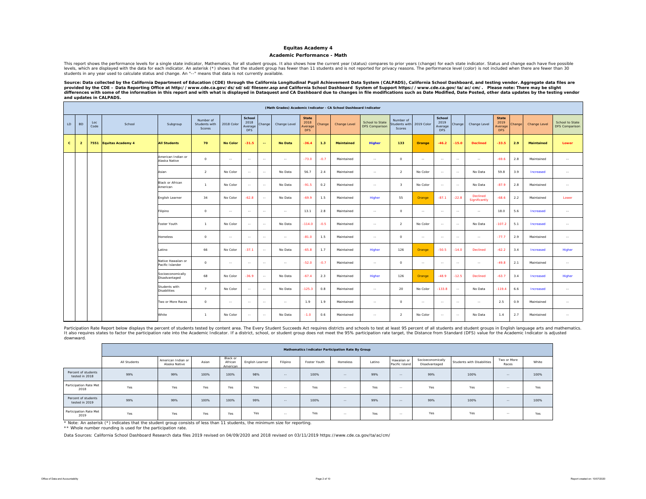#### **Academic Performance - Math**

This report shows the performance levels for a single state indicator, Mathematics, for all student groups. It also shows how the current year (status) compares to prior years (change) for each state indicator. Status and levels, which are displayed with the data for each indicator. An asterisk (\*) shows that the student group has fewer than 11 students and is not reported for privacy reasons. The performance level (color) is not included w students in any year used to calculate status and change. An "--" means that data is not currently available.

Source: Data collected by the California Department of Education (CDE) through the California Longitudinal Pupil Achievement Data System (CALPADS), California School Dashboard, and testing vendor. Aggregate data files are *provided by the CDE – Data Reporting Office at http://www.cde.ca.gov/ds/sd/sd/filesenr.asp and California School Dashboard System of Support https://www.cde.ca.gov/ta/ac/cm/. Please note: There may be slight*  differences with some of the information in this report and with what is displayed in Dataquest and CA Dashboard due to changes in file modifications such as Date Modified, Date Posted, other data updates by the testing ve *and updates in CALPADS.* 

|              |                                                                                        |             |                   |                                        |                                      |                 |                                         |                |                |                                               |        | (Math Grades) Academic Indicator - CA School Dashboard Indicator |                                          |                                     |               |                                         |         |                           |                                               |        |                   |                                          |
|--------------|----------------------------------------------------------------------------------------|-------------|-------------------|----------------------------------------|--------------------------------------|-----------------|-----------------------------------------|----------------|----------------|-----------------------------------------------|--------|------------------------------------------------------------------|------------------------------------------|-------------------------------------|---------------|-----------------------------------------|---------|---------------------------|-----------------------------------------------|--------|-------------------|------------------------------------------|
| LD           | <b>BD</b>                                                                              | Loc<br>Code | School            | Subgroup                               | Number of<br>Students with<br>Scores | 2018 Color      | School<br>2018<br>Average<br><b>DFS</b> | Change         | Change Level   | <b>State</b><br>2018<br>Average<br><b>DFS</b> | Change | Change Level                                                     | School to State<br><b>DFS Comparison</b> | Number of<br>tudents with<br>Scores | 2019 Color    | School<br>2019<br>Average<br><b>DFS</b> | Change  | Change Level              | <b>State</b><br>2019<br>Average<br><b>DFS</b> | Change | Change Level      | School to State<br><b>DFS Comparison</b> |
| $\mathbf{C}$ | $\overline{2}$                                                                         | 7551        | Equitas Academy 4 | <b>All Students</b>                    | 70                                   | <b>No Color</b> | $-31.5$                                 | $\overline{a}$ | <b>No Data</b> | $-36.4$                                       | 1.3    | <b>Maintained</b>                                                | <b>Higher</b>                            | 133                                 | Orange        | $-46.2$                                 | $-15.0$ | <b>Declined</b>           | $-33.5$                                       | 2.9    | <b>Maintained</b> | Lower                                    |
|              |                                                                                        |             |                   | American Indian or<br>Alaska Native    | $\circ$                              | $\sim$          | $\sim$                                  | $\sim$         | $\sim$ $-$     | $-73.0$                                       | $-0.7$ | Maintained                                                       | $\sim$                                   | $\circ$                             | $\sim$ $\sim$ | $\sim$                                  | $\sim$  | $\sim$                    | $-69.6$                                       | 2.8    | Maintained        | $\sim$                                   |
|              |                                                                                        |             |                   | Asian                                  | $\overline{a}$                       | No Color        | $\sim$                                  | $\sim$         | No Data        | 56.7                                          | 2.4    | Maintained                                                       | $\sim$                                   | 2                                   | No Color      | $\sim$                                  | $\sim$  | No Data                   | 59.8                                          | 3.9    | Increased         | $\sim$                                   |
|              |                                                                                        |             |                   | <b>Black or African</b><br>American    | $\overline{1}$                       | No Color        | $\sim$                                  | $\sim$         | No Data        | $-91.5$                                       | 0.2    | Maintained                                                       | $\sim$                                   | $\mathbf{R}$                        | No Color      | $\sim$                                  | $\sim$  | No Data                   | $-87.9$                                       | 2.8    | Maintained        | $\sim$                                   |
|              |                                                                                        |             |                   | English Learner                        | 34                                   | No Color        | $-62.8$                                 | $\sim$         | No Data        | $-69.9$                                       | 1.5    | Maintained                                                       | Higher                                   | 55                                  | Orange        | $-87.1$                                 | $-22.8$ | Declined<br>Significantly | $-68.6$                                       | 2.2    | Maintained        | Lower                                    |
|              |                                                                                        |             |                   | Filipino                               | $\circ$                              | $\sim$          | $\sim$                                  | $\sim$         | $\sim$         | 13.1                                          | 2.8    | Maintained                                                       | $\sim$                                   | $\circ$                             | $\sim$ $-$    | $\sim$                                  | $\sim$  | $\sim$                    | 18.0                                          | 5.6    | Increased         | $\sim$                                   |
|              |                                                                                        |             |                   | Foster Youth                           | $\overline{1}$                       | No Color        | $\sim$                                  | $\sim$         | No Data        | $-114.0$                                      | $-0.5$ | Maintained                                                       | $\sim$                                   | $\overline{2}$                      | No Color      | $\sim$ $-$                              | $\sim$  | No Data                   | $-107.2$                                      | 5.1    | Increased         | $\sim$                                   |
|              |                                                                                        |             |                   | <b>Homeless</b>                        | $\circ$                              | $\sim$          | $\sim$                                  | $\sim$         | $\sim$ $-$     | $-81.0$                                       | 1.5    | Maintained                                                       | $\sim$                                   | $\circ$                             | $\sim$ $\sim$ | $\sim$                                  | $\sim$  | $\sim$                    | $-77.7$                                       | 2.9    | Maintained        | $\sim$                                   |
|              |                                                                                        |             |                   | Latino                                 | 66                                   | No Color        | $-37.1$                                 | $\sim$         | No Data        | $-65.8$                                       | 1.7    | Maintained                                                       | Higher                                   | 126                                 | Orange        | $-50.5$                                 | $-14.0$ | Declined                  | $-62.2$                                       | 3.4    | Increased         | Higher                                   |
|              |                                                                                        |             |                   | Native Hawaiian or<br>Pacific Islander | $\circ$                              | $\sim$          | $\sim$                                  | $\sim$ $-$     | $\sim$         | $-52.0$                                       | $-0.7$ | Maintained                                                       | $\sim$                                   | $\circ$                             | $\sim$ $-$    | $\sim$                                  | $\sim$  | $\sim$ $-$                | $-49.8$                                       | 2.1    | Maintained        | $\sim$                                   |
|              |                                                                                        |             |                   | Socioeconomically<br>Disadvantaged     | 68                                   | No Color        | $-36.9$                                 | $\sim$         | No Data        | $-67.4$                                       | 2.3    | Maintained                                                       | Higher                                   | 126                                 | Orange        | $-48.9$                                 | $-12.5$ | Declined                  | $-63.7$                                       | 3.4    | Increased         | Higher                                   |
|              | Students with<br>$\overline{7}$<br>No Color<br>$\sim$<br>$\sim$<br><b>Disabilities</b> |             | No Data           | $-125.3$                               | 0.8                                  | Maintained      | $\sim$                                  | 20             | No Color       | $-133.8$                                      | $\sim$ | No Data                                                          | $-119.4$                                 | 6.6                                 | Increased     | $\sim$                                  |         |                           |                                               |        |                   |                                          |
|              |                                                                                        |             |                   | Two or More Races                      | $\circ$                              | $\sim$          | $\sim$                                  | $\sim$         | $\sim$ $-$     | 1.9                                           | 1.9    | Maintained                                                       | $\sim$                                   | $\circ$                             | $\sim$ $\sim$ | $\sim$                                  | $\sim$  | $\sim$                    | 2.5                                           | 0.9    | Maintained        | $\sim$                                   |
|              |                                                                                        |             |                   | White                                  | $\overline{1}$                       | No Color        | $\sim$                                  | $\sim$         | No Data        | $-1.0$                                        | 0.6    | Maintained                                                       | $\sim$                                   | 2                                   | No Color      | $\sim$                                  | $\sim$  | No Data                   | 1.4                                           | 2.7    | Maintained        | $\sim$                                   |

Participation Rate Report below displays the percent of students tested by content area. The Every Student Succeeds Act requires districts and schools to test at least 95 percent of all students and student groups in Engli The requires states to factor the participation rate into the Academic Indicator. If a district, school, or student group does not meet the 95% participation rate target, the Distance from Standard (DFS) value for the Acad downward.

|                                       |              |                                     |       |                                 |                 |               | Mathematics Indicator Participation Rate By Group |          |        |                               |                                    |                            |                      |       |
|---------------------------------------|--------------|-------------------------------------|-------|---------------------------------|-----------------|---------------|---------------------------------------------------|----------|--------|-------------------------------|------------------------------------|----------------------------|----------------------|-------|
|                                       | All Students | American Indian or<br>Alaska Native | Asian | Black or<br>African<br>American | English Learner | Filipino      | Foster Youth                                      | Homeless | Latino | Hawaiian or<br>Pacific Island | Socioeconomically<br>Disadvantaged | Students with Disabilities | Two or More<br>Races | White |
| Percent of students<br>tested in 2018 | 99%          | 99%                                 | 100%  | 100%                            | 98%             | $\sim$ $\sim$ | 100%                                              | $\sim$   | 99%    | $\sim$                        | 99%                                | 100%                       | $\sim$ $-$           | 100%  |
| Participation Rate Met<br>2018        | Yes          | Yes                                 | Yes   | Yes                             | Yes             | $\sim$ $\sim$ | Yes                                               | $\sim$   | Yes    | $\sim$                        | Yes                                | Yes                        | $\sim$ $-$           | Yes   |
| Percent of students<br>tested in 2019 | 99%          | 99%                                 | 100%  | 100%                            | 99%             | $\sim$ $\sim$ | 100%                                              | $- -$    | 99%    | $\sim$ $-$                    | 99%                                | 100%                       | $\sim$ $-$           | 100%  |
| Participation Rate Met<br>2019        | Yes          | Yes                                 | Yes   | Yes                             | Yes             | $\sim$ $\sim$ | Yes                                               | $-$      | Yes    | $\sim$                        | Yes                                | Yes                        | $\sim$ $-$           | Yes   |

\* Note: An asterisk (\*) indicates that the student group consists of less than 11 students, the minimum size for reporting.

\*\* Whole number rounding is used for the participation rate.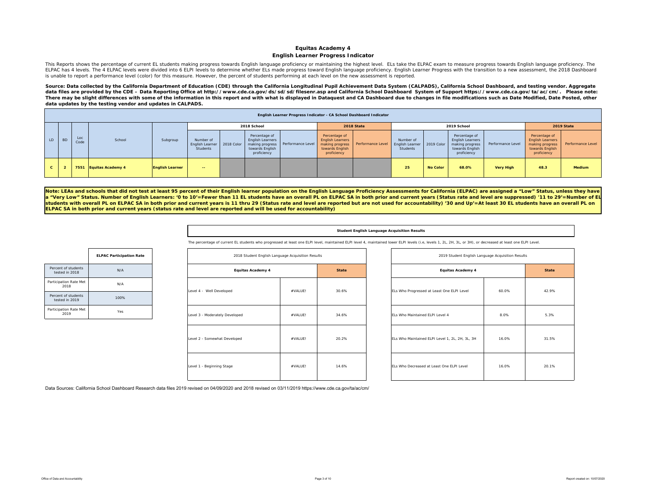#### **Equitas Academy 4 English Learner Progress Indicator**

This Reports shows the percentage of current EL students making progress towards English language proficiency or maintaining the highest level. ELs take the ELPAC exam to measure progress towards English language proficien ELPAC has 4 levels. The 4 ELPAC levels were divided into 6 ELPI levels to determine whether ELs made progress toward English language proficiency. English Learner Progress with the transition to a new assessment, the 2018 is unable to report a performance level (color) for this measure. However, the percent of students performing at each level on the new assessment is reported.

Source: Data collected by the California Department of Education (CDE) through the California Longitudinal Pupil Achievement Data System (CALPADS), California School Dashboard, and testing vendor. Aggregate data files are provided by the CDE – Data Reporting Office at http://www.cde.ca.gov/ds/sd/sd/filesenr.asp and California School Dashboard System of Support https://www.cde.ca.gov/ta/ac/cm/. Please note: There may be slight differences with some of the information in this report and with what is displayed in Dataquest and CA Dashboard due to changes in file modifications such as Date Modified, Date Posted, other *data updates by the testing vendor and updates in CALPADS.* 

|              |           |             |                        |                        |                                                     |                                                                            |                                     |                                                                                               | English Learner Progress Indicator - CA School Dashboard Indicator |                                                 |                 |                                                                                        |                   |                                                                                               |                   |
|--------------|-----------|-------------|------------------------|------------------------|-----------------------------------------------------|----------------------------------------------------------------------------|-------------------------------------|-----------------------------------------------------------------------------------------------|--------------------------------------------------------------------|-------------------------------------------------|-----------------|----------------------------------------------------------------------------------------|-------------------|-----------------------------------------------------------------------------------------------|-------------------|
|              |           |             |                        |                        |                                                     | 2018 School                                                                |                                     |                                                                                               | 2018 State                                                         |                                                 |                 | 2019 School                                                                            |                   |                                                                                               | 2019 State        |
| LD           | <b>BD</b> | Loc<br>Code | School                 | Subgroup               | Number of<br>English Learner 2018 Color<br>Students | Percentage of<br><b>English Learners</b><br>towards English<br>proficiency | making progress   Performance Level | Percentage of<br><b>English Learners</b><br>making progress<br>towards English<br>proficiency | Performance Level                                                  | Number of<br><b>English Learner</b><br>Students | 2019 Color      | Percentage of<br>English Learners<br>making progress<br>towards English<br>proficiency | Performance Level | Percentage of<br><b>English Learners</b><br>making progress<br>towards English<br>proficiency | Performance Level |
| $\mathbf{c}$ |           |             | 7551 Equitas Academy 4 | <b>English Learner</b> | $\sim$ $\sim$                                       |                                                                            |                                     |                                                                                               |                                                                    | 25                                              | <b>No Color</b> | 68.0%                                                                                  | <b>Very High</b>  | 48.3                                                                                          | Medium            |

Note: LEAs and schools that did not test at least 95 percent of their English learner population on the English Language Proficiency Assessments for California (ELPAC) are assigned a "Low" Status, unless they have **<sup>a</sup>"Very Low" Status. Number of English Learners: '0 to 10'=Fewer than 11 EL students have an overall PL on ELPAC SA in both prior and current years (Status rate and level are suppressed) '11 to 29'=Number of EL students with overall PL on ELPAC SA in both prior and current years is 11 thru 29 (Status rate and level are reported but are not used for accountability) '30 and Up'=At least 30 EL students have an overall PL on ELPAC SA in both prior and current years (status rate and level are reported and will be used for accountability)** 

#### **Student English Language Acquisition Results**

The percentage of current EL students who progressed at least one ELPI level, maintained ELPI level 4, maintained lower ELPI level (i.e, levels 1, 2L, 2H, 3L, or 3H), or decreased at least one ELPI Level.

| 2018 Student English Language Acquisition Results |         |              |
|---------------------------------------------------|---------|--------------|
| <b>Equitas Academy 4</b>                          |         | <b>State</b> |
| Level 4 - Well Developed                          | #VALUEL | 30.6%        |
| Level 3 - Moderately Developed                    | #VALUEL | 34.6%        |
| Level 2 - Somewhat Developed                      | #VALUEL | 20.2%        |
| Level 1 - Beginning Stage                         | #VALUEL | 14.6%        |

| 2018 Student English Language Acquisition Results |         |              | 2019 Student English Language Acquisition Results |       |              |
|---------------------------------------------------|---------|--------------|---------------------------------------------------|-------|--------------|
| Equitas Academy 4                                 |         | <b>State</b> | <b>Equitas Academy 4</b>                          |       | <b>State</b> |
|                                                   | #VALUE! | 30.6%        | ELs Who Progressed at Least One ELPI Level        | 60.0% | 42.9%        |
| oped                                              | #VALUE! | 34.6%        | ELs Who Maintained ELPI Level 4                   | 8.0%  | 5.3%         |
| oped                                              | #VALUE! | 20.2%        | ELs Who Maintained ELPI Level 1, 2L, 2H, 3L, 3H   | 16.0% | 31.5%        |
|                                                   | #VALUE! | 14.6%        | ELs Who Decreased at Least One ELPI Level         | 16.0% | 20.1%        |

|                                       | <b>ELPAC Participation Rate</b> |
|---------------------------------------|---------------------------------|
| Percent of students<br>tested in 2018 | N/A                             |
| Participation Rate Met<br>2018        | N/A                             |
| Percent of students<br>tested in 2019 | 100%                            |
| Participation Rate Met<br>2019        | Yes                             |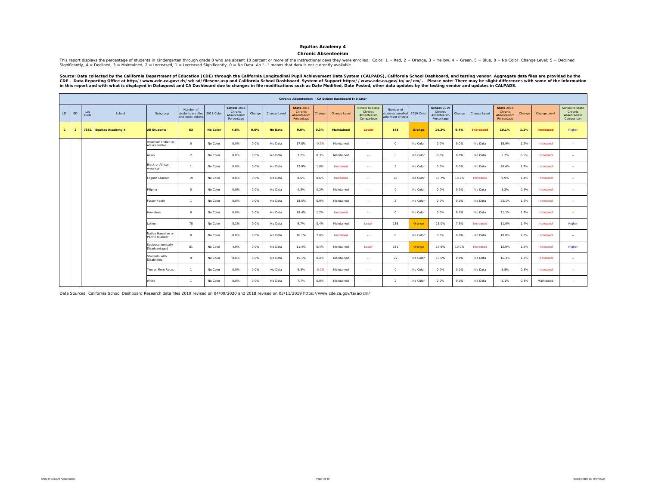#### **Chronic Absenteeism**

This report displays the percentage of students in Kindergarten through grade 8 who are absent 10 percent or more of the instructional days they were enrolled. Color: 1 = Red, 2 = Orange, 3 = Yellow, 4 = Green, 5 = Blue, 0

Source: Data collected by the California Department of Education (CDE) through the California Longitudinal Pupil Achievement Data System (CALPADS), California School Dashboard, and testing vendor. Aggregate data files are

|              |                |                                                                                                                         |                                                                                                                                            |                                        |                                                     |                 |                                                     |        |                |                                                           |         | Chronic Absenteeism - CA School Dashboard Indicator |                                                         |                                                                |          |                                                            |        |                  |                                                           |        |                  |                                                                |
|--------------|----------------|-------------------------------------------------------------------------------------------------------------------------|--------------------------------------------------------------------------------------------------------------------------------------------|----------------------------------------|-----------------------------------------------------|-----------------|-----------------------------------------------------|--------|----------------|-----------------------------------------------------------|---------|-----------------------------------------------------|---------------------------------------------------------|----------------------------------------------------------------|----------|------------------------------------------------------------|--------|------------------|-----------------------------------------------------------|--------|------------------|----------------------------------------------------------------|
| LD           | <b>BD</b>      | Loc<br>Code                                                                                                             | School                                                                                                                                     | Subgroup                               | Number of<br>students enrolled<br>who meet criteria | 2018 Color      | School 2018<br>Chronic<br>Absenteeism<br>Percentage | Change | Change Level   | <b>State 2018</b><br>Chronic<br>Absenteeism<br>Percentage | Change  | Change Level                                        | School to State<br>Chronic<br>Absenteeism<br>Comparison | Number of<br>students enrolled 2019 Color<br>who meet criteria |          | <b>School 2019</b><br>Chronic<br>Absenteeism<br>Percentage | Change | Change Level     | <b>State 2019</b><br>Chronic<br>Absenteeism<br>Percentage | Change | Change Level     | <b>School to State</b><br>Chronic<br>Absenteeism<br>Comparison |
| $\mathbf{c}$ | $\overline{2}$ |                                                                                                                         | 7551 Equitas Academy 4                                                                                                                     | <b>All Students</b>                    | 83                                                  | <b>No Color</b> | 4.8%                                                | 0.0%   | <b>No Data</b> | 9.0%                                                      | 0.3%    | <b>Maintained</b>                                   | Lower                                                   | 148                                                            | Orange   | 14.2%                                                      | 9.4%   | <b>Increased</b> | 10.1%                                                     | 1.1%   | <b>Increased</b> | Higher                                                         |
|              |                |                                                                                                                         |                                                                                                                                            | American Indian or<br>Alaska Native    | $\circ$                                             | No Color        | 0.0%                                                | 0.0%   | No Data        | 17.8%                                                     | $-0.3%$ | Maintained                                          | $\overline{\phantom{a}}$                                | $\circ$                                                        | No Color | 0.0%                                                       | 0.0%   | No Data          | 18.9%                                                     | 1.2%   | Increased        | $\sim$                                                         |
|              |                |                                                                                                                         |                                                                                                                                            | Asian                                  | $\overline{2}$                                      | No Color        | 0.0%                                                | 0.0%   | No Data        | 3.2%                                                      | 0.3%    | Maintained                                          | $\sim$                                                  | $\overline{\mathbf{3}}$                                        | No Color | 0.0%                                                       | 0.0%   | No Data          | 3.7%                                                      | 0.5%   | Increased        | $\sim$                                                         |
|              |                |                                                                                                                         | Black or African<br>17.9%<br>0.0%<br>0.0%<br>1.0%<br>5<br>No Color<br>No Data<br>$\mathbf{1}$<br>Increased<br>$\sim$<br>American<br>$\sim$ |                                        |                                                     |                 |                                                     |        |                |                                                           |         |                                                     |                                                         |                                                                |          |                                                            |        | No Data          | 20.6%                                                     | 2.7%   | Increased        | $\sim$                                                         |
|              |                | No Color<br>19<br>28<br>No Color<br>0.0%<br>0.0%<br>No Data<br>8.6%<br>0.6%<br>No Color<br>English Learner<br>Increased |                                                                                                                                            |                                        |                                                     |                 |                                                     |        |                |                                                           |         |                                                     |                                                         |                                                                |          | 10.7%                                                      | 10.7%  | Increased        | 9.9%                                                      | 1.4%   | Increased        | $\sim$                                                         |
|              |                |                                                                                                                         |                                                                                                                                            | ilipino                                | $\circ$                                             | No Color        | 0.0%                                                | 0.0%   | No Data        | 4.3%                                                      | 0.2%    | Maintained                                          | $\sim$                                                  | $\circ$                                                        | No Color | 0.0%                                                       | 0.0%   | No Data          | 5.2%                                                      | 0.9%   | Increased        | $\sim$ $\sim$                                                  |
|              |                |                                                                                                                         |                                                                                                                                            | Foster Youth                           | $\overline{1}$                                      | No Color        | 0.0%                                                | 0.0%   | No Data        | 18.5%                                                     | 0.0%    | Maintained                                          | $\sim$                                                  | $\overline{2}$                                                 | No Color | 0.0%                                                       | 0.0%   | No Data          | 20.1%                                                     | 1.6%   | Increased        | $\sim$                                                         |
|              |                |                                                                                                                         |                                                                                                                                            | <b>Homeless</b>                        | $\circ$                                             | No Color        | 0.0%                                                | 0.0%   | No Data        | 19.4%                                                     | 1.2%    | Increased                                           | $\overline{\phantom{a}}$                                | $\circ$                                                        | No Color | 0.0%                                                       | 0.0%   | No Data          | 21.1%                                                     | 1.7%   | Increased        | $\sim$                                                         |
|              |                |                                                                                                                         |                                                                                                                                            | Latino                                 | 78                                                  | No Color        | 5.1%                                                | 0.0%   | No Data        | 9.7%                                                      | 0.4%    | Maintained                                          | Lower                                                   | 138                                                            | Orange   | 13.0%                                                      | 7.9%   | Increased        | 11.0%                                                     | 1.4%   | Increased        | Higher                                                         |
|              |                |                                                                                                                         |                                                                                                                                            | Native Hawaiian or<br>Pacific Islander | $\circ$                                             | No Color        | 0.0%                                                | 0.0%   | No Data        | 16.1%                                                     | 2.0%    | Increased                                           | $\overline{\phantom{a}}$                                | $\circ$                                                        | No Color | 0.0%                                                       | 0.0%   | No Data          | 18.8%                                                     | 2.8%   | Increased        | $\sim$                                                         |
|              |                |                                                                                                                         |                                                                                                                                            | Socioeconomically<br>Disadvantaged     | 81                                                  | No Color        | 4.9%                                                | 0.0%   | No Data        | 11.4%                                                     | 0.4%    | Maintained                                          | Lower                                                   | 141                                                            | Orange   | 14.9%                                                      | 10.0%  | Increased        | 12.9%                                                     | 1.5%   | Increased        | Higher                                                         |
|              |                |                                                                                                                         |                                                                                                                                            | Students with<br>Disabilities          | Q                                                   | No Color        | 0.0%                                                | 0.0%   | No Data        | 15.1%                                                     | 0.4%    | Maintained                                          | $\sim$                                                  | 22                                                             | No Color | 13.6%                                                      | 0.0%   | No Data          | 16.3%                                                     | 1.2%   | Increased        | $\sim$                                                         |
|              |                |                                                                                                                         |                                                                                                                                            | Two or More Races                      | $\overline{1}$                                      | No Color        | 0.0%                                                | 0.0%   | No Data        | 9.3%                                                      | $-0.2%$ | Maintained                                          | $\sim$                                                  | $\circ$                                                        | No Color | 0.0%                                                       | 0.0%   | No Data          | 9.8%                                                      | 0.5%   | Increased        | $\sim$                                                         |
|              |                |                                                                                                                         |                                                                                                                                            | White                                  | $\mathbf{1}$                                        | No Color        | 0.0%                                                | 0.0%   | No Data        | 7.7%                                                      | 0.0%    | Maintained                                          | $\sim$                                                  | $\overline{2}$                                                 | No Color | 0.0%                                                       | 0.0%   | No Data          | 8.1%                                                      | 0.3%   | Maintained       | $\sim$                                                         |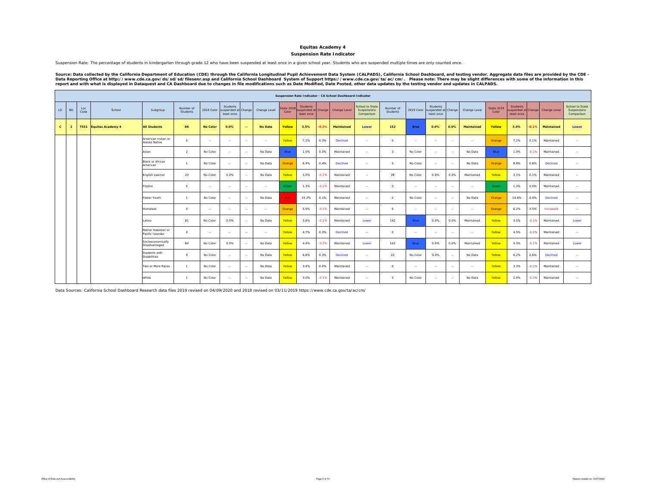### **Suspension Rate Indicator**

Suspension Rate: The percentage of students in kindergarten through grade 12 who have been suspended at least once in a given school year. Students who are suspended multiple times are only counted once.

Source: Data collected by the California Department of Education (CDE) through the California Longitudinal Pupil Achievement Data System (CALPADS), California School Dashboard, and testing vendor. Aggregate data files are

|              |                |             |                          |                                        |                       |                 |                                                          |               |                |                    |                                                      |         | Suspension Rate Indicator - CA School Dashboard Indicator |                                                     |                         |               |                                               |            |                   |                     |                                                      |         |              |                                              |
|--------------|----------------|-------------|--------------------------|----------------------------------------|-----------------------|-----------------|----------------------------------------------------------|---------------|----------------|--------------------|------------------------------------------------------|---------|-----------------------------------------------------------|-----------------------------------------------------|-------------------------|---------------|-----------------------------------------------|------------|-------------------|---------------------|------------------------------------------------------|---------|--------------|----------------------------------------------|
| LD           | <b>BD</b>      | Loc<br>Code | School                   | Subgroup                               | Number of<br>Students |                 | Students<br>2018 Color suspended at Change<br>least once |               | Change Level   | State 201<br>Color | <b>Students</b><br>suspended at Change<br>least once |         | Change Level                                              | <b>School to State</b><br>Suspensions<br>Comparison | Number of<br>Students   | 2019 Color    | Students<br>suspended at Change<br>least once |            | Change Level      | State 2019<br>Color | <b>Students</b><br>suspended at Change<br>least once |         | Change Level | School to State<br>Suspensions<br>Comparison |
| $\mathbf{c}$ | $\overline{2}$ | 7551        | <b>Equitas Academy 4</b> | <b>All Students</b>                    | 86                    | <b>No Color</b> | 0.0%                                                     | $\sim$        | <b>No Data</b> | Yellow             | 3.5%                                                 | $-0.1%$ | Maintained                                                | Lower                                               | 152                     | Blue          | 0.0%                                          | 0.0%       | <b>Maintained</b> | Yellow              | 3.4%                                                 | 0.1%    | Maintained   | Lower                                        |
|              |                |             |                          | American Indian or<br>Alaska Native    | $^{\circ}$            | $\sim$          | $\sim$                                                   | $\sim$        | $\sim$         | Yellow             | 7.2%                                                 | 0.3%    | <b>Declined</b>                                           | $\sim$ $\sim$                                       | $\circ$                 | $\sim$ $\sim$ | $\sim$                                        | $\sim$     | $\sim$            | Orange              | 7.2%                                                 | 0.1%    | Maintained   | $\sim$                                       |
|              |                |             |                          | Asian                                  | $\overline{2}$        | No Color        | $\sim$                                                   | $\sim$        | No Data        | Blue               | 1.0%                                                 | 0.0%    | Maintained                                                | $\sim$ $\sim$                                       | $\overline{\mathbf{3}}$ | No Color      | $\sim$                                        | $\sim$     | No Data           | Blue                | 1.0%                                                 | $-0.1%$ | Maintained   | $\sim$                                       |
|              |                |             |                          | <b>Black or African</b><br>American    | $\overline{1}$        | No Color        | $\sim$                                                   | $\sim$        | No Data        | Orange             | 9.4%                                                 | 0.4%    | <b>Declined</b>                                           | $\sim$ $\sim$                                       | -5                      | No Color      | $\sim$                                        | $\sim$     | No Data           | Orange              | 8.8%                                                 | 0.6%    | Declined     | $\sim$                                       |
|              |                |             |                          | English Learner                        | 20                    | No Color        | 0.0%                                                     | $\sim$        | No Data        | Yellow             | 3.0%                                                 | $-0.1%$ | Maintained                                                | $\sim$ $\sim$                                       | 28                      | No Color      | 0.0%                                          | 0.0%       | Maintained        | Yellow              | 3.1%                                                 | 0.1%    | Maintained   | $\sim$ $-$                                   |
|              |                |             |                          | Filipino                               | $^{\circ}$            | $\sim$          | $\sim$                                                   | $\sim$        | $\sim$ $\sim$  | Green              | 1.3%                                                 | $-0.1%$ | Maintained                                                | $\sim$                                              | $^{\circ}$              | $\sim$ $\sim$ | $\sim$                                        | $\sim$     | $\sim$            | Green               | 1.3%                                                 | 0.0%    | Maintained   | $\sim$                                       |
|              |                |             |                          | Foster Youth                           | $\overline{1}$        | No Color        | $\sim$                                                   | $\sim$        | No Data        | <b>Red</b>         | 15.2%                                                | 0.1%    | Maintained                                                | $\sim$ $\sim$                                       | $\overline{2}$          | No Color      | $\sim$                                        | $\sim$     | No Data           | Orange              | 14.6%                                                | 0.6%    | Declined     | $\sim$                                       |
|              |                |             |                          | <b>Homeless</b>                        | $^{\circ}$            | $\sim$          | $\sim$                                                   | $\sim$        | $\sim$ $\sim$  | Orange             | 5.6%                                                 | $-0.1%$ | Maintained                                                | $\sim$ $\sim$                                       | $\circ$                 | $\sim$ $\sim$ | $\sim$ $\sim$                                 | $\sim$     | $\sim$            | Orange              | 6.2%                                                 | 0.5%    | Increased    | $\sim$ $-$                                   |
|              |                |             |                          | Latino                                 | 81                    | No Color        | 0.0%                                                     | $\sim$        | No Data        | Yellow             | 3.6%                                                 | $-0.1%$ | Maintained                                                | Lower                                               | 142                     | Blue          | 0.0%                                          | 0.0%       | Maintained        | Yellow              | 3.5%                                                 | $-0.1%$ | Maintained   | Lower                                        |
|              |                |             |                          | Native Hawaiian or<br>Pacific Islander | $^{\circ}$            | $\sim$          | $\sim$                                                   | $\sim$        | $\sim$         | Yellow             | 4.7%                                                 | 0.3%    | <b>Declined</b>                                           | $\sim$                                              | $\circ$                 | $\sim$        | $\sim$                                        | $\sim$     | $\sim$            | Yellow              | 4.5%                                                 | $-0.2%$ | Maintained   | $\sim$                                       |
|              |                |             |                          | Socioeconomically<br>Disadvantaged     | 84                    | No Color        | 0.0%                                                     | $\sim$        | No Data        | Yellow             | 4.4%                                                 | $-0.2%$ | Maintained                                                | Lower                                               | 143                     | Blue          | 0.0%                                          | 0.0%       | Maintained        | Yellow              | 4.3%                                                 | $-0.1%$ | Maintained   | Lower                                        |
|              |                |             |                          | Students with<br><b>Disabilities</b>   | Q                     | No Color        | $\sim$                                                   | $\sim$        | No Data        | Yellow             | 6.8%                                                 | 0.3%    | <b>Declined</b>                                           | $\sim$ $\sim$                                       | 22                      | No Color      | 0.0%                                          | $\sim$     | No Data           | Yellow              | 6.2%                                                 | 0.6%    | Declined     | $\sim$                                       |
|              |                |             |                          | Two or More Races                      | $\mathbf{1}$          | No Color        | $\sim$                                                   | $\sim$ $\sim$ | No Data        | Yellow             | 3.4%                                                 | 0.0%    | Maintained                                                | $\sim$                                              | $\Omega$                | $\sim$ $\sim$ | $\sim$                                        | $\sim$ $-$ | $\sim$            | Yellow              | 3.3%                                                 | 0.1%    | Maintained   | $\sim$                                       |
|              |                |             |                          | White                                  | $\overline{1}$        | No Color        | $\sim$                                                   | $\sim$        | No Data        | Yellow             | 3.0%                                                 | $-0.1%$ | Maintained                                                | $\sim$                                              | $\overline{2}$          | No Color      | $\sim$                                        | $\sim$     | No Data           | Yellow              | 2.9%                                                 | $-0.2%$ | Maintained   | $\sim$                                       |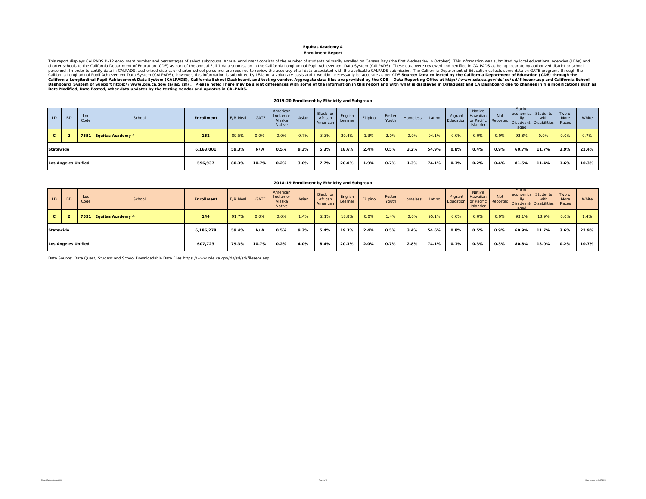### **Enrollment Report**

This report displays CALPADS K-12 enrollment number and percentages of select subgroups. Annual enrollment consists of the number of students primarily enrolled on Census Day (the first Wednesday in October). This informat California Longitudinal Pupil Achievement Data System (CALPADS), California School Dashboard, and testing vendor. Aggregate data files are provided by the CDE – Data Reporting Office at http://www.cde.ca.gov/ds/sd/filesenr

#### **2019-20 Enrollment by Ethnicity and Subgroup**

| LD               | B <sub>D</sub>             | Loc<br>Code | School                   | <b>Enrollment</b> | F/R Meal | <b>GATE</b> | American<br>Indian or<br>Alaska<br>Native | Asian | Black or<br>African<br>American | English<br>Learner | Filipino | Foster<br>Youth | <b>Homeless</b> | Latino | Migrant | Native<br>Hawaiian<br>Islander | Not  | Socio-<br>economica<br>Education or Pacific Reported Disadvant-Disabilities<br>aged | Students<br>with | Two or<br>More<br>Races | White |
|------------------|----------------------------|-------------|--------------------------|-------------------|----------|-------------|-------------------------------------------|-------|---------------------------------|--------------------|----------|-----------------|-----------------|--------|---------|--------------------------------|------|-------------------------------------------------------------------------------------|------------------|-------------------------|-------|
| $\mathbf{c}$     |                            | 7551        | <b>Equitas Academy 4</b> | 152               | 89.5%    | 0.0%        | 0.0%                                      | 0.7%  | 3.3%                            | 20.4%              | 1.3%     | 2.0%            | 0.0%            | 94.1%  | 0.0%    | 0.0%                           | 0.0% | 92.8%                                                                               | 0.0%             | 0.0%                    | 0.7%  |
| <b>Statewide</b> |                            |             |                          | 6,163,001         | 59.3%    | N/A         | 0.5%                                      | 9.3%  | 5.3%                            | 18.6%              | 2.4%     | 0.5%            | 3.2%            | 54.9%  | 0.8%    | 0.4%                           | 0.9% | 60.7%                                                                               | 11.7%            | 3.9%                    | 22.4% |
|                  | <b>Los Angeles Unified</b> |             |                          | 596,937           | 80.3%    | 10.7%       | 0.2%                                      | 3.6%  | 7.7%                            | 20.0%              | 1.9%     | 0.7%            | 1.3%            | 74.1%  | 0.1%    | 0.2%                           | 0.4% | 81.5%                                                                               | 11.4%            | 1.6%                    | 10.3% |

|    |                                        |             |                          |            |          |             |                                           |       | 2018-19 Enrollment by Ethnicity and Subgroup |                    |          |                 |          |        |         |                                                                 |            |                                     |                                                   |                         |       |
|----|----------------------------------------|-------------|--------------------------|------------|----------|-------------|-------------------------------------------|-------|----------------------------------------------|--------------------|----------|-----------------|----------|--------|---------|-----------------------------------------------------------------|------------|-------------------------------------|---------------------------------------------------|-------------------------|-------|
| LD | <b>BD</b>                              | Loc<br>Code | School                   | Enrollment | F/R Meal | <b>GATE</b> | American<br>Indian or<br>Alaska<br>Native | Asian | Black or<br>African<br>American              | English<br>Learner | Filipino | Foster<br>Youth | Homeless | Latino | Migrant | Native<br>Hawaiian<br>Education or Pacific Reported<br>Islander | <b>Not</b> | Socio-<br>economical<br>lly<br>aged | <b>Students</b><br>with<br>Disadvant-Disabilities | Two or<br>More<br>Races | White |
| C. |                                        | 7551        | <b>Equitas Academy 4</b> | 144        | 91.7%    | 0.0%        | 0.0%                                      | 1.4%  | 2.1%                                         | 18.8%              | 0.0%     | 1.4%            | 0.0%     | 95.1%  | 0.0%    | 0.0%                                                            | 0.0%       | 93.1%                               | 13.9%                                             | 0.0%                    | 1.4%  |
|    | Statewide<br>59.4%<br>N/A<br>6,186,278 |             |                          |            |          |             |                                           |       | 5.4%                                         | 19.3%              | 2.4%     | 0.5%            | 3.4%     | 54.6%  | 0.8%    | 0.5%                                                            | 0.9%       | 60.9%                               | 11.7%                                             | 3.6%                    | 22.9% |
|    | <b>Los Angeles Unified</b>             |             |                          | 10.7%      | 0.2%     | 4.0%        | 8.4%                                      | 20.3% | 2.0%                                         | 0.7%               | 2.8%     | 74.1%           | 0.1%     | 0.3%   | 0.3%    | 80.8%                                                           | 13.0%      | 0.2%                                | 10.7%                                             |                         |       |

Data Source: Data Quest, Student and School Downloadable Data Files https://www.cde.ca.gov/ds/sd/sd/filesenr.asp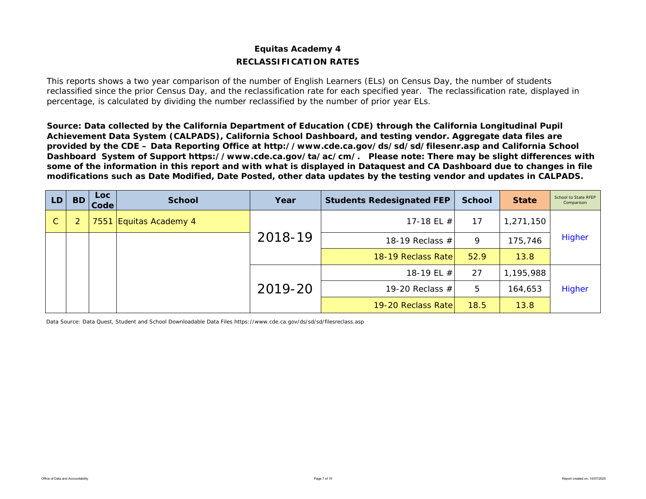# **Equitas Academy 4 RECLASSIFICATION RATES**

This reports shows a two year comparison of the number of English Learners (ELs) on Census Day, the number of students reclassified since the prior Census Day, and the reclassification rate for each specified year. The reclassification rate, displayed in percentage, is calculated by dividing the number reclassified by the number of prior year ELs.

*Source: Data collected by the California Department of Education (CDE) through the California Longitudinal Pupil Achievement Data System (CALPADS), California School Dashboard, and testing vendor. Aggregate data files are provided by the CDE – Data Reporting Office at http://www.cde.ca.gov/ds/sd/sd/filesenr.asp and California School Dashboard System of Support https://www.cde.ca.gov/ta/ac/cm/. Please note: There may be slight differences with some of the information in this report and with what is displayed in Dataquest and CA Dashboard due to changes in file modifications such as Date Modified, Date Posted, other data updates by the testing vendor and updates in CALPADS.* 

| LD.          | <b>BD</b>      | <b>Loc</b><br>Code | <b>School</b>          | Year    | <b>Students Redesignated FEP</b> | <b>School</b> | <b>State</b> | School to State RFEP<br>Comparison |
|--------------|----------------|--------------------|------------------------|---------|----------------------------------|---------------|--------------|------------------------------------|
| $\mathsf{C}$ | $\overline{2}$ |                    | 7551 Equitas Academy 4 |         | 17-18 EL $\#$                    | 17            | 1,271,150    |                                    |
|              |                |                    |                        | 2018-19 | 18-19 Reclass $#$                | 9             | 175,746      | Higher                             |
|              |                |                    |                        |         | 18-19 Reclass Rate               | 52.9          | 13.8         |                                    |
|              |                |                    |                        |         | 18-19 EL #                       | 27            | 1,195,988    |                                    |
|              |                |                    |                        | 2019-20 | 19-20 Reclass $#$                | 5             | 164,653      | Higher                             |
|              |                |                    |                        |         | 19-20 Reclass Rate               | 18.5          | 13.8         |                                    |

Data Source: Data Quest, Student and School Downloadable Data Files https://www.cde.ca.gov/ds/sd/sd/filesreclass.asp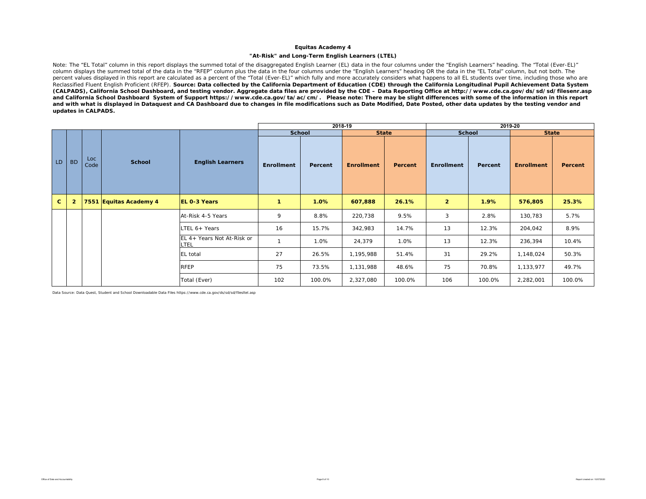#### **"At-Risk" and Long-Term English Learners (LTEL)**

Note: The "EL Total" column in this report displays the summed total of the disaggregated English Learner (EL) data in the four columns under the "English Learners" heading. The "Total (Ever-EL)" column displays the summed total of the data in the "RFEP" column plus the data in the four columns under the "English Learners" heading OR the data in the "EL Total" column, but not both. The percent values displayed in this report are calculated as a percent of the "Total (Ever-EL)" which fully and more accurately considers what happens to all EL students over time, including those who are Reclassified Fluent English Proficient (RFEP). *Source: Data collected by the California Department of Education (CDE) through the California Longitudinal Pupil Achievement Data System (CALPADS), California School Dashboard, and testing vendor. Aggregate data files are provided by the CDE – Data Reporting Office at http://www.cde.ca.gov/ds/sd/sd/filesenr.asp and California School Dashboard System of Support https://www.cde.ca.gov/ta/ac/cm/. Please note: There may be slight differences with some of the information in this report and with what is displayed in Dataquest and CA Dashboard due to changes in file modifications such as Date Modified, Date Posted, other data updates by the testing vendor and updates in CALPADS.* 

|              |                |             |                        |                                           |                   | 2018-19 |                   |         |                |         | 2019-20           |         |
|--------------|----------------|-------------|------------------------|-------------------------------------------|-------------------|---------|-------------------|---------|----------------|---------|-------------------|---------|
|              |                |             |                        |                                           | <b>School</b>     |         | <b>State</b>      |         | <b>School</b>  |         | <b>State</b>      |         |
| LD           | <b>BD</b>      | Loc<br>Code | <b>School</b>          | <b>English Learners</b>                   | <b>Enrollment</b> | Percent | <b>Enrollment</b> | Percent | Enrollment     | Percent | <b>Enrollment</b> | Percent |
| $\mathbf{C}$ | $\overline{2}$ |             | 7551 Equitas Academy 4 | <b>EL 0-3 Years</b>                       | 1                 | 1.0%    | 607,888           | 26.1%   | $\overline{2}$ | 1.9%    | 576,805           | 25.3%   |
|              |                |             |                        | At-Risk 4-5 Years                         | 9                 | 8.8%    | 220,738           | 9.5%    | 3              | 2.8%    | 130,783           | 5.7%    |
|              |                |             |                        | LTEL 6+ Years                             | 16                | 15.7%   | 342,983           | 14.7%   | 13             | 12.3%   | 204,042           | 8.9%    |
|              |                |             |                        | EL 4+ Years Not At-Risk or<br><b>LTEL</b> |                   | 1.0%    | 24,379            | 1.0%    | 13             | 12.3%   | 236,394           | 10.4%   |
|              |                |             |                        | EL total                                  | 27                | 26.5%   | 1,195,988         | 51.4%   | 31             | 29.2%   | 1,148,024         | 50.3%   |
|              |                |             |                        | <b>RFEP</b>                               | 75                | 73.5%   | 1,131,988         | 48.6%   | 75             | 70.8%   | 1,133,977         | 49.7%   |
|              |                |             |                        | Total (Ever)                              | 102               | 100.0%  | 2,327,080         | 100.0%  | 106            | 100.0%  | 2,282,001         | 100.0%  |

Data Source: Data Quest, Student and School Downloadable Data Files https://www.cde.ca.gov/ds/sd/sd/filesltel.asp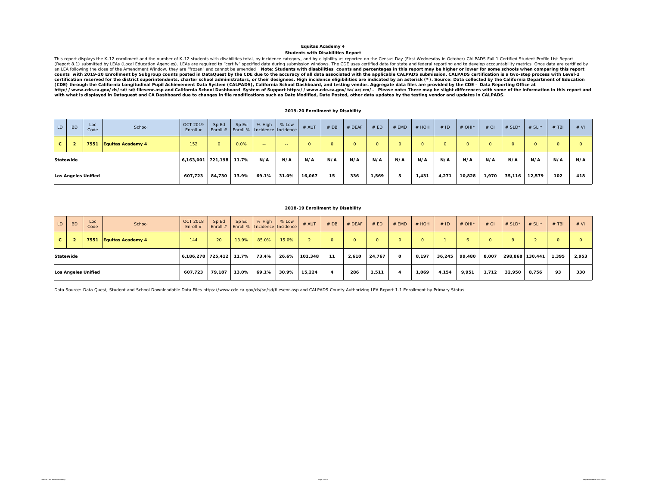**Students with Disabilities Report**

This report displays the K-12 enrollment and the number of K-12 students with disabilities total, by incidence category, and by eligibility as reported on the Census Day (First Wednesday in October) CALPADS Fall 1 Certifie certification reserved for the district superintendents, charter school administrators, or their designees. High incidence eligibilities are indicated by an asterisk (\*). Source: Data collected by the California Department *(CDE) through the California Longitudinal Pupil Achievement Data System (CALPADS), California School Dashboard, and testing vendor. Aggregate data files are provided by the CDE – Data Reporting Office at*  http://www.cde.ca.gov/ds/sd/sil/seenr.asp and California School Dashboard System of Support https://www.cde.ca.gov/ta/ac/cm/. Please note: There may be slight differences with some of the information in this report and<br>

### **2019-20 Enrollment by Disability**

| LD           | <b>BD</b>        | Loc<br>Code                | School                   | <b>OCT 2019</b><br>Enroll $#$ | Sp Ed<br>$ $ Enroll $#$ | Sp Ed | % High        | % Low<br>Enroll %   Incidence   Incidence | $#$ AUT | # DB     | # DEAF | # ED     | # EMD   | # HOH    | #ID      | $#$ OHI <sup>*</sup> | $#$ OI | # $SLD^*$ | # SLI*   | $#$ TBI     | # VI     |
|--------------|------------------|----------------------------|--------------------------|-------------------------------|-------------------------|-------|---------------|-------------------------------------------|---------|----------|--------|----------|---------|----------|----------|----------------------|--------|-----------|----------|-------------|----------|
| $\mathbf{c}$ |                  | 7551                       | <b>Equitas Academy 4</b> | 152                           | $\Omega$                | 0.0%  | $\sim$ $\sim$ | $\sim$ $\sim$                             |         | $\Omega$ |        | $\Omega$ | $\circ$ | $\Omega$ | $\Omega$ |                      |        |           | $\Omega$ | $\sim$<br>U | $\Omega$ |
|              | <b>Statewide</b> |                            |                          | 6,163,001 721,198 11.7%       |                         |       | N/A           | N/A                                       | N/A     | N/A      | N/A    | N/A      | N/A     | N/A      | N/A      | N/A                  | N/A    | N/A       | N/A      | N/A         | N/A      |
|              |                  | <b>Los Angeles Unified</b> |                          | 607,723                       | 84,730                  | 13.9% | 69.1%         | 31.0%                                     | 16,067  | 15       | 336    | 1,569    | 5       | 1,431    | 4,271    | 10,828               | 1,970  | 35,116    | 12,579   | 102         | 418      |

### **2018-19 Enrollment by Disability**

| LD               | <b>BD</b> | Loc<br>Code         | School                   | <b>OCT 2018</b><br>Enroll $#$ | Sp Ed           | Sp Ed | $%$ High<br>Enroll #   Enroll %   Incidence   Incidence | % Low | # AUT   | #DB | # DEAF | # ED   | # EMD        | $#$ HOH  | #ID    | # OHI* | $#$ OI | # $SLD^*$       | # SLI $*$ | $#$ TBI | # VI  |
|------------------|-----------|---------------------|--------------------------|-------------------------------|-----------------|-------|---------------------------------------------------------|-------|---------|-----|--------|--------|--------------|----------|--------|--------|--------|-----------------|-----------|---------|-------|
| $\mathbf{C}$     |           | 7551                | <b>Equitas Academy 4</b> | 144                           | 20 <sup>1</sup> | 13.9% | 85.0%                                                   | 15.0% |         |     | O.     |        | $\Omega$     | $\Omega$ |        |        |        |                 |           |         |       |
| <b>Statewide</b> |           |                     |                          | 6,186,278 725,412             |                 | 11.7% | 73.4%                                                   | 26.6% | 101,348 | -11 | 2,610  | 24,767 | $\mathbf{o}$ | 8,197    | 36,245 | 99,480 | 8,007  | 298,868 130,441 |           | 1,395   | 2,953 |
|                  |           | Los Angeles Unified |                          | 607.723                       | 79.187          | 13.0% | 69.1%                                                   | 30.9% | 15.224  |     | 286    | 1,511  | Δ            | 1,069    | 4,154  | 9,951  | 1,712  | 32,950          | 8.756     | 93      | 330   |

Data Source: Data Quest, Student and School Downloadable Data Files https://www.cde.ca.gov/ds/sd/filesenr.asp and CALPADS County Authorizing LEA Report 1.1 Enrollment by Primary Status.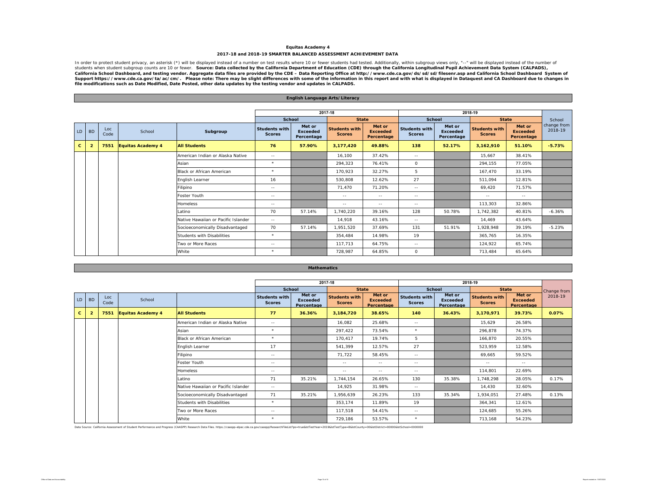#### **Equitas Academy 4 2017-18 and 2018-19 SMARTER BALANCED ASSESSMENT ACHIEVEMENT DATA**

In order to protect student privacy, an asterisk (\*) will be displayed instead of a number on test results where 10 or fewer. Source: Data collected by the California Department of Education (CDE) through the California Lo

|              |                                              |             |                                     |                                  |                                       | English Language Arts/Literacy          |                                       |                                         |                                       |                                         |                                |                                         |                        |
|--------------|----------------------------------------------|-------------|-------------------------------------|----------------------------------|---------------------------------------|-----------------------------------------|---------------------------------------|-----------------------------------------|---------------------------------------|-----------------------------------------|--------------------------------|-----------------------------------------|------------------------|
|              |                                              |             |                                     |                                  |                                       |                                         |                                       |                                         |                                       |                                         |                                |                                         |                        |
|              |                                              |             |                                     |                                  |                                       |                                         | 2017-18                               |                                         |                                       |                                         | 2018-19                        |                                         |                        |
|              |                                              |             |                                     |                                  | <b>School</b>                         |                                         | <b>State</b>                          |                                         | <b>School</b>                         |                                         | <b>State</b>                   |                                         | School                 |
| LD           | <b>BD</b>                                    | Loc<br>Code | School                              | Subgroup                         | <b>Students with</b><br><b>Scores</b> | Met or<br><b>Exceeded</b><br>Percentage | <b>Students with</b><br><b>Scores</b> | Met or<br><b>Exceeded</b><br>Percentage | <b>Students with</b><br><b>Scores</b> | Met or<br><b>Exceeded</b><br>Percentage | Students with<br><b>Scores</b> | Met or<br><b>Exceeded</b><br>Percentage | change from<br>2018-19 |
| $\mathbf{c}$ | $\overline{2}$                               | 7551        | <b>Equitas Academy 4</b>            | <b>All Students</b>              | 76                                    | 57.90%                                  | 3,177,420                             | 49.88%                                  | 138                                   | 52.17%                                  | 3,162,910                      | 51.10%                                  | $-5.73%$               |
|              |                                              |             |                                     | American Indian or Alaska Native | $\sim$ $-$                            |                                         | 16.100                                | 37.42%                                  | $\sim$ $-$                            |                                         | 15.667                         | 38.41%                                  |                        |
|              |                                              |             |                                     | Asian                            | $\star$                               |                                         | 294,323                               | 76.41%                                  | 0                                     |                                         | 294,155                        | 77.05%                                  |                        |
|              | <b>Black or African American</b>             |             |                                     |                                  | $\star$                               |                                         | 170.923                               | 32.27%                                  | 5                                     |                                         | 167.470                        | 33.19%                                  |                        |
|              |                                              |             |                                     | English Learner                  | 16                                    |                                         | 530.808                               | 12.62%                                  | 27                                    |                                         | 511.094                        | 12.81%                                  |                        |
|              |                                              |             |                                     | Filipino                         | $\sim$ $-$                            |                                         | 71.470                                | 71.20%                                  | $\sim$ $-$                            |                                         | 69,420                         | 71.57%                                  |                        |
|              |                                              |             |                                     | Foster Youth                     | $\sim$ $-$                            |                                         | $\sim$ $-$                            | $\sim$ $-$                              | $\sim$ $-$                            |                                         | $\sim$ $-$                     | $\sim$ $-$                              |                        |
|              |                                              |             |                                     | <b>Homeless</b>                  | $\frac{1}{2}$                         |                                         | $\sim$ $-$                            | $\sim$ $\sim$                           | $\sim$ $-$                            |                                         | 113,303                        | 32.86%                                  |                        |
|              |                                              |             |                                     | Latino                           | 70                                    | 57.14%                                  | 1,740,220                             | 39.16%                                  | 128                                   | 50.78%                                  | 1,742,382                      | 40.81%                                  | $-6.36%$               |
|              |                                              |             | Native Hawaiian or Pacific Islander | $\sim$ $-$                       |                                       | 14,918                                  | 43.16%                                | $\sim$ $-$                              |                                       | 14,469                                  | 43.64%                         |                                         |                        |
|              |                                              |             |                                     | Socioeconomically Disadvantaged  | 70                                    | 57.14%                                  | 1,951,520                             | 37.69%                                  | 131                                   | 51.91%                                  | 1,928,948                      | 39.19%                                  | $-5.23%$               |
|              | $\star$<br><b>Students with Disabilities</b> |             |                                     | 354.484                          | 14.98%                                | 19                                      |                                       | 365.765                                 | 16.35%                                |                                         |                                |                                         |                        |
|              |                                              |             |                                     | Two or More Races                | $\sim$ $-$                            |                                         | 117.713                               | 64.75%                                  | $\sim$ $-$                            |                                         | 124,922                        | 65.74%                                  |                        |
|              |                                              |             |                                     | White                            | $\star$                               |                                         | 728,987                               | 64.85%                                  | 0                                     |                                         | 713,484                        | 65.64%                                  |                        |

|    |                |                           |                          |                                     |                                       |                               | 2017-18                        |                               |                                       |                               | 2018-19                               |                               |             |
|----|----------------|---------------------------|--------------------------|-------------------------------------|---------------------------------------|-------------------------------|--------------------------------|-------------------------------|---------------------------------------|-------------------------------|---------------------------------------|-------------------------------|-------------|
|    |                |                           |                          |                                     | School                                | Met or                        |                                | <b>State</b><br>Met or        | School                                | Met or                        |                                       | <b>State</b><br>Met or        | Change from |
| LD | <b>BD</b>      | Loc<br>Code               | School                   |                                     | <b>Students with</b><br><b>Scores</b> | <b>Exceeded</b><br>Percentage | Students with<br><b>Scores</b> | <b>Exceeded</b><br>Percentage | <b>Students with</b><br><b>Scores</b> | <b>Exceeded</b><br>Percentage | <b>Students with</b><br><b>Scores</b> | <b>Exceeded</b><br>Percentage | 2018-19     |
| c. | $\overline{2}$ | 7551                      | <b>Equitas Academy 4</b> | <b>All Students</b>                 | 77                                    | 36.36%                        | 3,184,720                      | 38.65%                        | 140                                   | 36.43%                        | 3,170,971                             | 39.73%                        | 0.07%       |
|    |                |                           |                          | American Indian or Alaska Native    | $\sim$ $-$                            |                               | 16,082                         | 25.68%                        | $\sim$ $-$                            |                               | 15,629                                | 26.58%                        |             |
|    |                |                           |                          | Asian                               | $\star$                               |                               | 297,422                        | 73.54%                        | $\star$                               |                               | 296,878                               | 74.37%                        |             |
|    |                | Black or African American |                          |                                     | $\star$                               |                               | 170,417                        | 19.74%                        | 5                                     |                               | 166,870                               | 20.55%                        |             |
|    |                |                           |                          | English Learner                     | 17                                    |                               | 541,399                        | 12.57%                        | 27                                    |                               | 523,959                               | 12.58%                        |             |
|    |                |                           |                          | Filipino                            | $\sim$ $\sim$                         |                               | 71,722                         | 58.45%                        | $\sim$ $-$                            |                               | 69,665                                | 59.52%                        |             |
|    |                |                           |                          | Foster Youth                        | $\sim$ $-$                            |                               | $\sim$ $-$                     | $\sim$ $-$                    | $\sim$ $-$                            |                               | $\sim$ $-$                            | $\sim$ $-$                    |             |
|    |                |                           |                          | Homeless                            | $\sim$ $-$                            |                               | $\sim$ $-$                     | $\sim$ $-$                    | $\sim$ $-$                            |                               | 114,801                               | 22.69%                        |             |
|    |                |                           |                          | Latino                              | 71                                    | 35.21%                        | 1.744.154                      | 26.65%                        | 130                                   | 35.38%                        | 1,748,298                             | 28.05%                        | 0.17%       |
|    |                |                           |                          | Native Hawaiian or Pacific Islander | $\sim$ $\sim$                         |                               | 14,925                         | 31.98%                        | $\sim$ $-$                            |                               | 14.430                                | 32.60%                        |             |
|    |                |                           |                          | Socioeconomically Disadvantaged     | 71                                    | 35.21%                        | 1,956,639                      | 26.23%                        | 133                                   | 35.34%                        | 1,934,051                             | 27.48%                        | 0.13%       |
|    |                |                           |                          | Students with Disabilities          | $\star$                               |                               | 353,174                        | 11.89%                        | 19                                    |                               | 364,341                               | 12.61%                        |             |
|    |                |                           |                          | Two or More Races                   | $\sim$ $\sim$                         |                               | 117,518                        | 54.41%                        | $\sim$ $-$                            |                               | 124,685                               | 55.26%                        |             |
|    |                |                           |                          | White                               | $\star$                               |                               | 729,186                        | 53.57%                        | $\star$                               |                               | 713,168                               | 54.23%                        |             |

**Mathematics**

Data Source: California Assessment of Student Performance and Progress (CAASPP) Research Data Files. https://caaspp-elpac.cde.ca.gov/caaspp/ResearchFileList?ps=true&istTestYear=2019&istTestType=B&istCounty=008kstDistrict=0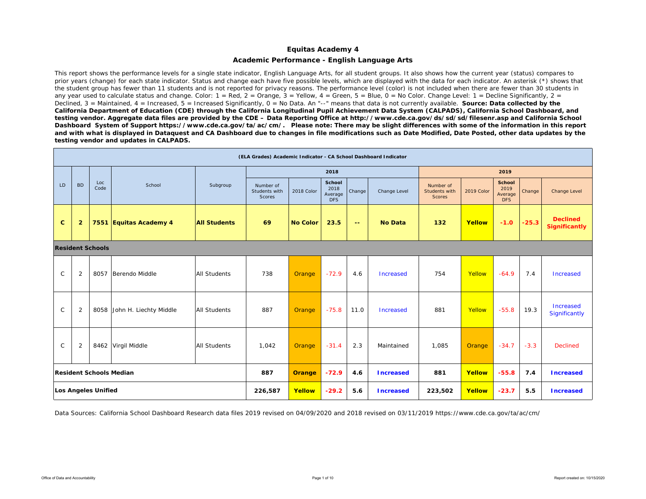### **Academic Performance - English Language Arts**

This report shows the performance levels for a single state indicator, English Language Arts, for all student groups. It also shows how the current year (status) compares to prior years (change) for each state indicator. Status and change each have five possible levels, which are displayed with the data for each indicator. An asterisk (\*) shows that the student group has fewer than 11 students and is not reported for privacy reasons. The performance level (color) is not included when there are fewer than 30 students in any year used to calculate status and change. Color:  $1 = \text{Red}$ ,  $2 = \text{Orance}$ ,  $3 = \text{Yellow}$ ,  $4 = \text{Green}$ ,  $5 = \text{Blue}$ ,  $0 = \text{No Color}$ . Change Level:  $1 = \text{Decline}$  Significantly,  $2 = \text{Green}$ Declined, 3 = Maintained, 4 = Increased, 5 = Increased Significantly, 0 = No Data. An "--" means that data is not currently available. **Source: Data collected by the** *California Department of Education (CDE) through the California Longitudinal Pupil Achievement Data System (CALPADS), California School Dashboard, and testing vendor. Aggregate data files are provided by the CDE – Data Reporting Office at http://www.cde.ca.gov/ds/sd/sd/filesenr.asp and California School Dashboard System of Support https://www.cde.ca.gov/ta/ac/cm/. Please note: There may be slight differences with some of the information in this report and with what is displayed in Dataquest and CA Dashboard due to changes in file modifications such as Date Modified, Date Posted, other data updates by the testing vendor and updates in CALPADS.* 

|              |                |                            |                                |                     | (ELA Grades) Academic Indicator - CA School Dashboard Indicator |                 |                                         |        |                  |                                             |            |                                                |         |                                         |
|--------------|----------------|----------------------------|--------------------------------|---------------------|-----------------------------------------------------------------|-----------------|-----------------------------------------|--------|------------------|---------------------------------------------|------------|------------------------------------------------|---------|-----------------------------------------|
|              |                |                            |                                |                     |                                                                 |                 | 2018                                    |        |                  |                                             |            | 2019                                           |         |                                         |
| LD           | <b>BD</b>      | Loc<br>Code                | School                         | Subgroup            | Number of<br>Students with<br>Scores                            | 2018 Color      | School<br>2018<br>Average<br><b>DFS</b> | Change | Change Level     | Number of<br><b>Students with</b><br>Scores | 2019 Color | <b>School</b><br>2019<br>Average<br><b>DFS</b> | Change  | Change Level                            |
| $\mathbf{C}$ | $\overline{2}$ |                            | 7551 Equitas Academy 4         | <b>All Students</b> | 69                                                              | <b>No Color</b> | 23.5                                    | 44     | <b>No Data</b>   | 132                                         | Yellow     | $-1.0$                                         | $-25.3$ | <b>Declined</b><br><b>Significantly</b> |
|              |                | <b>Resident Schools</b>    |                                |                     |                                                                 |                 |                                         |        |                  |                                             |            |                                                |         |                                         |
| $\mathsf{C}$ | 2              | 8057                       | Berendo Middle                 | <b>All Students</b> | 738                                                             | Orange          | $-72.9$                                 | 4.6    | Increased        | 754                                         | Yellow     | $-64.9$                                        | 7.4     | <b>Increased</b>                        |
| $\mathsf{C}$ | $\overline{2}$ | 8058                       | John H. Liechty Middle         | <b>All Students</b> | 887                                                             | Orange          | $-75.8$                                 | 11.0   | Increased        | 881                                         | Yellow     | $-55.8$                                        | 19.3    | Increased<br>Significantly              |
| $\mathsf{C}$ | $\overline{2}$ |                            | 8462 Virgil Middle             | <b>All Students</b> | 1,042                                                           | Orange          | $-31.4$                                 | 2.3    | Maintained       | 1,085                                       | Orange     | $-34.7$                                        | $-3.3$  | <b>Declined</b>                         |
|              |                |                            | <b>Resident Schools Median</b> |                     | 887                                                             | <b>Orange</b>   | $-72.9$                                 | 4.6    | <b>Increased</b> | 881                                         | Yellow     | $-55.8$                                        | 7.4     | <b>Increased</b>                        |
|              |                | <b>Los Angeles Unified</b> |                                |                     | 226,587                                                         | Yellow          | $-29.2$                                 | 5.6    | <b>Increased</b> | 223,502                                     | Yellow     | $-23.7$                                        | 5.5     | <b>Increased</b>                        |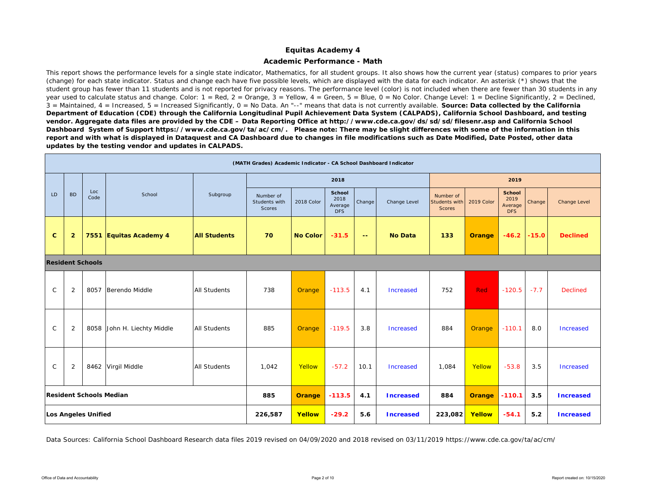### **Academic Performance - Math**

This report shows the performance levels for a single state indicator, Mathematics, for all student groups. It also shows how the current year (status) compares to prior years (change) for each state indicator. Status and change each have five possible levels, which are displayed with the data for each indicator. An asterisk (\*) shows that the student group has fewer than 11 students and is not reported for privacy reasons. The performance level (color) is not included when there are fewer than 30 students in any year used to calculate status and change. Color: 1 = Red, 2 = Orange, 3 = Yellow, 4 = Green, 5 = Blue, 0 = No Color. Change Level: 1 = Decline Significantly, 2 = Declined, 3 = Maintained, 4 = Increased, 5 = Increased Significantly, 0 = No Data. An "--" means that data is not currently available. *Source: Data collected by the California Department of Education (CDE) through the California Longitudinal Pupil Achievement Data System (CALPADS), California School Dashboard, and testing vendor. Aggregate data files are provided by the CDE – Data Reporting Office at http://www.cde.ca.gov/ds/sd/sd/filesenr.asp and California School Dashboard System of Support https://www.cde.ca.gov/ta/ac/cm/. Please note: There may be slight differences with some of the information in this report and with what is displayed in Dataquest and CA Dashboard due to changes in file modifications such as Date Modified, Date Posted, other data updates by the testing vendor and updates in CALPADS.* 

|              |                                                                               |                     |                         |                     | (MATH Grades) Academic Indicator - CA School Dashboard Indicator |                 |                                         |                   |                  |                                             |               |                                                |         |                  |
|--------------|-------------------------------------------------------------------------------|---------------------|-------------------------|---------------------|------------------------------------------------------------------|-----------------|-----------------------------------------|-------------------|------------------|---------------------------------------------|---------------|------------------------------------------------|---------|------------------|
|              |                                                                               |                     |                         |                     |                                                                  |                 | 2018                                    |                   |                  |                                             |               | 2019                                           |         |                  |
| LD           | <b>BD</b>                                                                     | Loc<br>Code         | School                  | Subgroup            | Number of<br>Students with<br><b>Scores</b>                      | 2018 Color      | School<br>2018<br>Average<br><b>DFS</b> | Change            | Change Level     | Number of<br><b>Students with</b><br>Scores | 2019 Color    | <b>School</b><br>2019<br>Average<br><b>DFS</b> | Change  | Change Level     |
| $\mathbf{C}$ | $\overline{2}$                                                                |                     | 7551 Equitas Academy 4  | <b>All Students</b> | 70                                                               | <b>No Color</b> | $-31.5$                                 | $\equiv$ $\equiv$ | <b>No Data</b>   | 133                                         | <b>Orange</b> | $-46.2$                                        | $-15.0$ | <b>Declined</b>  |
|              |                                                                               |                     |                         |                     |                                                                  |                 |                                         |                   |                  |                                             |               |                                                |         |                  |
| $\mathsf{C}$ | <b>Resident Schools</b><br>2<br>8057<br>Berendo Middle<br><b>All Students</b> |                     |                         |                     | 738                                                              | Orange          | $-113.5$                                | 4.1               | Increased        | 752                                         | Red           | $-120.5$                                       | $-7.7$  | <b>Declined</b>  |
| $\mathsf{C}$ | 2                                                                             | 8058                | John H. Liechty Middle  | <b>All Students</b> | 885                                                              | Orange          | $-119.5$                                | 3.8               | <b>Increased</b> | 884                                         | <b>Orange</b> | $-110.1$                                       | 8.0     | Increased        |
| C            | 2                                                                             |                     | 8462 Virgil Middle      | <b>All Students</b> | 1,042                                                            | Yellow          | $-57.2$                                 | 10.1              | Increased        | 1,084                                       | Yellow        | $-53.8$                                        | 3.5     | Increased        |
|              |                                                                               |                     | Resident Schools Median |                     | 885                                                              | <b>Orange</b>   | $-113.5$                                | 4.1               | <b>Increased</b> | 884                                         | <b>Orange</b> | $-110.1$                                       | 3.5     | <b>Increased</b> |
|              |                                                                               | Los Angeles Unified |                         |                     | 226,587                                                          | Yellow          | $-29.2$                                 | 5.6               | <b>Increased</b> | 223,082                                     | Yellow        | $-54.1$                                        | 5.2     | <b>Increased</b> |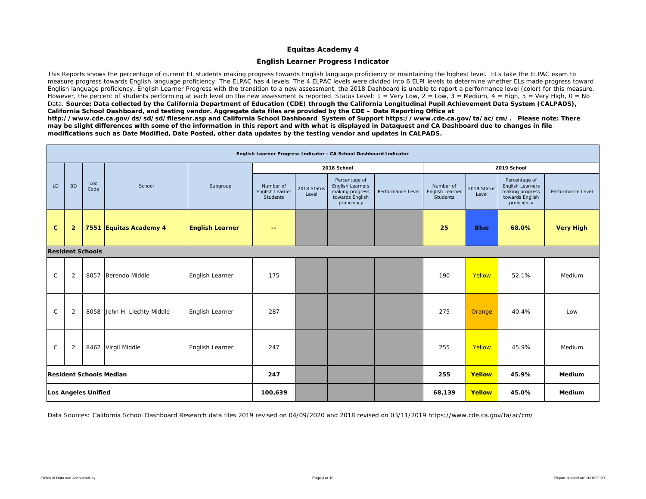### **English Learner Progress Indicator**

This Reports shows the percentage of current EL students making progress towards English language proficiency or maintaining the highest level. ELs take the ELPAC exam to measure progress towards English language proficiency. The ELPAC has 4 levels. The 4 ELPAC levels were divided into 6 ELPI levels to determine whether ELs made progress toward English language proficiency. English Learner Progress with the transition to a new assessment, the 2018 Dashboard is unable to report a performance level (color) for this measure. However, the percent of students performing at each level on the new assessment is reported. Status Level: 1 = Very Low, 2 = Low, 3 = Medium, 4 = High, 5 = Very High, 0 = No Data. Source: Data collected by the California Department of Education (CDE) through the California Longitudinal Pupil Achievement Data System (CALPADS), *California School Dashboard, and testing vendor. Aggregate data files are provided by the CDE – Data Reporting Office at* 

*http://www.cde.ca.gov/ds/sd/sd/filesenr.asp and California School Dashboard System of Support https://www.cde.ca.gov/ta/ac/cm/. Please note: There may be slight differences with some of the information in this report and with what is displayed in Dataquest and CA Dashboard due to changes in file modifications such as Date Modified, Date Posted, other data updates by the testing vendor and updates in CALPADS.* 

|              |                                                                                        |                            |                                |                        |                                          |                      | English Learner Progress Indicator - CA School Dashboard Indicator                     |                   |                                          |                      |                                                                                        |                   |
|--------------|----------------------------------------------------------------------------------------|----------------------------|--------------------------------|------------------------|------------------------------------------|----------------------|----------------------------------------------------------------------------------------|-------------------|------------------------------------------|----------------------|----------------------------------------------------------------------------------------|-------------------|
|              |                                                                                        |                            |                                |                        |                                          |                      | 2018 School                                                                            |                   |                                          |                      | 2019 School                                                                            |                   |
| LD           | <b>BD</b>                                                                              | Loc<br>Code                | School                         | Subgroup               | Number of<br>English Learner<br>Students | 2018 Status<br>Level | Percentage of<br>English Learners<br>making progress<br>towards English<br>proficiency | Performance Level | Number of<br>English Learner<br>Students | 2019 Status<br>Level | Percentage of<br>English Learners<br>making progress<br>towards English<br>proficiency | Performance Level |
| $\mathbf{C}$ | $\overline{\mathbf{2}}$                                                                |                            | 7551 Equitas Academy 4         | <b>English Learner</b> | --                                       |                      |                                                                                        |                   | 25                                       | <b>Blue</b>          | 68.0%                                                                                  | <b>Very High</b>  |
|              |                                                                                        |                            |                                |                        |                                          |                      |                                                                                        |                   |                                          |                      |                                                                                        |                   |
| $\mathsf C$  | <b>Resident Schools</b><br>$\overline{2}$<br>Berendo Middle<br>8057<br>English Learner |                            |                                |                        | 175                                      |                      |                                                                                        |                   | 190                                      | Yellow               | 52.1%                                                                                  | Medium            |
| $\mathsf C$  | $\overline{2}$                                                                         | 8058                       | John H. Liechty Middle         | English Learner        | 287                                      |                      |                                                                                        |                   | 275                                      | Orange               | 40.4%                                                                                  | Low               |
| $\mathsf{C}$ | $\overline{2}$                                                                         |                            | 8462 Virgil Middle             | English Learner        | 247                                      |                      |                                                                                        |                   | 255                                      | Yellow               | 45.9%                                                                                  | Medium            |
|              |                                                                                        |                            | <b>Resident Schools Median</b> |                        | 247                                      |                      |                                                                                        |                   | 255                                      | Yellow               | 45.9%                                                                                  | Medium            |
|              |                                                                                        | <b>Los Angeles Unified</b> |                                |                        | 100,639                                  |                      |                                                                                        |                   | 68,139                                   | Yellow               | 45.0%                                                                                  | Medium            |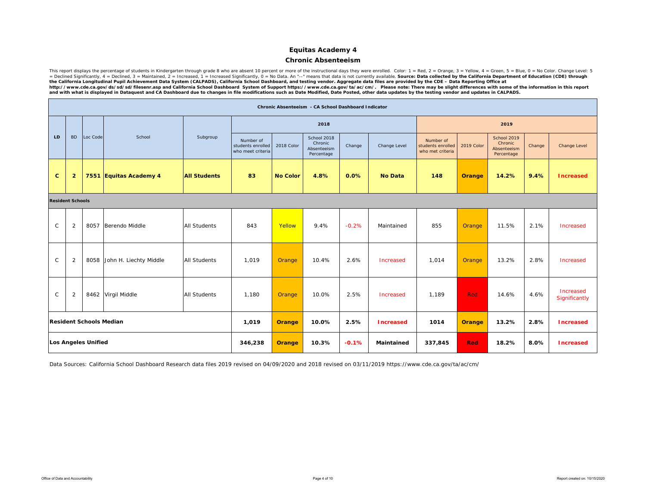### **Chronic Absenteeism**

This report displays the percentage of students in Kindergarten through grade 8 who are absent 10 percent or more of the instructional days they were enrolled. Color: 1 = Red, 2 = Orange, 3 = Yellow, 4 = Green, 5 = Blue, http://www.cde.ca.gov/ds/sd/sd/filesenr.asp and California School Dashboard System of Support https://www.cde.ca.gov/ta/ac/cm/. Please note: There may be slight differences with some of the information in this report<br>and w

|              |                         |                                |                        |                     |                                                     |                 | Chronic Absenteeism - CA School Dashboard Indicator |         |                  |                                                    |            |                                                     |        |                            |
|--------------|-------------------------|--------------------------------|------------------------|---------------------|-----------------------------------------------------|-----------------|-----------------------------------------------------|---------|------------------|----------------------------------------------------|------------|-----------------------------------------------------|--------|----------------------------|
|              |                         |                                |                        |                     |                                                     |                 | 2018                                                |         |                  |                                                    |            | 2019                                                |        |                            |
| LD           | <b>BD</b>               | Loc Code                       | School                 | Subgroup            | Number of<br>students enrolled<br>who meet criteria | 2018 Color      | School 2018<br>Chronic<br>Absenteeism<br>Percentage | Change  | Change Level     | Number of<br>students enrolled<br>who met criteria | 2019 Color | School 2019<br>Chronic<br>Absenteeism<br>Percentage | Change | Change Level               |
| $\mathbf{C}$ | $\overline{2}$          |                                | 7551 Equitas Academy 4 | <b>All Students</b> | 83                                                  | <b>No Color</b> | 4.8%                                                | 0.0%    | <b>No Data</b>   | 148                                                | Orange     | 14.2%                                               | 9.4%   | <b>Increased</b>           |
|              | <b>Resident Schools</b> |                                |                        |                     |                                                     |                 |                                                     |         |                  |                                                    |            |                                                     |        |                            |
| $\mathsf{C}$ | $\overline{2}$          | 8057                           | Berendo Middle         | <b>All Students</b> | 843                                                 | Yellow          | 9.4%                                                | $-0.2%$ | Maintained       | 855                                                | Orange     | 11.5%                                               | 2.1%   | Increased                  |
| $\mathsf C$  | $\overline{2}$          | 8058                           | John H. Liechty Middle | <b>All Students</b> | 1,019                                               | <b>Orange</b>   | 10.4%                                               | 2.6%    | Increased        | 1,014                                              | Orange     | 13.2%                                               | 2.8%   | Increased                  |
| $\mathsf C$  | $\overline{2}$          |                                | 8462 Virgil Middle     | <b>All Students</b> | 1.180                                               | <b>Orange</b>   | 10.0%                                               | 2.5%    | Increased        | 1.189                                              | Red        | 14.6%                                               | 4.6%   | Increased<br>Significantly |
|              |                         | <b>Resident Schools Median</b> |                        |                     | 1,019                                               | Orange          | 10.0%                                               | 2.5%    | <b>Increased</b> | 1014                                               | Orange     | 13.2%                                               | 2.8%   | <b>Increased</b>           |
|              |                         | <b>Los Angeles Unified</b>     |                        |                     | 346,238                                             | Orange          | 10.3%                                               | $-0.1%$ | Maintained       | 337,845                                            | <b>Red</b> | 18.2%                                               | 8.0%   | <b>Increased</b>           |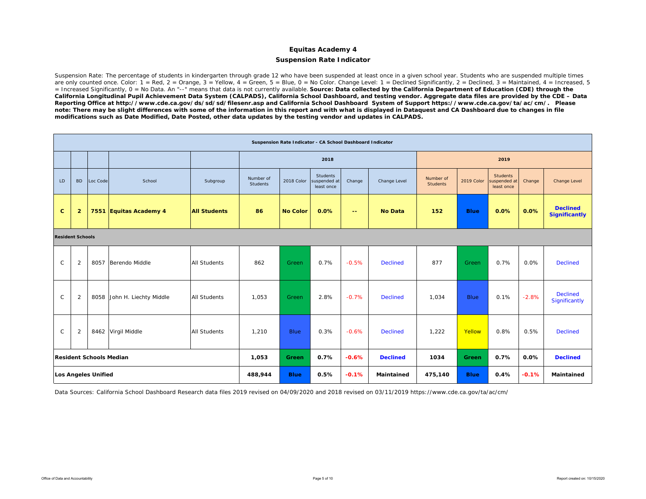### **Suspension Rate Indicator**

Suspension Rate: The percentage of students in kindergarten through grade 12 who have been suspended at least once in a given school year. Students who are suspended multiple times are only counted once. Color:  $1 = \text{Red}$ ,  $2 = \text{Orange}$ ,  $3 = \text{Yellow}$ ,  $4 = \text{Green}$ ,  $5 = \text{Blue}$ ,  $0 = \text{No Color}$ . Change Level:  $1 = \text{Declined Significantly}$ ,  $2 = \text{Decined}$ ,  $3 = \text{Maintained}$ ,  $4 = \text{Increasinged}$ ,  $5 = \text{Red}$ ,  $6 = \text{Green}$ = Increased Significantly, 0 = No Data. An "--" means that data is not currently available. *Source: Data collected by the California Department of Education (CDE) through the California Longitudinal Pupil Achievement Data System (CALPADS), California School Dashboard, and testing vendor. Aggregate data files are provided by the CDE – Data Reporting Office at http://www.cde.ca.gov/ds/sd/sd/filesenr.asp and California School Dashboard System of Support https://www.cde.ca.gov/ta/ac/cm/. Please note: There may be slight differences with some of the information in this report and with what is displayed in Dataquest and CA Dashboard due to changes in file modifications such as Date Modified, Date Posted, other data updates by the testing vendor and updates in CALPADS.* 

|              |                         |                            |                                |                     |                       | Suspension Rate Indicator - CA School Dashboard Indicator |                                        |               |                 |                              |             |                                               |         |                                         |  |
|--------------|-------------------------|----------------------------|--------------------------------|---------------------|-----------------------|-----------------------------------------------------------|----------------------------------------|---------------|-----------------|------------------------------|-------------|-----------------------------------------------|---------|-----------------------------------------|--|
|              |                         |                            |                                |                     |                       |                                                           | 2018                                   |               |                 |                              |             | 2019                                          |         |                                         |  |
| LD           | <b>BD</b>               | Loc Code                   | School                         | Subgroup            | Number of<br>Students | 2018 Color                                                | Students<br>suspended at<br>least once | Change        | Change Level    | Number of<br><b>Students</b> | 2019 Color  | <b>Students</b><br>suspended at<br>least once | Change  | Change Level                            |  |
| $\mathbf{C}$ | $\overline{2}$          |                            | 7551 Equitas Academy 4         | <b>All Students</b> | 86                    | <b>No Color</b>                                           | 0.0%                                   | $\sim$ $\sim$ | <b>No Data</b>  | 152                          | <b>Blue</b> | 0.0%                                          | 0.0%    | <b>Declined</b><br><b>Significantly</b> |  |
|              | <b>Resident Schools</b> |                            |                                |                     |                       |                                                           |                                        |               |                 |                              |             |                                               |         |                                         |  |
| $\mathsf C$  | $\overline{2}$          | 8057                       | Berendo Middle                 | <b>All Students</b> | 862                   | Green                                                     | 0.7%                                   | $-0.5%$       | <b>Declined</b> | 877                          | Green       | 0.7%                                          | 0.0%    | <b>Declined</b>                         |  |
| $\mathsf{C}$ | $\overline{2}$          | 8058                       | John H. Liechty Middle         | <b>All Students</b> | 1,053                 | Green                                                     | 2.8%                                   | $-0.7%$       | <b>Declined</b> | 1,034                        | <b>Blue</b> | 0.1%                                          | $-2.8%$ | <b>Declined</b><br>Significantly        |  |
| $\mathsf{C}$ | $\overline{2}$          |                            | 8462 Virgil Middle             | <b>All Students</b> | 1,210                 | Blue                                                      | 0.3%                                   | $-0.6%$       | <b>Declined</b> | 1,222                        | Yellow      | 0.8%                                          | 0.5%    | <b>Declined</b>                         |  |
|              |                         |                            | <b>Resident Schools Median</b> |                     | 1,053                 | Green                                                     | 0.7%                                   | $-0.6%$       | <b>Declined</b> | 1034                         | Green       | 0.7%                                          | 0.0%    | <b>Declined</b>                         |  |
|              |                         | <b>Los Angeles Unified</b> |                                |                     | 488,944               | <b>Blue</b>                                               | 0.5%                                   | $-0.1%$       | Maintained      | 475,140                      | <b>Blue</b> | 0.4%                                          | $-0.1%$ | <b>Maintained</b>                       |  |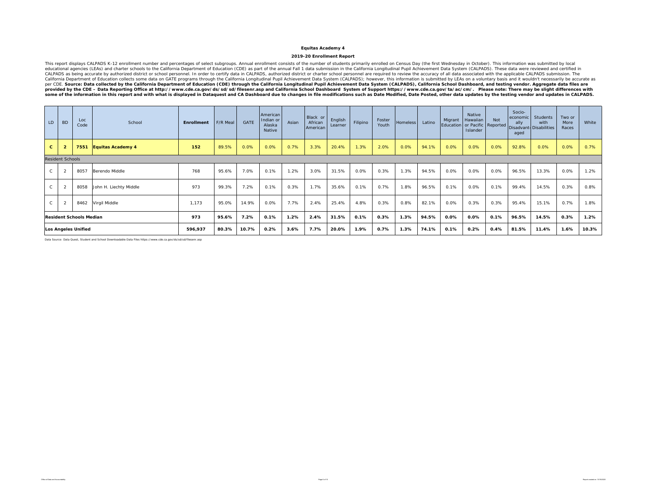#### **2019-20 Enrollment Report**

This report displays CALPADS K-12 enrollment number and percentages of select subgroups. Annual enrollment consists of the number of students primarily enrolled on Census Day (the first Wednesday in October). This informat

| LD                         | <b>BD</b>               | Loc<br>Code                    | School                   | <b>Enrollment</b> | F/R Meal | GATE  | American<br>Indian or<br>Alaska<br>Native | Asian | Black or<br>African<br>American | English<br>Learner | Filipino | Foster<br>Youth | <b>Homeless</b> | Latino | Migrant<br>Education   or Pacific   Reported | Native<br>Hawaiian<br>Islander | Not   | Socio-<br>economic<br>ally<br>aged | Students<br>with<br>Disadvant-Disabilities | Two or<br>More<br>Races | White |
|----------------------------|-------------------------|--------------------------------|--------------------------|-------------------|----------|-------|-------------------------------------------|-------|---------------------------------|--------------------|----------|-----------------|-----------------|--------|----------------------------------------------|--------------------------------|-------|------------------------------------|--------------------------------------------|-------------------------|-------|
| $\mathbf{C}$               |                         | 7551                           | <b>Equitas Academy 4</b> | 152               | 89.5%    | 0.0%  | 0.0%                                      | 0.7%  | 3.3%                            | 20.4%              | 1.3%     | 2.0%            | 0.0%            | 94.1%  | 0.0%                                         | 0.0%                           | 0.0%  | 92.8%                              | 0.0%                                       | 0.0%                    | 0.7%  |
|                            | <b>Resident Schools</b> |                                |                          |                   |          |       |                                           |       |                                 |                    |          |                 |                 |        |                                              |                                |       |                                    |                                            |                         |       |
| $\mathsf{C}$               | $\overline{2}$          | 8057                           | Berendo Middle           | 768               | 95.6%    | 7.0%  | 0.1%                                      | 1.2%  | 3.0%                            | 31.5%              | 0.0%     | 0.3%            | 1.3%            | 94.5%  | 0.0%                                         | 0.0%                           | 0.0%  | 96.5%                              | 13.3%                                      | 0.0%                    | 1.2%  |
| $\mathsf{C}$               | $\overline{2}$          | 8058                           | John H. Liechty Middle   | 973               | 99.3%    | 7.2%  | 0.1%                                      | 0.3%  | 1.7%                            | 35.6%              | 0.1%     | 0.7%            | 1.8%            | 96.5%  | 0.1%                                         | 0.0%                           | 0.1%  | 99.4%                              | 14.5%                                      | 0.3%                    | 0.8%  |
|                            | $\overline{2}$          | 8462                           | Virgil Middle            | 1,173             | 95.0%    | 14.9% | 0.0%                                      | 7.7%  | 2.4%                            | 25.4%              | 4.8%     | 0.3%            | 0.8%            | 82.1%  | 0.0%                                         | 0.3%                           | 0.3%  | 95.4%                              | 15.1%                                      | 0.7%                    | 1.8%  |
|                            |                         | <b>Resident Schools Median</b> |                          | 973               | 95.6%    | 7.2%  | 0.1%                                      | 1.2%  | 2.4%                            | 31.5%              | 0.1%     | 0.3%            | 1.3%            | 94.5%  | 0.0%                                         | $0.0\%$                        | 0.1%  | 96.5%                              | 14.5%                                      | 0.3%                    | 1.2%  |
| <b>Los Angeles Unified</b> |                         |                                | 596,937                  | 80.3%             | 10.7%    | 0.2%  | 3.6%                                      | 7.7%  | 20.0%                           | 1.9%               | 0.7%     | 1.3%            | 74.1%           | 0.1%   | 0.2%                                         | 0.4%                           | 81.5% | 11.4%                              | 1.6%                                       | 10.3%                   |       |

Data Source: Data Quest, Student and School Downloadable Data Files https://www.cde.ca.gov/ds/sd/sd/filesenr.asp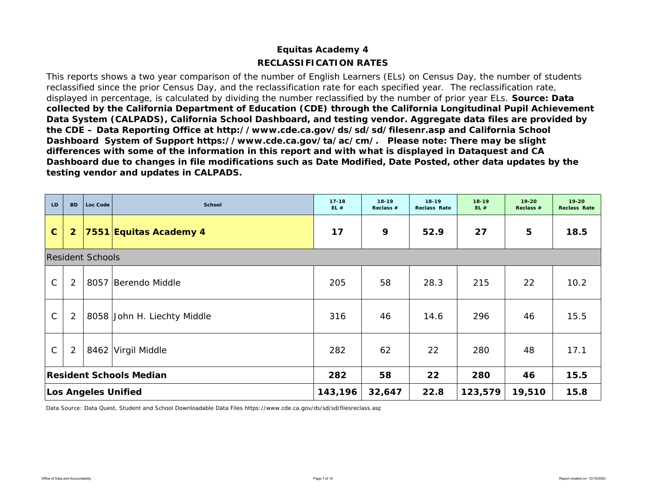# **RECLASSIFICATION RATESEquitas Academy 4**

This reports shows a two year comparison of the number of English Learners (ELs) on Census Day, the number of students reclassified since the prior Census Day, and the reclassification rate for each specified year. The reclassification rate, displayed in percentage, is calculated by dividing the number reclassified by the number of prior year ELs. *Source: Data collected by the California Department of Education (CDE) through the California Longitudinal Pupil Achievement Data System (CALPADS), California School Dashboard, and testing vendor. Aggregate data files are provided by the CDE – Data Reporting Office at http://www.cde.ca.gov/ds/sd/sd/filesenr.asp and California School Dashboard System of Support https://www.cde.ca.gov/ta/ac/cm/. Please note: There may be slight differences with some of the information in this report and with what is displayed in Dataquest and CA Dashboard due to changes in file modifications such as Date Modified, Date Posted, other data updates by the testing vendor and updates in CALPADS.* 

| LD           | <b>BD</b>      | Loc Code                | <b>School</b>                  | $17 - 18$<br>EL# | $18 - 19$<br>Reclass # | $18 - 19$<br><b>Reclass Rate</b> | $18 - 19$<br>EL# | $19 - 20$<br>Reclass # | $19 - 20$<br><b>Reclass Rate</b> |
|--------------|----------------|-------------------------|--------------------------------|------------------|------------------------|----------------------------------|------------------|------------------------|----------------------------------|
| $\mathbf{C}$ | $\overline{2}$ |                         | 7551 Equitas Academy 4         | 17               | 9                      | 52.9                             | 27               | 5                      | 18.5                             |
|              |                | <b>Resident Schools</b> |                                |                  |                        |                                  |                  |                        |                                  |
| $\mathsf{C}$ | 2              |                         | 8057 Berendo Middle            | 205              | 58                     | 28.3                             | 215              | 22                     | 10.2                             |
| $\mathsf{C}$ | 2              |                         | 8058 John H. Liechty Middle    | 316              | 46                     | 14.6                             | 296              | 46                     | 15.5                             |
| $\mathsf{C}$ | 2              |                         | 8462 Virgil Middle             | 282              | 62                     | 22                               | 280              | 48                     | 17.1                             |
|              |                |                         | <b>Resident Schools Median</b> | 282              | 58                     | 22                               | 280              | 46                     | 15.5                             |
|              |                |                         | <b>Los Angeles Unified</b>     | 143,196          | 32,647                 | 22.8                             | 123,579          | 19,510                 | 15.8                             |

Data Source: Data Quest, Student and School Downloadable Data Files https://www.cde.ca.gov/ds/sd/sd/filesreclass.asp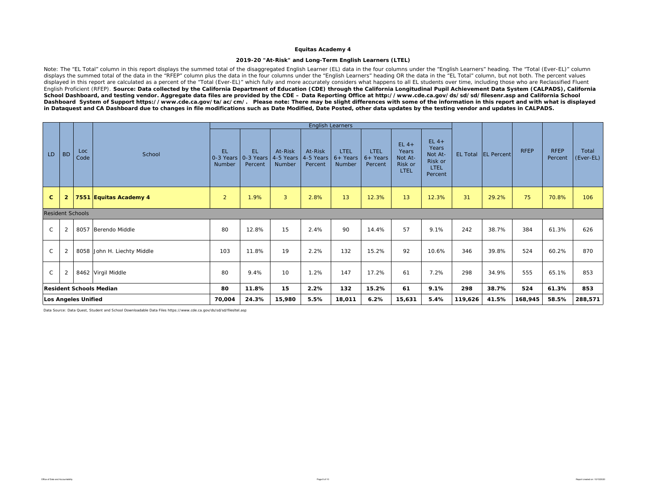### **2019-20 "At-Risk" and Long-Term English Learners (LTEL)**

Note: The "EL Total" column in this report displays the summed total of the disaggregated English Learner (EL) data in the four columns under the "English Learners" heading. The "Total (Ever-EL)" column displays the summed total of the data in the "RFEP" column plus the data in the four columns under the "English Learners" heading OR the data in the "EL Total" column, but not both. The percent values displayed in this report are calculated as a percent of the "Total (Ever-EL)" which fully and more accurately considers what happens to all EL students over time, including those who are Reclassified Fluent English Proficient (RFEP). *Source: Data collected by the California Department of Education (CDE) through the California Longitudinal Pupil Achievement Data System (CALPADS), California School Dashboard, and testing vendor. Aggregate data files are provided by the CDE – Data Reporting Office at http://www.cde.ca.gov/ds/sd/sd/filesenr.asp and California School*  Dashboard System of Support https://www.cde.ca.gov/ta/ac/cm/. Please note: There may be slight differences with some of the information in this report and with what is displayed *in Dataquest and CA Dashboard due to changes in file modifications such as Date Modified, Date Posted, other data updates by the testing vendor and updates in CALPADS.* 

|              |                     |                         |                                |                                                            |                      |                                |                                 | <b>English Learners</b>             |                                      |                                                       |                                                           |         |                       |             |                        |                    |
|--------------|---------------------|-------------------------|--------------------------------|------------------------------------------------------------|----------------------|--------------------------------|---------------------------------|-------------------------------------|--------------------------------------|-------------------------------------------------------|-----------------------------------------------------------|---------|-----------------------|-------------|------------------------|--------------------|
| LD.          | <b>BD</b>           | Loc<br>Code             | School                         | <b>EL</b><br>$\vert$ 0-3 Years $\vert$ 0-3 Years<br>Number | <b>EL</b><br>Percent | At-Risk<br>4-5 Years<br>Number | At-Risk<br>4-5 Years<br>Percent | <b>LTEL</b><br>$6+$ Years<br>Number | <b>LTEL</b><br>$6+$ Years<br>Percent | $EL 4+$<br>Years<br>Not At-<br>Risk or<br><b>LTEL</b> | $EL$ 4+<br>Years<br>Not At-<br>Risk or<br>LTEL<br>Percent |         | EL Total   EL Percent | <b>RFEP</b> | <b>RFEP</b><br>Percent | Total<br>(Ever-EL) |
| $\mathbf{C}$ | $\overline{2}$      |                         | 7551 Equitas Academy 4         | $\overline{2}$                                             | 1.9%                 | $\mathbf{3}$                   | 2.8%                            | 13                                  | 12.3%                                | 13                                                    | 12.3%                                                     | 31      | 29.2%                 | 75          | 70.8%                  | 106                |
|              |                     | <b>Resident Schools</b> |                                |                                                            |                      |                                |                                 |                                     |                                      |                                                       |                                                           |         |                       |             |                        |                    |
| $\mathsf{C}$ | 2                   |                         | 8057 Berendo Middle            | 80                                                         | 12.8%                | 15                             | 2.4%                            | 90                                  | 14.4%                                | 57                                                    | 9.1%                                                      | 242     | 38.7%                 | 384         | 61.3%                  | 626                |
| $\mathsf{C}$ | $\overline{2}$      |                         | 8058 John H. Liechty Middle    | 103                                                        | 11.8%                | 19                             | 2.2%                            | 132                                 | 15.2%                                | 92                                                    | 10.6%                                                     | 346     | 39.8%                 | 524         | 60.2%                  | 870                |
| $\mathsf{C}$ | 2                   |                         | 8462 Virgil Middle             | 80                                                         | 9.4%                 | 10                             | 1.2%                            | 147                                 | 17.2%                                | 61                                                    | 7.2%                                                      | 298     | 34.9%                 | 555         | 65.1%                  | 853                |
|              |                     |                         | <b>Resident Schools Median</b> | 80                                                         | 11.8%                | 15                             | 2.2%                            | 132                                 | 15.2%                                | 61                                                    | 9.1%                                                      | 298     | 38.7%                 | 524         | 61.3%                  | 853                |
|              | Los Angeles Unified |                         |                                |                                                            | 24.3%                | 15,980                         | 5.5%                            | 18,011                              | 6.2%                                 | 15,631                                                | 5.4%                                                      | 119,626 | 41.5%                 | 168,945     | 58.5%                  | 288,571            |

Data Source: Data Quest, Student and School Downloadable Data Files https://www.cde.ca.gov/ds/sd/sd/filesltel.asp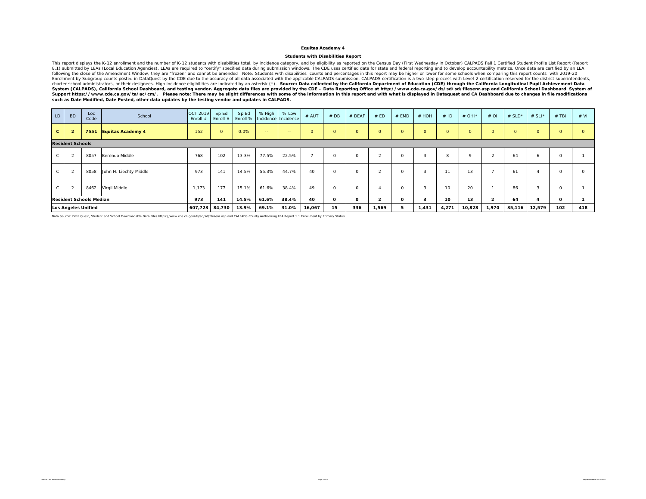#### **Students with Disabilities Report**

This report displays the K-12 enrollment and the number of K-12 students with disabilities total, by incidence category, and by eligibility as reported on the Census Day (First Wednesday in October) CALPADS Fall 1 Certifie 8.1) submitted by LEAs (Local Education Agencies). LEAs are required to "certify" specified data during submission windows. The CDE uses certified data for state and federal reporting and to develop accountability metrics. Enrollment by Subgroup counts posted in DataQuest by the CDE due to the accuracy of all data associated with the applicable CALPADS submission. CALPADS certification is a two-step process with Level-2 certification reserve *such as Date Modified, Date Posted, other data updates by the testing vendor and updates in CALPADS.* 

| LD.          | <b>BD</b>               | Loc<br>Code                    | School                   | OCT 2019<br>Enroll $#$ | Sp Ed<br>Enroll # | Sp Ed | % High<br>Enroll % Incidence Incidence | % Low         | # AUT        | # DB         | # DEAF   | # ED                 | # EMD    | # HOH   | #ID     | # OHI $*$ | #OI          | # $SLD^*$      | # SLI*  | $#$ TBI      | # VI     |
|--------------|-------------------------|--------------------------------|--------------------------|------------------------|-------------------|-------|----------------------------------------|---------------|--------------|--------------|----------|----------------------|----------|---------|---------|-----------|--------------|----------------|---------|--------------|----------|
| $\mathbf{c}$ | $\overline{2}$          | 7551                           | <b>Equitas Academy 4</b> | 152                    | $\circ$           | 0.0%  | $\sim$ $\sim$                          | $\sim$ $\sim$ | $\mathbf{O}$ | $\circ$      | $\circ$  | $\circ$              | $\circ$  | $\circ$ | $\circ$ | $\circ$   | $\circ$      | $\overline{0}$ | $\circ$ | $\circ$      | $\circ$  |
|              | <b>Resident Schools</b> |                                |                          |                        |                   |       |                                        |               |              |              |          |                      |          |         |         |           |              |                |         |              |          |
|              |                         | 8057                           | Berendo Middle           | 768                    | 102               | 13.3% | 77.5%                                  | 22.5%         |              | $\circ$      | $\circ$  | $\sim$<br>$\epsilon$ |          | $\sim$  | 8       | $\circ$   |              | 64             |         | $\circ$      |          |
| $\mathsf{C}$ |                         | 8058                           | John H. Liechty Middle   | 973                    | 141               | 14.5% | 55.3%                                  | 44.7%         | 40           | $\circ$      | $\circ$  | $\overline{2}$       | $\Omega$ | 3       | 11      | 13        |              | 61             |         | $\circ$      | $\Omega$ |
| $\mathsf{C}$ |                         | 8462                           | Virgil Middle            | 1,173                  | 177               | 15.1% | 61.6%                                  | 38.4%         | 49           | $\Omega$     | $\circ$  |                      | $\Omega$ |         | 10      | 20        |              | 86             |         | $\Omega$     |          |
|              |                         | <b>Resident Schools Median</b> |                          | 973                    | 141               | 14.5% | 61.6%                                  | 38.4%         | 40           | $\mathbf{o}$ | $\Omega$ | $\overline{2}$       | 0        | 3       | 10      | 13        | $\mathbf{2}$ | 64             |         | $\mathbf{o}$ |          |
|              |                         | <b>Los Angeles Unified</b>     |                          | 607,723                | 84,730            | 13.9% | 69.1%                                  | 31.0%         | 16,067       | 15           | 336      | 1,569                |          | 1,431   | 4,271   | 10,828    | 1,970        | 35,116         | 12,579  | 102          | 418      |

Data Source: Data Quest, Student and School Downloadable Data Files https://www.cde.ca.gov/ds/sd/sd/filesenr.asp and CALPADS County Authorizing LEA Report 1.1 Enrollment by Primary Status.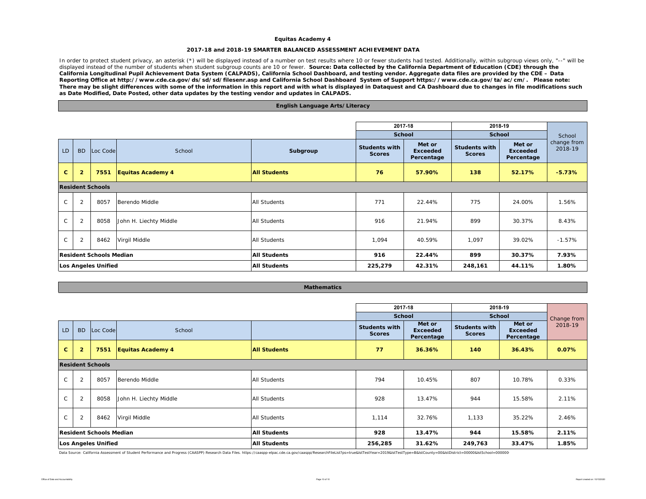### **2017-18 and 2018-19 SMARTER BALANCED ASSESSMENT ACHIEVEMENT DATA**

In order to protect student privacy, an asterisk (\*) will be displayed instead of a number on test results where 10 or fewer students had tested. Additionally, within subgroup views only, "--" will be displayed instead of the number of students when student subgroup counts are 10 or fewer. **Source: Data collected by the California Department of Education (CDE) through the** *California Longitudinal Pupil Achievement Data System (CALPADS), California School Dashboard, and testing vendor. Aggregate data files are provided by the CDE – Data Reporting Office at http://www.cde.ca.gov/ds/sd/sd/filesenr.asp and California School Dashboard System of Support https://www.cde.ca.gov/ta/ac/cm/. Please note: There may be slight differences with some of the information in this report and with what is displayed in Dataquest and CA Dashboard due to changes in file modifications such as Date Modified, Date Posted, other data updates by the testing vendor and updates in CALPADS.* 

### LD | BD | Loc Code School **Subgroup Students with Scores**with Met or Students with Met or<br>s Percentage Scores Percentage **C 2 7551 Equitas Academy 4 All Students 76 57.90% 138 52.17% -5.73%** C 2 8057 Berendo Middle All Students 271 22.44% 775 24.00% 1.56% C 2 8058 John H. Liechty Middle All Students 916 21.94% 899 30.37% 8.43% C 2 8462 Virgil Middle All Students 1,094 40.59% 1,097 39.02% -1.57% **All Students 916 22.44% 899 30.37% 7.93% All Students 225,279 42.31% 248,161 44.11% 1.80%Resident Schools MedianLos Angeles Unified Resident Schools2017-18 2018-19 School School**School change from 2018-19**English Language Arts/Literacy**

| <b>Mathematics</b> |  |
|--------------------|--|
|                    |  |

|              |                                         |                         |                        |                     | 2017-18                               |                                         | 2018-19                               |                                  |             |
|--------------|-----------------------------------------|-------------------------|------------------------|---------------------|---------------------------------------|-----------------------------------------|---------------------------------------|----------------------------------|-------------|
|              |                                         |                         |                        |                     | <b>School</b>                         |                                         | <b>School</b>                         |                                  | Change from |
| LD           | <b>BD</b>                               | Loc Code                | School                 |                     | <b>Students with</b><br><b>Scores</b> | Met or<br><b>Exceeded</b><br>Percentage | <b>Students with</b><br><b>Scores</b> | Met or<br>Exceeded<br>Percentage | 2018-19     |
| $\mathbf{C}$ | $\overline{2}$                          | 7551                    | Equitas Academy 4      | <b>All Students</b> | 77                                    | 36.36%                                  | 140                                   | 36.43%                           | 0.07%       |
|              |                                         | <b>Resident Schools</b> |                        |                     |                                       |                                         |                                       |                                  |             |
| $\mathsf{C}$ | 2                                       | 8057                    | Berendo Middle         | All Students        | 794                                   | 10.45%                                  | 807                                   | 10.78%                           | 0.33%       |
| $\mathsf{C}$ | 2                                       | 8058                    | John H. Liechty Middle | <b>All Students</b> | 928                                   | 13.47%                                  | 944                                   | 15.58%                           | 2.11%       |
| $\mathsf{C}$ | $\overline{2}$<br>8462<br>Virgil Middle |                         |                        | <b>All Students</b> | 1,114                                 | 32.76%                                  | 1,133                                 | 35.22%                           | 2.46%       |
|              | <b>Resident Schools Median</b>          |                         |                        | <b>All Students</b> | 928                                   | 13.47%                                  | 944                                   | 15.58%                           | 2.11%       |
|              | <b>Los Angeles Unified</b>              |                         |                        | <b>All Students</b> | 256,285                               | 31.62%                                  | 249,763                               | 33.47%                           | 1.85%       |

Data Source: California Assessment of Student Performance and Progress (CAASPP) Research Data Files. https://caaspp-elpac.cde.ca.gov/caaspp/ResearchFileList?ps=true&lstTestYear=2019&lstTestType=B&lstCounty=00&lstDistrict=0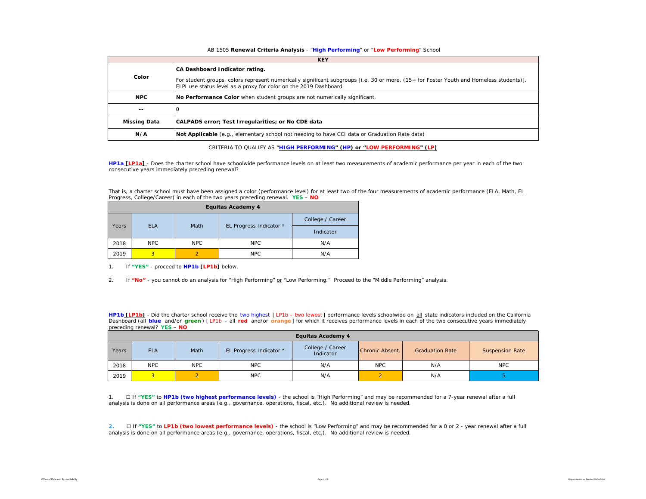### AB 1505 **Renewal Criteria Analysis** - "**High Performing**" or "**Low Performing**" School

|                     | <b>KEY</b>                                                                                                                                                                                                                                     |
|---------------------|------------------------------------------------------------------------------------------------------------------------------------------------------------------------------------------------------------------------------------------------|
| Color               | CA Dashboard Indicator rating.<br>For student groups, colors represent numerically significant subgroups [i.e. 30 or more, (15+ for Foster Youth and Homeless students)].<br>ELPI use status level as a proxy for color on the 2019 Dashboard. |
| <b>NPC</b>          | No Performance Color when student groups are not numerically significant.                                                                                                                                                                      |
| $- -$               |                                                                                                                                                                                                                                                |
| <b>Missing Data</b> | CALPADS error; Test Irregularities; or No CDE data                                                                                                                                                                                             |
| N/A                 | Not Applicable (e.g., elementary school not needing to have CCI data or Graduation Rate data)                                                                                                                                                  |

CRITERIA TO QUALIFY AS "**HIGH PERFORMING" (HP) or "LOW PERFORMING" (LP)**

**HP1a [LP1a]** - *Does the charter school have schoolwide performance levels on at least two measurements of academic performance per year in each of the two consecutive years immediately preceding renewal?* 

That is, a charter school must have been assigned a color (performance level) for at least two of the four measurements of academic performance (ELA, Math, EL Progress, College/Career) in each of the two years preceding renewal. **YES** – **NO**

|       | <b>Equitas Academy 4</b> |            |                         |                  |  |  |  |  |  |  |  |  |  |
|-------|--------------------------|------------|-------------------------|------------------|--|--|--|--|--|--|--|--|--|
|       |                          | Math       |                         | College / Career |  |  |  |  |  |  |  |  |  |
| Years | <b>ELA</b>               |            | EL Progress Indicator * | Indicator        |  |  |  |  |  |  |  |  |  |
| 2018  | NPC                      | <b>NPC</b> | <b>NPC</b>              | N/A              |  |  |  |  |  |  |  |  |  |
| 2019  | 3                        | っ          | <b>NPC</b>              | N/A              |  |  |  |  |  |  |  |  |  |

1. If **"YES"** - proceed to **HP1b [LP1b]** below.

2. If **"No"** - you cannot do an analysis for "High Performing" or "Low Performing." Proceed to the "Middle Performing" analysis.

**HP1b [LP1b]** - *Did the charter school receive the two highest [ LP1b – two lowest ] performance levels schoolwide on all state indicators included on the California*  Dashboard (all blue and/or green) [LP1b - all red and/or orange] for which it receives performance levels in each of the two consecutive years immediately *preceding renewal?* **YES** – **NO**

|       | <b>Equitas Academy 4</b> |            |                         |                               |                 |                        |                        |  |  |  |  |  |  |  |
|-------|--------------------------|------------|-------------------------|-------------------------------|-----------------|------------------------|------------------------|--|--|--|--|--|--|--|
| Years | <b>ELA</b>               | Math       | EL Progress Indicator * | College / Career<br>Indicator | Chronic Absent. | <b>Graduation Rate</b> | <b>Suspension Rate</b> |  |  |  |  |  |  |  |
| 2018  | NPC                      | <b>NPC</b> | <b>NPC</b>              | N/A                           | <b>NPC</b>      | N/A                    | <b>NPC</b>             |  |  |  |  |  |  |  |
| 2019  | $\overline{R}$           |            | <b>NPC</b>              | N/A                           |                 | N/A                    |                        |  |  |  |  |  |  |  |

1. ☐ If **"YES"** to **HP1b (two highest performance levels)** - the school is "High Performing" and may be recommended for a 7-year renewal after a full analysis is done on all performance areas (e.g., governance, operations, fiscal, etc.). No additional review is needed.

**2.** ☐ If **"YES"** to **LP1b (two lowest performance levels)** - the school is "Low Performing" and may be recommended for a 0 or 2 - year renewal after a full analysis is done on all performance areas (e.g., governance, operations, fiscal, etc.). No additional review is needed.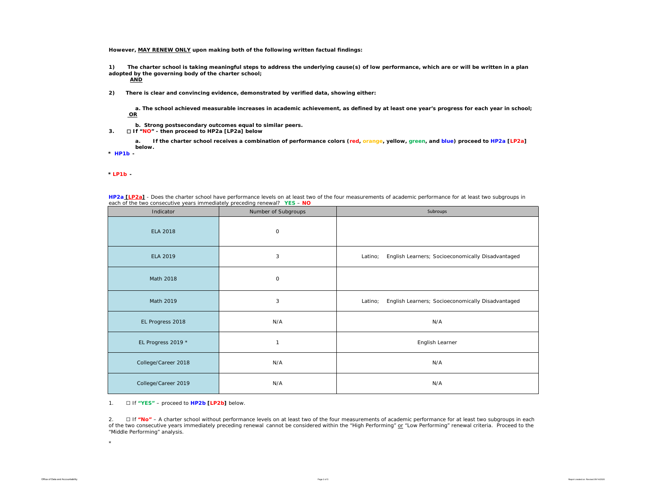**However, MAY RENEW ONLY upon making both of the following written factual findings:**

**1) The charter school is taking meaningful steps to address the underlying cause(s) of low performance, which are or will be written in a plan adopted by the governing body of the charter school;** 

**AND**

**2) There is clear and convincing evidence, demonstrated by verified data, showing either:**

**a. The school achieved measurable increases in academic achievement, as defined by at least one year's progress for each year in school; OR**

- **b. Strong postsecondary outcomes equal to similar peers.**
- **3.** ☐ **If "NO" then proceed to HP2a [LP2a] below**

**a. If the charter school receives a combination of performance colors (red, orange, yellow, green, and blue) proceed to HP2a [LP2a] below.** 

**\*** *HP1b -* 

*\* LP1b -* 

| each of the two consecutive years immediately preceding renewal? YES - NO |                     |                                                              |
|---------------------------------------------------------------------------|---------------------|--------------------------------------------------------------|
| Indicator                                                                 | Number of Subgroups | Subroups                                                     |
| <b>ELA 2018</b>                                                           | $\mathsf O$         |                                                              |
| ELA 2019                                                                  | 3                   | English Learners; Socioeconomically Disadvantaged<br>Latino; |
| Math 2018                                                                 | 0                   |                                                              |
| Math 2019                                                                 | 3                   | English Learners; Socioeconomically Disadvantaged<br>Latino; |
| EL Progress 2018                                                          | N/A                 | N/A                                                          |
| EL Progress 2019 *                                                        | $\mathbf{1}$        | English Learner                                              |
| College/Career 2018                                                       | N/A                 | N/A                                                          |
| College/Career 2019                                                       | N/A                 | N/A                                                          |

**HP2a [LP2a]** - *Does the charter school have performance levels on at least two of the four measurements of academic performance for at least two subgroups in* 

#### 1. ☐ If **"YES"** – proceed to **HP2b [LP2b]** below.

2. ☐ If **"No"** – A charter school without *performance levels on at least two of the four measurements of academic performance for at least two subgroups in each of the two consecutive years immediately preceding renewal* cannot be considered within the "High Performing" or "Low Performing" renewal criteria. Proceed to the "Middle Performing" analysis.

\*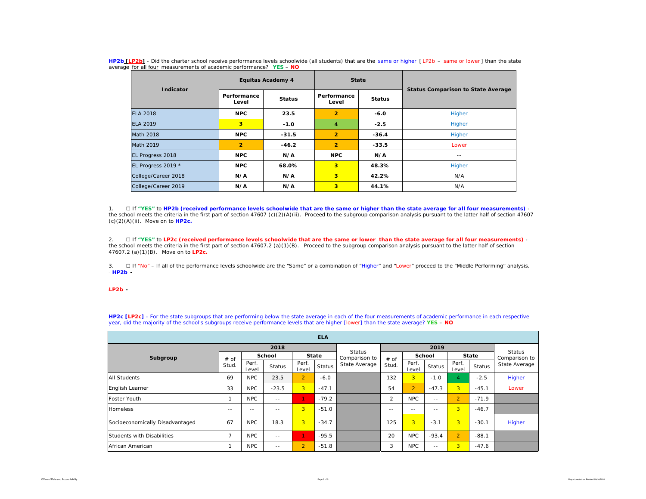| Indicator           |                      | <b>Equitas Academy 4</b> |                      | <b>State</b>  | <b>Status Comparison to State Average</b> |  |  |  |
|---------------------|----------------------|--------------------------|----------------------|---------------|-------------------------------------------|--|--|--|
|                     | Performance<br>Level | <b>Status</b>            | Performance<br>Level | <b>Status</b> |                                           |  |  |  |
| <b>ELA 2018</b>     | <b>NPC</b><br>23.5   |                          | $\overline{2}$       | $-6.0$        | Higher                                    |  |  |  |
| <b>ELA 2019</b>     | 3                    | $-1.0$                   | 4                    | $-2.5$        | Higher                                    |  |  |  |
| <b>Math 2018</b>    | <b>NPC</b>           | $-31.5$                  | $\overline{2}$       | $-36.4$       | Higher                                    |  |  |  |
| Math 2019           | $\overline{2}$       | $-46.2$                  | $\overline{2}$       | $-33.5$       | Lower                                     |  |  |  |
| EL Progress 2018    | <b>NPC</b>           | N/A                      | <b>NPC</b>           | N/A           | $- -$                                     |  |  |  |
| EL Progress 2019 *  | <b>NPC</b>           | 68.0%                    | 3                    | 48.3%         | Higher                                    |  |  |  |
| College/Career 2018 | N/A                  | N/A                      | 3                    | 42.2%         | N/A                                       |  |  |  |
| College/Career 2019 | N/A                  | N/A                      | 3                    | 44.1%         | N/A                                       |  |  |  |

**HP2b [LP2b]** - *Did the charter school receive performance levels schoolwide (all students) that are the same or higher [ LP2b – same or lower ] than the state average for all four measurements of academic performance?* **YES** – **NO**

1. ☐ If **"YES"** to **HP2b (received performance levels schoolwide that are the same or higher than the state average for all four measurements)**  the school meets the criteria in the first part of section 47607 (c)(2)(A)(ii). Proceed to the subgroup comparison analysis pursuant to the latter half of section 47607 (c)(2)(A)(ii). Move on to **HP2c.**

2. ☐ If **"YES"** to **LP2c (received performance levels schoolwide that are the same or lower than the state average for all four measurements)** the school meets the criteria in the first part of section 47607.2 (a)(1)(B). Proceed to the subgroup comparison analysis pursuant to the latter half of section 47607.2 (a)(1)(B). Move on to **LP2c.**

3. □ If "No" – If all of the performance levels schoolwide are the "Same" or a combination of "Higher" and "Lower" proceed to the "Middle Performing" analysis. \* *HP2b -* 

#### \**LP2b -*

**HP2c [LP2c]** - For the state subgroups that are performing below the state average in each of the four measurements of academic performance in each respective year, did the majority of the school's subgroups receive performance levels that are higher [lower] than the state average? **YES** – **NO**

| <b>ELA</b>                      |       |                |               |                |         |                                |                |                |               |                |         |                                |  |
|---------------------------------|-------|----------------|---------------|----------------|---------|--------------------------------|----------------|----------------|---------------|----------------|---------|--------------------------------|--|
|                                 |       |                | 2018          |                |         |                                |                |                |               |                |         |                                |  |
| Subgroup                        | # of  | <b>School</b>  |               | <b>State</b>   |         | <b>Status</b><br>Comparison to | $#$ of         | School         |               | State          |         | <b>Status</b><br>Comparison to |  |
|                                 | Stud. | Perf.<br>Level | <b>Status</b> | Perf.<br>Level | Status  | State Average                  | Stud.          | Perf.<br>Level | <b>Status</b> | Perf.<br>Level | Status  | State Average                  |  |
| <b>All Students</b>             | 69    | <b>NPC</b>     | 23.5          | 2 <sup>1</sup> | $-6.0$  |                                | 132            | 3 <sup>1</sup> | $-1.0$        | 4              | $-2.5$  | Higher                         |  |
| English Learner                 | 33    | <b>NPC</b>     | $-23.5$       | 3 <sup>1</sup> | $-47.1$ |                                | 54             | $\overline{2}$ | $-47.3$       | 3 <sup>1</sup> | $-45.1$ | Lower                          |  |
| Foster Youth                    | 1     | <b>NPC</b>     | $\sim$ $-$    | $\mathbf{1}$   | $-79.2$ |                                | $\overline{2}$ | <b>NPC</b>     | $\frac{1}{2}$ | $\overline{2}$ | $-71.9$ |                                |  |
| <b>Homeless</b>                 | $- -$ | $- -$          | $- -$         | 3 <sup>1</sup> | $-51.0$ |                                | $- -$          | $- -$          | $- -$         | $\overline{3}$ | $-46.7$ |                                |  |
| Socioeconomically Disadvantaged | 67    | <b>NPC</b>     | 18.3          | $\overline{3}$ | $-34.7$ |                                | 125            | $\overline{3}$ | $-3.1$        | 3              | $-30.1$ | Higher                         |  |
| Students with Disabilities      | 7     | <b>NPC</b>     | $-$           | 1              | $-95.5$ |                                | 20             | <b>NPC</b>     | $-93.4$       | $\overline{2}$ | $-88.1$ |                                |  |
| African American                |       | <b>NPC</b>     | $- -$         | $\overline{2}$ | $-51.8$ |                                | 3              | <b>NPC</b>     | $- -$         | $\overline{3}$ | $-47.6$ |                                |  |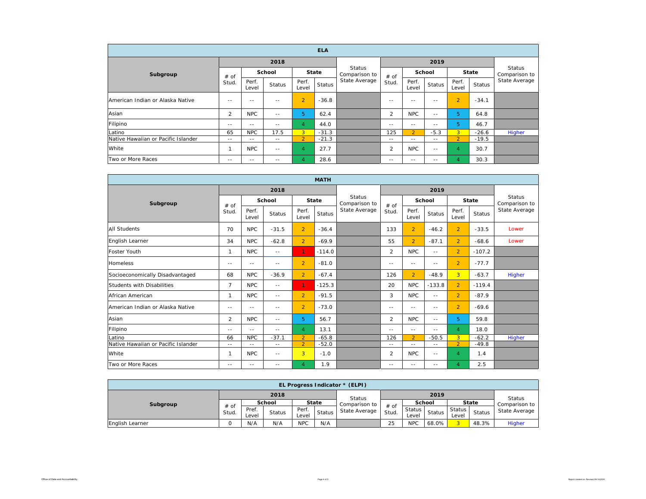| <b>ELA</b>                          |               |                |               |                |               |                         |               |                |               |                |         |                         |
|-------------------------------------|---------------|----------------|---------------|----------------|---------------|-------------------------|---------------|----------------|---------------|----------------|---------|-------------------------|
| Subgroup                            |               |                | 2018          |                |               |                         |               |                |               |                |         |                         |
|                                     | # of<br>Stud. |                | School        |                | <b>State</b>  | Status<br>Comparison to | # of          | School         |               | State          |         | Status<br>Comparison to |
|                                     |               | Perf.<br>Level | <b>Status</b> | Perf.<br>Level | <b>Status</b> | State Average           | Stud.         | Perf.<br>Level | <b>Status</b> | Perf.<br>Level | Status  | State Average           |
| American Indian or Alaska Native    | $- -$         | $- -$          | $-$           | $\overline{2}$ | $-36.8$       |                         | $- -$         | $- -$          | $- -$         | $\overline{2}$ | $-34.1$ |                         |
| Asian                               | 2             | <b>NPC</b>     | $\frac{1}{2}$ | 5              | 62.4          |                         | 2             | <b>NPC</b>     | $\frac{1}{2}$ | 5              | 64.8    |                         |
| Filipino                            | $- -$         | $\frac{1}{2}$  | $- -$         | $\overline{4}$ | 44.0          |                         | $- -$         | $\frac{1}{2}$  | $- -$         | 5              | 46.7    |                         |
| Latino                              | 65            | <b>NPC</b>     | 17.5          | $\overline{3}$ | $-31.3$       |                         | 125           | $\overline{2}$ | $-5.3$        | 3              | $-26.6$ | Higher                  |
| Native Hawaiian or Pacific Islander | $\sim$ $-$    | $- -$          | $\frac{1}{2}$ | $\overline{2}$ | $-21.3$       |                         | $\frac{1}{2}$ | $- -$          | $- -$         | $\overline{2}$ | $-19.5$ |                         |
| White                               |               | <b>NPC</b>     | $-$           | $\overline{4}$ | 27.7          |                         | 2             | <b>NPC</b>     | $- -$         | $\overline{A}$ | 30.7    |                         |
| Two or More Races                   | $\sim$ $-$    | $- -$          | $\frac{1}{2}$ | $\overline{4}$ | 28.6          |                         | $- -$         | $\sim$ $-$     | $- -$         | 4              | 30.3    |                         |

| <b>MATH</b>                         |                |                        |                |                |                                |               |                 |                |                                |                |               |               |
|-------------------------------------|----------------|------------------------|----------------|----------------|--------------------------------|---------------|-----------------|----------------|--------------------------------|----------------|---------------|---------------|
|                                     |                |                        | 2018           |                |                                |               |                 |                | <b>Status</b><br>Comparison to |                |               |               |
| Subgroup                            | # of<br>Stud.  | School<br><b>State</b> |                |                | <b>Status</b><br>Comparison to |               | School          |                |                                |                | <b>State</b>  |               |
|                                     |                | Perf.<br>Level         | <b>Status</b>  | Perf.<br>Level | <b>Status</b>                  | State Average | $#$ of<br>Stud. | Perf.<br>Level | <b>Status</b>                  | Perf.<br>Level | <b>Status</b> | State Average |
| <b>All Students</b>                 | 70             | <b>NPC</b>             | $-31.5$        | $\overline{2}$ | $-36.4$                        |               | 133             | $\overline{2}$ | $-46.2$                        | $\overline{2}$ | $-33.5$       | Lower         |
| English Learner                     | 34             | <b>NPC</b>             | $-62.8$        | $\overline{2}$ | $-69.9$                        |               | 55              | $\overline{2}$ | $-87.1$                        | $\overline{2}$ | $-68.6$       | Lower         |
| Foster Youth                        | $\mathbf{1}$   | <b>NPC</b>             | $\sim$ $-$     | $\mathbf{1}$   | $-114.0$                       |               | $\overline{2}$  | <b>NPC</b>     | $- -$                          | $\overline{2}$ | $-107.2$      |               |
| <b>Homeless</b>                     | $-$            | $\frac{1}{2}$          | $- -$          | $\overline{2}$ | $-81.0$                        |               | $\frac{1}{2}$   | $-$            | $\frac{1}{2}$                  | $\overline{2}$ | $-77.7$       |               |
| Socioeconomically Disadvantaged     | 68             | <b>NPC</b>             | $-36.9$        | $\overline{2}$ | $-67.4$                        |               | 126             | $\overline{2}$ | $-48.9$                        | 3 <sup>1</sup> | $-63.7$       | Higher        |
| Students with Disabilities          | $\overline{7}$ | <b>NPC</b>             | $\sim$ $-$     | 1.             | $-125.3$                       |               | 20              | <b>NPC</b>     | $-133.8$                       | $\overline{2}$ | $-119.4$      |               |
| African American                    | $\mathbf{1}$   | <b>NPC</b>             | $\sim$ $-$     | $\overline{2}$ | $-91.5$                        |               | 3               | <b>NPC</b>     | $\frac{1}{2}$                  | $\overline{2}$ | $-87.9$       |               |
| American Indian or Alaska Native    | $- -$          | $\frac{1}{2}$          | $- -$          | $\overline{2}$ | $-73.0$                        |               | $- -$           | $- -$          | $\frac{1}{2}$                  | $\overline{2}$ | $-69.6$       |               |
| Asian                               | $\overline{2}$ | <b>NPC</b>             | $\overline{a}$ | 5              | 56.7                           |               | $\overline{2}$  | <b>NPC</b>     | $\sim$ $-$                     | 5.             | 59.8          |               |
| Filipino                            | $-$            | $-$                    | $-$            | $\overline{4}$ | 13.1                           |               | $\frac{1}{2}$   | $\frac{1}{2}$  | $\frac{1}{2}$                  | $\overline{4}$ | 18.0          |               |
| Latino                              | 66             | <b>NPC</b>             | $-37.1$        | $\overline{2}$ | $-65.8$                        |               | 126             | $\overline{2}$ | $-50.5$                        | 3 <sup>1</sup> | $-62.2$       | Higher        |
| Native Hawaiian or Pacific Islander | $-$            | $- -$                  | $-$            | $\overline{2}$ | $-52.0$                        |               | $\frac{1}{2}$   | $- -$          | $- -$                          | $\overline{2}$ | $-49.8$       |               |
| White                               | $\mathbf{1}$   | <b>NPC</b>             | $\sim$ $-$     | 3              | $-1.0$                         |               | 2               | <b>NPC</b>     | $\frac{1}{2}$                  | $\overline{4}$ | 1.4           |               |
| Two or More Races                   | $-$            | $-$                    | $-$            | 4              | 1.9                            |               | $- -$           | $-$            | $ -$                           | $\overline{4}$ | 2.5           |               |

| EL Progress Indicator * (ELPI) |               |               |        |              |                        |               |                 |            |        |              |               |               |
|--------------------------------|---------------|---------------|--------|--------------|------------------------|---------------|-----------------|------------|--------|--------------|---------------|---------------|
|                                | 2018          |               |        |              |                        | <b>Status</b> | 2019            |            |        |              |               | <b>Status</b> |
| Subgroup                       | # of<br>Stud. | <b>School</b> |        | <b>State</b> |                        | Comparison to |                 | School     |        | <b>State</b> |               | Comparison to |
|                                |               | Pref.         | Status | Perf.        | <b>Status</b><br>Level | State Average | $#$ of<br>Stud. | Status     | Status | Status       | <b>Status</b> | State Average |
|                                |               | Level         |        |              |                        |               |                 | Level      |        | Level        |               |               |
| English Learner                |               | N/A           | N/A    | <b>NPC</b>   | N/A                    |               | 25              | <b>NPC</b> | 68.0%  |              | 48.3%         | Higher        |